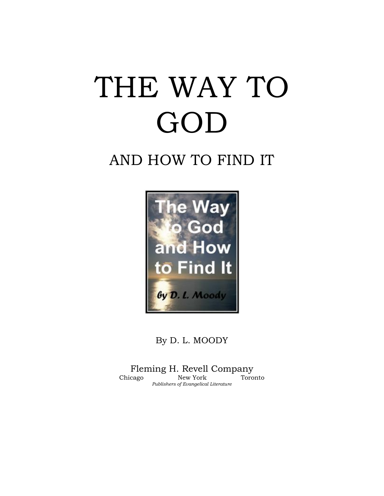# THE WAY TO GOD

## AND HOW TO FIND IT



By D. L. MOODY

Fleming H. Revell Company Chicago New York Toronto *Publishers of Evangelical Literature*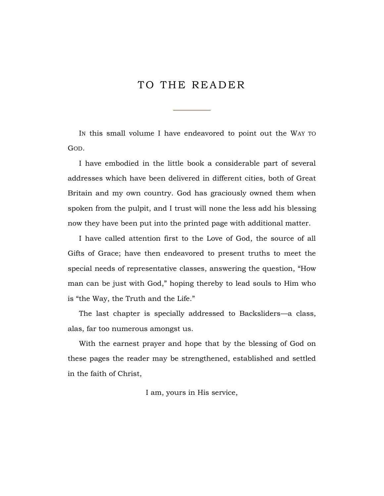### TO THE READER

IN this small volume I have endeavored to point out the WAY TO GOD.

I have embodied in the little book a considerable part of several addresses which have been delivered in different cities, both of Great Britain and my own country. God has graciously owned them when spoken from the pulpit, and I trust will none the less add his blessing now they have been put into the printed page with additional matter.

I have called attention first to the Love of God, the source of all Gifts of Grace; have then endeavored to present truths to meet the special needs of representative classes, answering the question, "How man can be just with God," hoping thereby to lead souls to Him who is "the Way, the Truth and the Life."

The last chapter is specially addressed to Backsliders—a class, alas, far too numerous amongst us.

With the earnest prayer and hope that by the blessing of God on these pages the reader may be strengthened, established and settled in the faith of Christ,

I am, yours in His service,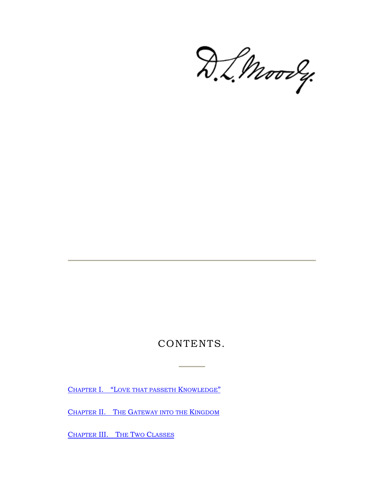D.L. Moorey.

## CONTENTS.

CHAPTER I. "L[OVE THAT PASSETH](#page-3-0) KNOWLEDGE"

CHAPTER II. THE G[ATEWAY INTO THE](#page-13-0) KINGDOM

CHAPTER [III. T](#page-25-0)HE TWO CLASSES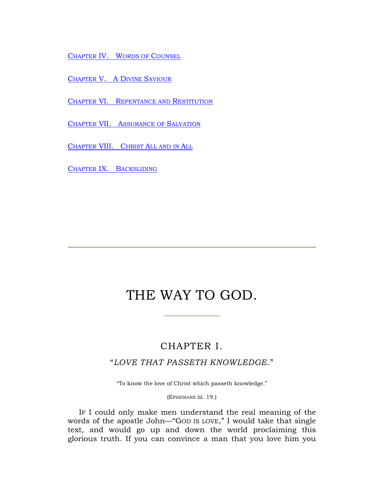CHAPTER [IV. W](#page-33-0)ORDS OF COUNSEL

CHAPTER [V. A D](#page-39-0)IVINE SAVIOUR

CHAPTER VI. R[EPENTANCE AND](#page-44-0) RESTITUTION

CHAPTER VII. A[SSURANCE OF](#page-52-0) SALVATION

CHAPTER [VIII. C](#page-64-0)HRIST ALL AND IN ALL

CHAPTER IX. B[ACKSLIDING](#page-72-0)

## THE WAY TO GOD.

#### CHAPTER I.

#### <span id="page-3-0"></span>"*LOVE THAT PASSETH KNOWLEDGE*."

"To know the love of Christ which passeth knowledge."

(EPHESIANS iii. 19.)

IF I could only make men understand the real meaning of the words of the apostle John—"GOD IS LOVE," I would take that single text, and would go up and down the world proclaiming this glorious truth. If you can convince a man that you love him you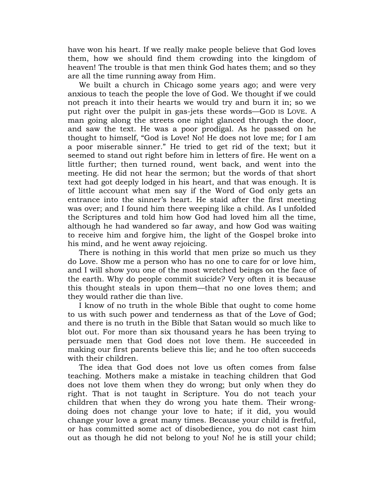have won his heart. If we really make people believe that God loves them, how we should find them crowding into the kingdom of heaven! The trouble is that men think God hates them; and so they are all the time running away from Him.

We built a church in Chicago some years ago; and were very anxious to teach the people the love of God. We thought if we could not preach it into their hearts we would try and burn it in; so we put right over the pulpit in gas-jets these words—GOD IS LOVE. A man going along the streets one night glanced through the door, and saw the text. He was a poor prodigal. As he passed on he thought to himself, "God is Love! No! He does not love me; for I am a poor miserable sinner." He tried to get rid of the text; but it seemed to stand out right before him in letters of fire. He went on a little further; then turned round, went back, and went into the meeting. He did not hear the sermon; but the words of that short text had got deeply lodged in his heart, and that was enough. It is of little account what men say if the Word of God only gets an entrance into the sinner's heart. He staid after the first meeting was over; and I found him there weeping like a child. As I unfolded the Scriptures and told him how God had loved him all the time, although he had wandered so far away, and how God was waiting to receive him and forgive him, the light of the Gospel broke into his mind, and he went away rejoicing.

There is nothing in this world that men prize so much us they do Love. Show me a person who has no one to care for or love him, and I will show you one of the most wretched beings on the face of the earth. Why do people commit suicide? Very often it is because this thought steals in upon them—that no one loves them; and they would rather die than live.

I know of no truth in the whole Bible that ought to come home to us with such power and tenderness as that of the Love of God; and there is no truth in the Bible that Satan would so much like to blot out. For more than six thousand years he has been trying to persuade men that God does not love them. He succeeded in making our first parents believe this lie; and he too often succeeds with their children.

The idea that God does not love us often comes from false teaching. Mothers make a mistake in teaching children that God does not love them when they do wrong; but only when they do right. That is not taught in Scripture. You do not teach your children that when they do wrong you hate them. Their wrongdoing does not change your love to hate; if it did, you would change your love a great many times. Because your child is fretful, or has committed some act of disobedience, you do not cast him out as though he did not belong to you! No! he is still your child;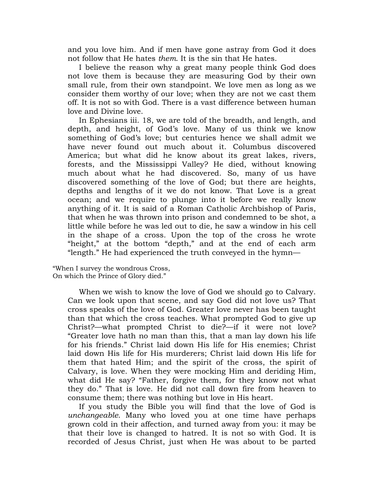and you love him. And if men have gone astray from God it does not follow that He hates *them*. It is the sin that He hates.

I believe the reason why a great many people think God does not love them is because they are measuring God by their own small rule, from their own standpoint. We love men as long as we consider them worthy of our love; when they are not we cast them off. It is not so with God. There is a vast difference between human love and Divine love.

In Ephesians iii. 18, we are told of the breadth, and length, and depth, and height, of God"s love. Many of us think we know something of God's love; but centuries hence we shall admit we have never found out much about it. Columbus discovered America; but what did he know about its great lakes, rivers, forests, and the Mississippi Valley? He died, without knowing much about what he had discovered. So, many of us have discovered something of the love of God; but there are heights, depths and lengths of it we do not know. That Love is a great ocean; and we require to plunge into it before we really know anything of it. It is said of a Roman Catholic Archbishop of Paris, that when he was thrown into prison and condemned to be shot, a little while before he was led out to die, he saw a window in his cell in the shape of a cross. Upon the top of the cross he wrote "height," at the bottom "depth," and at the end of each arm "length." He had experienced the truth conveyed in the hymn—

"When I survey the wondrous Cross, On which the Prince of Glory died."

> When we wish to know the love of God we should go to Calvary. Can we look upon that scene, and say God did not love us? That cross speaks of the love of God. Greater love never has been taught than that which the cross teaches. What prompted God to give up Christ?—what prompted Christ to die?—if it were not love? "Greater love hath no man than this, that a man lay down his life for his friends." Christ laid down His life for His enemies; Christ laid down His life for His murderers; Christ laid down His life for them that hated Him; and the spirit of the cross, the spirit of Calvary, is love. When they were mocking Him and deriding Him, what did He say? "Father, forgive them, for they know not what they do." That is love. He did not call down fire from heaven to consume them; there was nothing but love in His heart.

> If you study the Bible you will find that the love of God is *unchangeable*. Many who loved you at one time have perhaps grown cold in their affection, and turned away from you: it may be that their love is changed to hatred. It is not so with God. It is recorded of Jesus Christ, just when He was about to be parted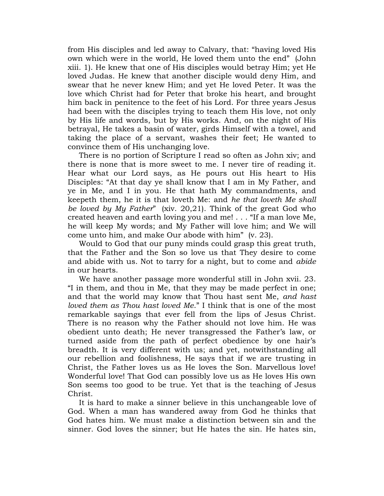from His disciples and led away to Calvary, that: "having loved His own which were in the world, He loved them unto the end" (John xiii. 1). He knew that one of His disciples would betray Him; yet He loved Judas. He knew that another disciple would deny Him, and swear that he never knew Him; and yet He loved Peter. It was the love which Christ had for Peter that broke his heart, and brought him back in penitence to the feet of his Lord. For three years Jesus had been with the disciples trying to teach them His love, not only by His life and words, but by His works. And, on the night of His betrayal, He takes a basin of water, girds Himself with a towel, and taking the place of a servant, washes their feet; He wanted to convince them of His unchanging love.

There is no portion of Scripture I read so often as John xiv; and there is none that is more sweet to me. I never tire of reading it. Hear what our Lord says, as He pours out His heart to His Disciples: "At that day ye shall know that I am in My Father, and ye in Me, and I in you. He that hath My commandments, and keepeth them, he it is that loveth Me: and *he that loveth Me shall be loved by My Father*" (xiv. 20,21). Think of the great God who created heaven and earth loving you and me! . . . "If a man love Me, he will keep My words; and My Father will love him; and We will come unto him, and make Our abode with him" (v. 23).

Would to God that our puny minds could grasp this great truth, that the Father and the Son so love us that They desire to come and abide with us. Not to tarry for a night, but to come and *abide* in our hearts.

We have another passage more wonderful still in John xvii. 23. "I in them, and thou in Me, that they may be made perfect in one; and that the world may know that Thou hast sent Me, *and hast loved them as Thou hast loved Me*." I think that is one of the most remarkable sayings that ever fell from the lips of Jesus Christ. There is no reason why the Father should not love him. He was obedient unto death; He never transgressed the Father"s law, or turned aside from the path of perfect obedience by one hair"s breadth. It is very different with us; and yet, notwithstanding all our rebellion and foolishness, He says that if we are trusting in Christ, the Father loves us as He loves the Son. Marvellous love! Wonderful love! That God can possibly love us as He loves His own Son seems too good to be true. Yet that is the teaching of Jesus Christ.

It is hard to make a sinner believe in this unchangeable love of God. When a man has wandered away from God he thinks that God hates him. We must make a distinction between sin and the sinner. God loves the sinner; but He hates the sin. He hates sin,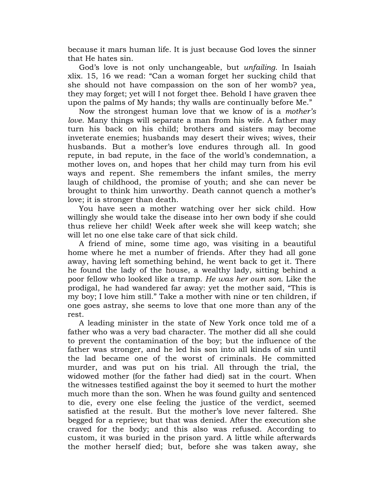because it mars human life. It is just because God loves the sinner that He hates sin.

God"s love is not only unchangeable, but *unfailing*. In Isaiah xlix. 15, 16 we read: "Can a woman forget her sucking child that she should not have compassion on the son of her womb? yea, they may forget; yet will I not forget thee. Behold I have graven thee upon the palms of My hands; thy walls are continually before Me."

Now the strongest human love that we know of is a *mother's love*. Many things will separate a man from his wife. A father may turn his back on his child; brothers and sisters may become inveterate enemies; husbands may desert their wives; wives, their husbands. But a mother"s love endures through all. In good repute, in bad repute, in the face of the world"s condemnation, a mother loves on, and hopes that her child may turn from his evil ways and repent. She remembers the infant smiles, the merry laugh of childhood, the promise of youth; and she can never be brought to think him unworthy. Death cannot quench a mother"s love; it is stronger than death.

You have seen a mother watching over her sick child. How willingly she would take the disease into her own body if she could thus relieve her child! Week after week she will keep watch; she will let no one else take care of that sick child.

A friend of mine, some time ago, was visiting in a beautiful home where he met a number of friends. After they had all gone away, having left something behind, he went back to get it. There he found the lady of the house, a wealthy lady, sitting behind a poor fellow who looked like a tramp. *He was her own son*. Like the prodigal, he had wandered far away: yet the mother said, "This is my boy; I love him still." Take a mother with nine or ten children, if one goes astray, she seems to love that one more than any of the rest.

A leading minister in the state of New York once told me of a father who was a very bad character. The mother did all she could to prevent the contamination of the boy; but the influence of the father was stronger, and he led his son into all kinds of sin until the lad became one of the worst of criminals. He committed murder, and was put on his trial. All through the trial, the widowed mother (for the father had died) sat in the court. When the witnesses testified against the boy it seemed to hurt the mother much more than the son. When he was found guilty and sentenced to die, every one else feeling the justice of the verdict, seemed satisfied at the result. But the mother"s love never faltered. She begged for a reprieve; but that was denied. After the execution she craved for the body; and this also was refused. According to custom, it was buried in the prison yard. A little while afterwards the mother herself died; but, before she was taken away, she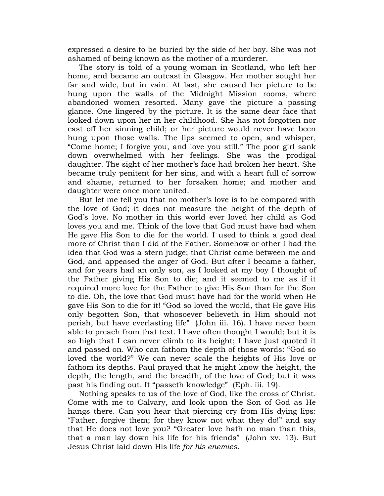expressed a desire to be buried by the side of her boy. She was not ashamed of being known as the mother of a murderer.

The story is told of a young woman in Scotland, who left her home, and became an outcast in Glasgow. Her mother sought her far and wide, but in vain. At last, she caused her picture to be hung upon the walls of the Midnight Mission rooms, where abandoned women resorted. Many gave the picture a passing glance. One lingered by the picture. It is the same dear face that looked down upon her in her childhood. She has not forgotten nor cast off her sinning child; or her picture would never have been hung upon those walls. The lips seemed to open, and whisper, "Come home; I forgive you, and love you still." The poor girl sank down overwhelmed with her feelings. She was the prodigal daughter. The sight of her mother"s face had broken her heart. She became truly penitent for her sins, and with a heart full of sorrow and shame, returned to her forsaken home; and mother and daughter were once more united.

But let me tell you that no mother's love is to be compared with the love of God; it does not measure the height of the depth of God"s love. No mother in this world ever loved her child as God loves you and me. Think of the love that God must have had when He gave His Son to die for the world. I used to think a good deal more of Christ than I did of the Father. Somehow or other I had the idea that God was a stern judge; that Christ came between me and God, and appeased the anger of God. But after I became a father, and for years had an only son, as I looked at my boy I thought of the Father giving His Son to die; and it seemed to me as if it required more love for the Father to give His Son than for the Son to die. Oh, the love that God must have had for the world when He gave His Son to die for it! "God so loved the world, that He gave His only begotten Son, that whosoever believeth in Him should not perish, but have everlasting life" (John iii. 16). I have never been able to preach from that text. I have often thought I would; but it is so high that I can never climb to its height; I have just quoted it and passed on. Who can fathom the depth of those words: "God so loved the world?" We can never scale the heights of His love or fathom its depths. Paul prayed that he might know the height, the depth, the length, and the breadth, of the love of God; but it was past his finding out. It "passeth knowledge" (Eph. iii. 19).

Nothing speaks to us of the love of God, like the cross of Christ. Come with me to Calvary, and look upon the Son of God as He hangs there. Can you hear that piercing cry from His dying lips: "Father, forgive them; for they know not what they do!" and say that He does not love you? "Greater love hath no man than this, that a man lay down his life for his friends" (John xv. 13). But Jesus Christ laid down His life *for his enemies*.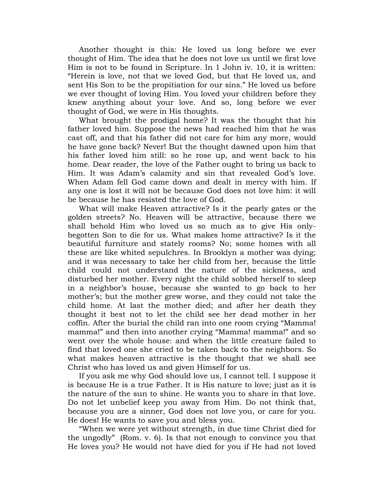Another thought is this: He loved us long before we ever thought of Him. The idea that he does not love us until we first love Him is not to be found in Scripture. In 1 John iv. 10, it is written: "Herein is love, not that we loved God, but that He loved us, and sent His Son to be the propitiation for our sins." He loved us before we ever thought of loving Him. You loved your children before they knew anything about your love. And so, long before we ever thought of God, we were in His thoughts.

What brought the prodigal home? It was the thought that his father loved him. Suppose the news had reached him that he was cast off, and that his father did not care for him any more, would he have gone back? Never! But the thought dawned upon him that his father loved him still: so he rose up, and went back to his home. Dear reader, the love of the Father ought to bring us back to Him. It was Adam's calamity and sin that revealed God's love. When Adam fell God came down and dealt in mercy with him. If any one is lost it will not be because God does not love him: it will be because he has resisted the love of God.

What will make Heaven attractive? Is it the pearly gates or the golden streets? No. Heaven will be attractive, because there we shall behold Him who loved us so much as to give His onlybegotten Son to die for us. What makes home attractive? Is it the beautiful furniture and stately rooms? No; some homes with all these are like whited sepulchres. In Brooklyn a mother was dying; and it was necessary to take her child from her, because the little child could not understand the nature of the sickness, and disturbed her mother. Every night the child sobbed herself to sleep in a neighbor"s house, because she wanted to go back to her mother"s; but the mother grew worse, and they could not take the child home. At last the mother died; and after her death they thought it best not to let the child see her dead mother in her coffin. After the burial the child ran into one room crying "Mamma! mamma!" and then into another crying "Mamma! mamma!" and so went over the whole house: and when the little creature failed to find that loved one she cried to be taken back to the neighbors. So what makes heaven attractive is the thought that we shall see Christ who has loved us and given Himself for us.

If you ask me why God should love us, I cannot tell. I suppose it is because He is a true Father. It is His nature to love; just as it is the nature of the sun to shine. He wants you to share in that love. Do not let unbelief keep you away from Him. Do not think that, because you are a sinner, God does not love you, or care for you. He does! He wants to save you and bless you.

"When we were yet without strength, in due time Christ died for the ungodly" (Rom. v. 6). Is that not enough to convince you that He loves you? He would not have died for you if He had not loved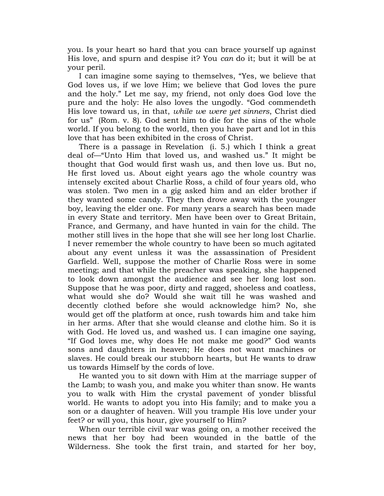you. Is your heart so hard that you can brace yourself up against His love, and spurn and despise it? You *can* do it; but it will be at your peril.

I can imagine some saying to themselves, "Yes, we believe that God loves us, if we love Him; we believe that God loves the pure and the holy." Let me say, my friend, not only does God love the pure and the holy: He also loves the ungodly. "God commendeth His love toward us, in that, *while we were yet sinners*, Christ died for us" (Rom. v. 8). God sent him to die for the sins of the whole world. If you belong to the world, then you have part and lot in this love that has been exhibited in the cross of Christ.

There is a passage in Revelation (i. 5.) which I think a great deal of—"Unto Him that loved us, and washed us." It might be thought that God would first wash us, and then love us. But no, He first loved us. About eight years ago the whole country was intensely excited about Charlie Ross, a child of four years old, who was stolen. Two men in a gig asked him and an elder brother if they wanted some candy. They then drove away with the younger boy, leaving the elder one. For many years a search has been made in every State and territory. Men have been over to Great Britain, France, and Germany, and have hunted in vain for the child. The mother still lives in the hope that she will see her long lost Charlie. I never remember the whole country to have been so much agitated about any event unless it was the assassination of President Garfield. Well, suppose the mother of Charlie Ross were in some meeting; and that while the preacher was speaking, she happened to look down amongst the audience and see her long lost son. Suppose that he was poor, dirty and ragged, shoeless and coatless, what would she do? Would she wait till he was washed and decently clothed before she would acknowledge him? No, she would get off the platform at once, rush towards him and take him in her arms. After that she would cleanse and clothe him. So it is with God. He loved us, and washed us. I can imagine one saying, "If God loves me, why does He not make me good?" God wants sons and daughters in heaven; He does not want machines or slaves. He could break our stubborn hearts, but He wants to draw us towards Himself by the cords of love.

He wanted you to sit down with Him at the marriage supper of the Lamb; to wash you, and make you whiter than snow. He wants you to walk with Him the crystal pavement of yonder blissful world. He wants to adopt you into His family; and to make you a son or a daughter of heaven. Will you trample His love under your feet? or will you, this hour, give yourself to Him?

When our terrible civil war was going on, a mother received the news that her boy had been wounded in the battle of the Wilderness. She took the first train, and started for her boy,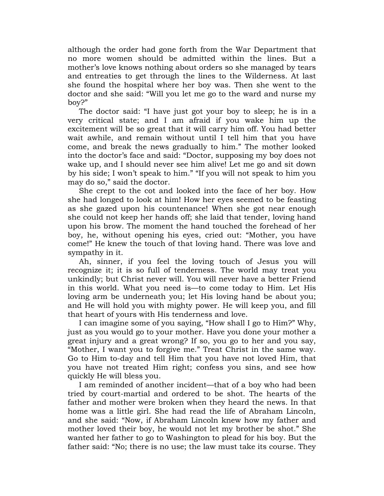although the order had gone forth from the War Department that no more women should be admitted within the lines. But a mother"s love knows nothing about orders so she managed by tears and entreaties to get through the lines to the Wilderness. At last she found the hospital where her boy was. Then she went to the doctor and she said: "Will you let me go to the ward and nurse my boy?"

The doctor said: "I have just got your boy to sleep; he is in a very critical state; and I am afraid if you wake him up the excitement will be so great that it will carry him off. You had better wait awhile, and remain without until I tell him that you have come, and break the news gradually to him." The mother looked into the doctor"s face and said: "Doctor, supposing my boy does not wake up, and I should never see him alive! Let me go and sit down by his side; I won"t speak to him." "If you will not speak to him you may do so," said the doctor.

She crept to the cot and looked into the face of her boy. How she had longed to look at him! How her eyes seemed to be feasting as she gazed upon his countenance! When she got near enough she could not keep her hands off; she laid that tender, loving hand upon his brow. The moment the hand touched the forehead of her boy, he, without opening his eyes, cried out: "Mother, you have come!" He knew the touch of that loving hand. There was love and sympathy in it.

Ah, sinner, if you feel the loving touch of Jesus you will recognize it; it is so full of tenderness. The world may treat you unkindly; but Christ never will. You will never have a better Friend in this world. What you need is—to come today to Him. Let His loving arm be underneath you; let His loving hand be about you; and He will hold you with mighty power. He will keep you, and fill that heart of yours with His tenderness and love.

I can imagine some of you saying, "How shall I go to Him?" Why, just as you would go to your mother. Have you done your mother a great injury and a great wrong? If so, you go to her and you say, "Mother, I want you to forgive me." Treat Christ in the same way. Go to Him to-day and tell Him that you have not loved Him, that you have not treated Him right; confess you sins, and see how quickly He will bless you.

I am reminded of another incident—that of a boy who had been tried by court-martial and ordered to be shot. The hearts of the father and mother were broken when they heard the news. In that home was a little girl. She had read the life of Abraham Lincoln, and she said: "Now, if Abraham Lincoln knew how my father and mother loved their boy, he would not let my brother be shot." She wanted her father to go to Washington to plead for his boy. But the father said: "No; there is no use; the law must take its course. They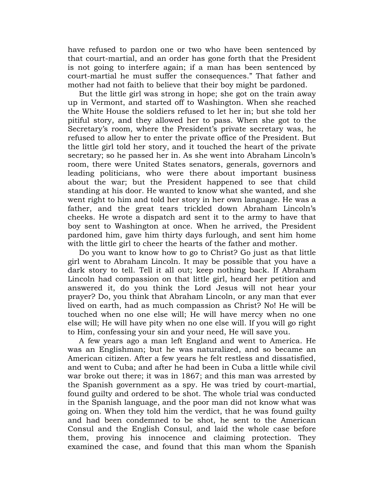have refused to pardon one or two who have been sentenced by that court-martial, and an order has gone forth that the President is not going to interfere again; if a man has been sentenced by court-martial he must suffer the consequences." That father and mother had not faith to believe that their boy might be pardoned.

But the little girl was strong in hope; she got on the train away up in Vermont, and started off to Washington. When she reached the White House the soldiers refused to let her in; but she told her pitiful story, and they allowed her to pass. When she got to the Secretary's room, where the President's private secretary was, he refused to allow her to enter the private office of the President. But the little girl told her story, and it touched the heart of the private secretary; so he passed her in. As she went into Abraham Lincoln's room, there were United States senators, generals, governors and leading politicians, who were there about important business about the war; but the President happened to see that child standing at his door. He wanted to know what she wanted, and she went right to him and told her story in her own language. He was a father, and the great tears trickled down Abraham Lincoln's cheeks. He wrote a dispatch ard sent it to the army to have that boy sent to Washington at once. When he arrived, the President pardoned him, gave him thirty days furlough, and sent him home with the little girl to cheer the hearts of the father and mother.

Do you want to know how to go to Christ? Go just as that little girl went to Abraham Lincoln. It may be possible that you have a dark story to tell. Tell it all out; keep nothing back. If Abraham Lincoln had compassion on that little girl, heard her petition and answered it, do you think the Lord Jesus will not hear your prayer? Do, you think that Abraham Lincoln, or any man that ever lived on earth, had as much compassion as Christ? No! He will be touched when no one else will; He will have mercy when no one else will; He will have pity when no one else will. If you will go right to Him, confessing your sin and your need, He will save you.

A few years ago a man left England and went to America. He was an Englishman; but he was naturalized, and so became an American citizen. After a few years he felt restless and dissatisfied, and went to Cuba; and after he had been in Cuba a little while civil war broke out there; it was in 1867; and this man was arrested by the Spanish government as a spy. He was tried by court-martial, found guilty and ordered to be shot. The whole trial was conducted in the Spanish language, and the poor man did not know what was going on. When they told him the verdict, that he was found guilty and had been condemned to be shot, he sent to the American Consul and the English Consul, and laid the whole case before them, proving his innocence and claiming protection. They examined the case, and found that this man whom the Spanish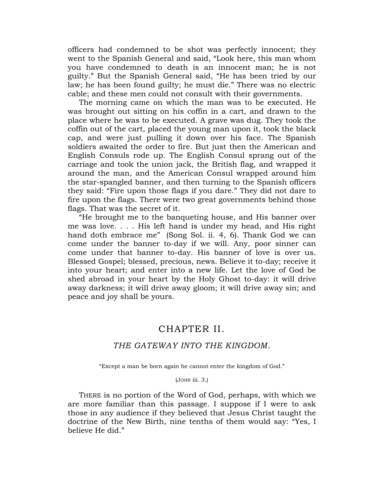officers had condemned to be shot was perfectly innocent; they went to the Spanish General and said, "Look here, this man whom you have condemned to death is an innocent man; he is not guilty." But the Spanish General said, "He has been tried by our law; he has been found guilty; he must die." There was no electric cable; and these men could not consult with their governments.

The morning came on which the man was to be executed. He was brought out sitting on his coffin in a cart, and drawn to the place where he was to be executed. A grave was dug. They took the coffin out of the cart, placed the young man upon it, took the black cap, and were just pulling it down over his face. The Spanish soldiers awaited the order to fire. But just then the American and English Consuls rode up. The English Consul sprang out of the carriage and took the union jack, the British flag, and wrapped it around the man, and the American Consul wrapped around him the star-spangled banner, and then turning to the Spanish officers they said: "Fire upon those flags if you dare." They did not dare to fire upon the flags. There were two great governments behind those flags. That was the secret of it.

"He brought me to the banqueting house, and His banner over me was love. . . . His left hand is under my head, and His right hand doth embrace me" (Song Sol. ii. 4, 6). Thank God we can come under the banner to-day if we will. Any, poor sinner can come under that banner to-day. His banner of love is over us. Blessed Gospel; blessed, precious, news. Believe it to-day; receive it into your heart; and enter into a new life. Let the love of God be shed abroad in your heart by the Holy Ghost to-day: it will drive away darkness; it will drive away gloom; it will drive away sin; and peace and joy shall be yours.

#### CHAPTER II.

#### <span id="page-13-0"></span>*THE GATEWAY INTO THE KINGDOM*.

"Except a man be born again he cannot enter the kingdom of God."

#### (JOHN iii. 3.)

THERE is no portion of the Word of God, perhaps, with which we are more familiar than this passage. I suppose if I were to ask those in any audience if they believed that Jesus Christ taught the doctrine of the New Birth, nine tenths of them would say: "Yes, I believe He did."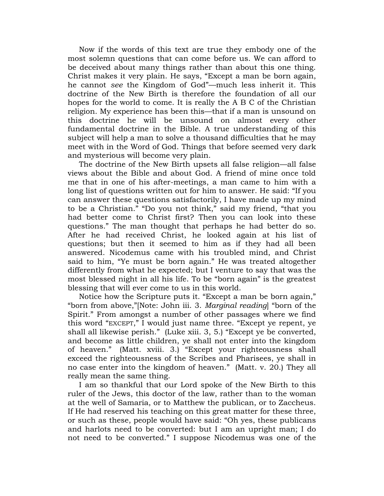Now if the words of this text are true they embody one of the most solemn questions that can come before us. We can afford to be deceived about many things rather than about this one thing. Christ makes it very plain. He says, "Except a man be born again, he cannot *see* the Kingdom of God"—much less inherit it. This doctrine of the New Birth is therefore the foundation of all our hopes for the world to come. It is really the A B C of the Christian religion. My experience has been this—that if a man is unsound on this doctrine he will be unsound on almost every other fundamental doctrine in the Bible. A true understanding of this subject will help a man to solve a thousand difficulties that he may meet with in the Word of God. Things that before seemed very dark and mysterious will become very plain.

The doctrine of the New Birth upsets all false religion—all false views about the Bible and about God. A friend of mine once told me that in one of his after-meetings, a man came to him with a long list of questions written out for him to answer. He said: "If you can answer these questions satisfactorily, I have made up my mind to be a Christian." "Do you not think," said my friend, "that you had better come to Christ first? Then you can look into these questions." The man thought that perhaps he had better do so. After he had received Christ, he looked again at his list of questions; but then it seemed to him as if they had all been answered. Nicodemus came with his troubled mind, and Christ said to him, "Ye must be born again." He was treated altogether differently from what he expected; but I venture to say that was the most blessed night in all his life. To be "born again" is the greatest blessing that will ever come to us in this world.

Notice how the Scripture puts it. "Except a man be born again," "born from above,"[Note: John iii. 3. *Marginal reading*] "born of the Spirit." From amongst a number of other passages where we find this word "EXCEPT," I would just name three. "Except ye repent, ye shall all likewise perish." (Luke xiii. 3, 5.) "Except ye be converted, and become as little children, ye shall not enter into the kingdom of heaven." (Matt. xviii. 3.) "Except your righteousness shall exceed the righteousness of the Scribes and Pharisees, ye shall in no case enter into the kingdom of heaven." (Matt. v. 20.) They all really mean the same thing.

I am so thankful that our Lord spoke of the New Birth to this ruler of the Jews, this doctor of the law, rather than to the woman at the well of Samaria, or to Matthew the publican, or to Zaccheus. If He had reserved his teaching on this great matter for these three, or such as these, people would have said: "Oh yes, these publicans and harlots need to be converted: but I am an upright man; I do not need to be converted." I suppose Nicodemus was one of the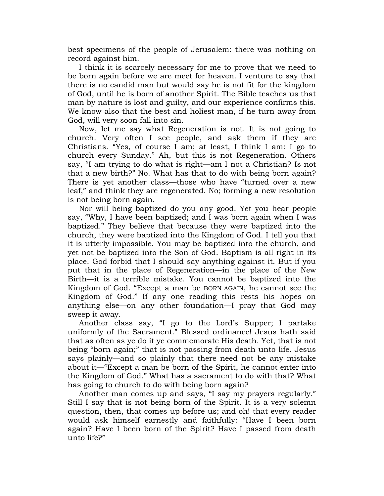best specimens of the people of Jerusalem: there was nothing on record against him.

I think it is scarcely necessary for me to prove that we need to be born again before we are meet for heaven. I venture to say that there is no candid man but would say he is not fit for the kingdom of God, until he is born of another Spirit. The Bible teaches us that man by nature is lost and guilty, and our experience confirms this. We know also that the best and holiest man, if he turn away from God, will very soon fall into sin.

Now, let me say what Regeneration is not. It is not going to church. Very often I see people, and ask them if they are Christians. "Yes, of course I am; at least, I think I am: I go to church every Sunday." Ah, but this is not Regeneration. Others say, "I am trying to do what is right—am I not a Christian? Is not that a new birth?" No. What has that to do with being born again? There is yet another class—those who have "turned over a new leaf," and think they are regenerated. No; forming a new resolution is not being born again.

Nor will being baptized do you any good. Yet you hear people say, "Why, I have been baptized; and I was born again when I was baptized." They believe that because they were baptized into the church, they were baptized into the Kingdom of God. I tell you that it is utterly impossible. You may be baptized into the church, and yet not be baptized into the Son of God. Baptism is all right in its place. God forbid that I should say anything against it. But if you put that in the place of Regeneration—in the place of the New Birth—it is a terrible mistake. You cannot be baptized into the Kingdom of God. "Except a man be BORN AGAIN, he cannot see the Kingdom of God." If any one reading this rests his hopes on anything else—on any other foundation—I pray that God may sweep it away.

Another class say, "I go to the Lord"s Supper; I partake uniformly of the Sacrament." Blessed ordinance! Jesus hath said that as often as ye do it ye commemorate His death. Yet, that is not being "born again;" that is not passing from death unto life. Jesus says plainly—and so plainly that there need not be any mistake about it—"Except a man be born of the Spirit, he cannot enter into the Kingdom of God." What has a sacrament to do with that? What has going to church to do with being born again?

Another man comes up and says, "I say my prayers regularly." Still I say that is not being born of the Spirit. It is a very solemn question, then, that comes up before us; and oh! that every reader would ask himself earnestly and faithfully: "Have I been born again? Have I been born of the Spirit? Have I passed from death unto life?"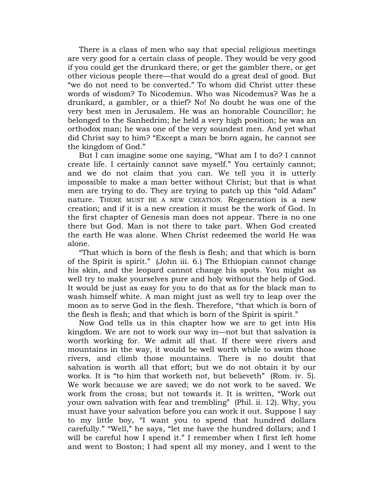There is a class of men who say that special religious meetings are very good for a certain class of people. They would be very good if you could get the drunkard there, or get the gambler there, or get other vicious people there—that would do a great deal of good. But "we do not need to be converted." To whom did Christ utter these words of wisdom? To Nicodemus. Who was Nicodemus? Was he a drunkard, a gambler, or a thief? No! No doubt he was one of the very best men in Jerusalem. He was an honorable Councillor; he belonged to the Sanhedrim; he held a very high position; he was an orthodox man; he was one of the very soundest men. And yet what did Christ say to him? "Except a man be born again, he cannot see the kingdom of God."

But I can imagine some one saying, "What am I to do? I cannot create life. I certainly cannot save myself." You certainly cannot; and we do not claim that you can. We tell you it is utterly impossible to make a man better without Christ; but that is what men are trying to do. They are trying to patch up this "old Adam" nature. THERE MUST BE A NEW CREATION. Regeneration is a new creation; and if it is a new creation it must be the work of God. In the first chapter of Genesis man does not appear. There is no one there but God. Man is not there to take part. When God created the earth He was alone. When Christ redeemed the world He was alone.

"That which is born of the flesh is flesh; and that which is born of the Spirit is spirit." (John iii. 6.) The Ethiopian cannot change his skin, and the leopard cannot change his spots. You might as well try to make yourselves pure and holy without the help of God. It would be just as easy for you to do that as for the black man to wash himself white. A man might just as well try to leap over the moon as to serve God in the flesh. Therefore, "that which is born of the flesh is flesh; and that which is born of the Spirit is spirit."

Now God tells us in this chapter how we are to get into His kingdom. We are not to work our way in—not but that salvation is worth working for. We admit all that. If there were rivers and mountains in the way, it would be well worth while to swim those rivers, and climb those mountains. There is no doubt that salvation is worth all that effort; but we do not obtain it by our works. It is "to him that worketh not, but believeth" (Rom. iv. 5). We work because we are saved; we do not work to be saved. We work from the cross; but not towards it. It is written, "Work out your own salvation with fear and trembling" (Phil. ii. 12). Why, you must have your salvation before you can work it out. Suppose I say to my little boy, "I want you to spend that hundred dollars carefully." "Well," he says, "let me have the hundred dollars; and I will be careful how I spend it." I remember when I first left home and went to Boston; I had spent all my money, and I went to the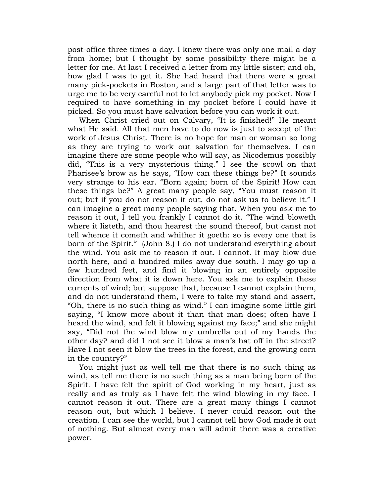post-office three times a day. I knew there was only one mail a day from home; but I thought by some possibility there might be a letter for me. At last I received a letter from my little sister; and oh, how glad I was to get it. She had heard that there were a great many pick-pockets in Boston, and a large part of that letter was to urge me to be very careful not to let anybody pick my pocket. Now I required to have something in my pocket before I could have it picked. So you must have salvation before you can work it out.

When Christ cried out on Calvary, "It is finished!" He meant what He said. All that men have to do now is just to accept of the work of Jesus Christ. There is no hope for man or woman so long as they are trying to work out salvation for themselves. I can imagine there are some people who will say, as Nicodemus possibly did, "This is a very mysterious thing." I see the scowl on that Pharisee's brow as he says, "How can these things be?" It sounds very strange to his ear. "Born again; born of the Spirit! How can these things be?" A great many people say, "You must reason it out; but if you do not reason it out, do not ask us to believe it." I can imagine a great many people saying that. When you ask me to reason it out, I tell you frankly I cannot do it. "The wind bloweth where it listeth, and thou hearest the sound thereof, but canst not tell whence it cometh and whither it goeth: so is every one that is born of the Spirit." (John 8.) I do not understand everything about the wind. You ask me to reason it out. I cannot. It may blow due north here, and a hundred miles away due south. I may go up a few hundred feet, and find it blowing in an entirely opposite direction from what it is down here. You ask me to explain these currents of wind; but suppose that, because I cannot explain them, and do not understand them, I were to take my stand and assert, "Oh, there is no such thing as wind." I can imagine some little girl saying, "I know more about it than that man does; often have I heard the wind, and felt it blowing against my face;" and she might say, "Did not the wind blow my umbrella out of my hands the other day? and did I not see it blow a man"s hat off in the street? Have I not seen it blow the trees in the forest, and the growing corn in the country?"

You might just as well tell me that there is no such thing as wind, as tell me there is no such thing as a man being born of the Spirit. I have felt the spirit of God working in my heart, just as really and as truly as I have felt the wind blowing in my face. I cannot reason it out. There are a great many things I cannot reason out, but which I believe. I never could reason out the creation. I can see the world, but I cannot tell how God made it out of nothing. But almost every man will admit there was a creative power.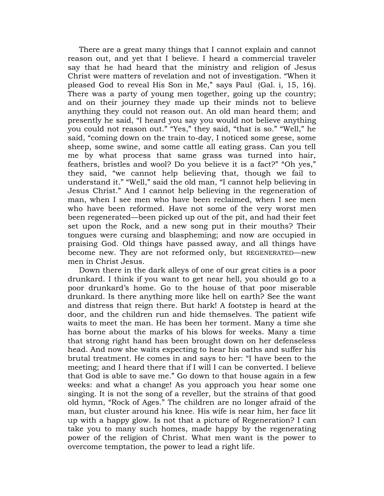There are a great many things that I cannot explain and cannot reason out, and yet that I believe. I heard a commercial traveler say that he had heard that the ministry and religion of Jesus Christ were matters of revelation and not of investigation. "When it pleased God to reveal His Son in Me," says Paul (Gal. i, 15, 16). There was a party of young men together, going up the country; and on their journey they made up their minds not to believe anything they could not reason out. An old man heard them; and presently he said, "I heard you say you would not believe anything you could not reason out." "Yes," they said, "that is so." "Well," he said, "coming down on the train to-day, I noticed some geese, some sheep, some swine, and some cattle all eating grass. Can you tell me by what process that same grass was turned into hair, feathers, bristles and wool? Do you believe it is a fact?" "Oh yes," they said, "we cannot help believing that, though we fail to understand it." "Well," said the old man, "I cannot help believing in Jesus Christ." And I cannot help believing in the regeneration of man, when I see men who have been reclaimed, when I see men who have been reformed. Have not some of the very worst men been regenerated—been picked up out of the pit, and had their feet set upon the Rock, and a new song put in their mouths? Their tongues were cursing and blaspheming; and now are occupied in praising God. Old things have passed away, and all things have become new. They are not reformed only, but REGENERATED—new men in Christ Jesus.

Down there in the dark alleys of one of our great cities is a poor drunkard. I think if you want to get near hell, you should go to a poor drunkard"s home. Go to the house of that poor miserable drunkard. Is there anything more like hell on earth? See the want and distress that reign there. But hark! A footstep is heard at the door, and the children run and hide themselves. The patient wife waits to meet the man. He has been her torment. Many a time she has borne about the marks of his blows for weeks. Many a time that strong right hand has been brought down on her defenseless head. And now she waits expecting to hear his oaths and suffer his brutal treatment. He comes in and says to her: "I have been to the meeting; and I heard there that if I will I can be converted. I believe that God is able to save me." Go down to that house again in a few weeks: and what a change! As you approach you hear some one singing. It is not the song of a reveller, but the strains of that good old hymn, "Rock of Ages." The children are no longer afraid of the man, but cluster around his knee. His wife is near him, her face lit up with a happy glow. Is not that a picture of Regeneration? I can take you to many such homes, made happy by the regenerating power of the religion of Christ. What men want is the power to overcome temptation, the power to lead a right life.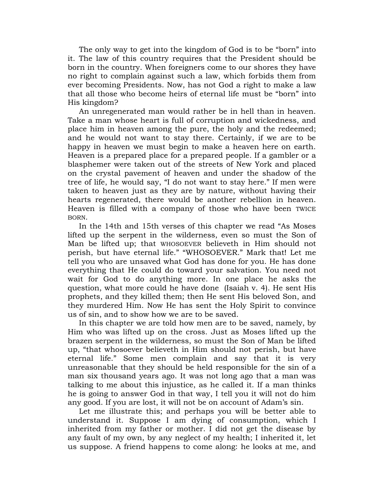The only way to get into the kingdom of God is to be "born" into it. The law of this country requires that the President should be born in the country. When foreigners come to our shores they have no right to complain against such a law, which forbids them from ever becoming Presidents. Now, has not God a right to make a law that all those who become heirs of eternal life must be "born" into His kingdom?

An unregenerated man would rather be in hell than in heaven. Take a man whose heart is full of corruption and wickedness, and place him in heaven among the pure, the holy and the redeemed; and he would not want to stay there. Certainly, if we are to be happy in heaven we must begin to make a heaven here on earth. Heaven is a prepared place for a prepared people. If a gambler or a blasphemer were taken out of the streets of New York and placed on the crystal pavement of heaven and under the shadow of the tree of life, he would say, "I do not want to stay here." If men were taken to heaven just as they are by nature, without having their hearts regenerated, there would be another rebellion in heaven. Heaven is filled with a company of those who have been TWICE BORN.

In the 14th and 15th verses of this chapter we read "As Moses lifted up the serpent in the wilderness, even so must the Son of Man be lifted up; that WHOSOEVER believeth in Him should not perish, but have eternal life." "WHOSOEVER." Mark that! Let me tell you who are unsaved what God has done for you. He has done everything that He could do toward your salvation. You need not wait for God to do anything more. In one place he asks the question, what more could he have done (Isaiah v. 4). He sent His prophets, and they killed them; then He sent His beloved Son, and they murdered Him. Now He has sent the Holy Spirit to convince us of sin, and to show how we are to be saved.

In this chapter we are told how men are to be saved, namely, by Him who was lifted up on the cross. Just as Moses lifted up the brazen serpent in the wilderness, so must the Son of Man be lifted up, "that whosoever believeth in Him should not perish, but have eternal life." Some men complain and say that it is very unreasonable that they should be held responsible for the sin of a man six thousand years ago. It was not long ago that a man was talking to me about this injustice, as he called it. If a man thinks he is going to answer God in that way, I tell you it will not do him any good. If you are lost, it will not be on account of Adam"s sin.

Let me illustrate this; and perhaps you will be better able to understand it. Suppose I am dying of consumption, which I inherited from my father or mother. I did not get the disease by any fault of my own, by any neglect of my health; I inherited it, let us suppose. A friend happens to come along: he looks at me, and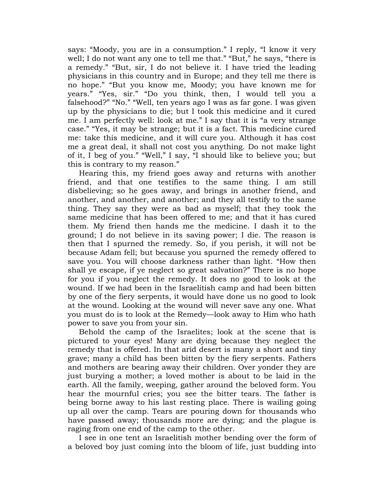says: "Moody, you are in a consumption." I reply, "I know it very well; I do not want any one to tell me that." "But," he says, "there is a remedy." "But, sir, I do not believe it. I have tried the leading physicians in this country and in Europe; and they tell me there is no hope." "But you know me, Moody; you have known me for years." "Yes, sir." "Do you think, then, I would tell you a falsehood?" "No." "Well, ten years ago I was as far gone. I was given up by the physicians to die; but I took this medicine and it cured me. I am perfectly well: look at me." I say that it is "a very strange case." "Yes, it may be strange; but it is a fact. This medicine cured me: take this medicine, and it will cure you. Although it has cost me a great deal, it shall not cost you anything. Do not make light of it, I beg of you." "Well," I say, "I should like to believe you; but this is contrary to my reason."

Hearing this, my friend goes away and returns with another friend, and that one testifies to the same thing. I am still disbelieving; so he goes away, and brings in another friend, and another, and another, and another; and they all testify to the same thing. They say they were as bad as myself; that they took the same medicine that has been offered to me; and that it has cured them. My friend then hands me the medicine. I dash it to the ground; I do not believe in its saving power; I die. The reason is then that I spurned the remedy. So, if you perish, it will not be because Adam fell; but because you spurned the remedy offered to save you. You will choose darkness rather than light. "How then shall ye escape, if ye neglect so great salvation?" There is no hope for you if you neglect the remedy. It does no good to look at the wound. If we had been in the Israelitish camp and had been bitten by one of the fiery serpents, it would have done us no good to look at the wound. Looking at the wound will never save any one. What you must do is to look at the Remedy—look away to Him who hath power to save you from your sin.

Behold the camp of the Israelites; look at the scene that is pictured to your eyes! Many are dying because they neglect the remedy that is offered. In that arid desert is many a short and tiny grave; many a child has been bitten by the fiery serpents. Fathers and mothers are bearing away their children. Over yonder they are just burying a mother; a loved mother is about to be laid in the earth. All the family, weeping, gather around the beloved form. You hear the mournful cries; you see the bitter tears. The father is being borne away to his last resting place. There is wailing going up all over the camp. Tears are pouring down for thousands who have passed away; thousands more are dying; and the plague is raging from one end of the camp to the other.

I see in one tent an Israelitish mother bending over the form of a beloved boy just coming into the bloom of life, just budding into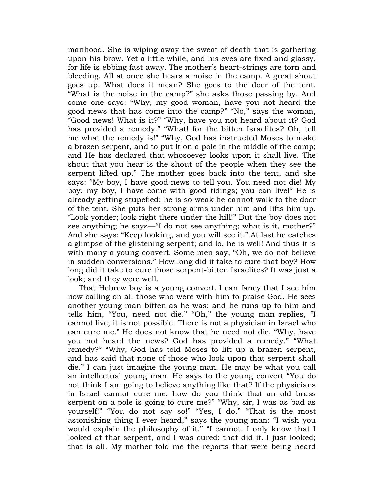manhood. She is wiping away the sweat of death that is gathering upon his brow. Yet a little while, and his eyes are fixed and glassy, for life is ebbing fast away. The mother's heart-strings are torn and bleeding. All at once she hears a noise in the camp. A great shout goes up. What does it mean? She goes to the door of the tent. "What is the noise in the camp?" she asks those passing by. And some one says: "Why, my good woman, have you not heard the good news that has come into the camp?" "No," says the woman, "Good news! What is it?" "Why, have you not heard about it? God has provided a remedy." "What! for the bitten Israelites? Oh, tell me what the remedy is!" "Why, God has instructed Moses to make a brazen serpent, and to put it on a pole in the middle of the camp; and He has declared that whosoever looks upon it shall live. The shout that you hear is the shout of the people when they see the serpent lifted up." The mother goes back into the tent, and she says: "My boy, I have good news to tell you. You need not die! My boy, my boy, I have come with good tidings; you can live!" He is already getting stupefied; he is so weak he cannot walk to the door of the tent. She puts her strong arms under him and lifts him up. "Look yonder; look right there under the hill!" But the boy does not see anything; he says—"I do not see anything; what is it, mother?" And she says: "Keep looking, and you will see it." At last he catches a glimpse of the glistening serpent; and lo, he is well! And thus it is with many a young convert. Some men say, "Oh, we do not believe in sudden conversions." How long did it take to cure that boy? How long did it take to cure those serpent-bitten Israelites? It was just a look; and they were well.

That Hebrew boy is a young convert. I can fancy that I see him now calling on all those who were with him to praise God. He sees another young man bitten as he was; and he runs up to him and tells him, "You, need not die." "Oh," the young man replies, "I cannot live; it is not possible. There is not a physician in Israel who can cure me." He does not know that he need not die. "Why, have you not heard the news? God has provided a remedy." "What remedy?" "Why, God has told Moses to lift up a brazen serpent, and has said that none of those who look upon that serpent shall die." I can just imagine the young man. He may be what you call an intellectual young man. He says to the young convert "You do not think I am going to believe anything like that? If the physicians in Israel cannot cure me, how do you think that an old brass serpent on a pole is going to cure me?" "Why, sir, I was as bad as yourself!" "You do not say so!" "Yes, I do." "That is the most astonishing thing I ever heard," says the young man: "I wish you would explain the philosophy of it." "I cannot. I only know that I looked at that serpent, and I was cured: that did it. I just looked; that is all. My mother told me the reports that were being heard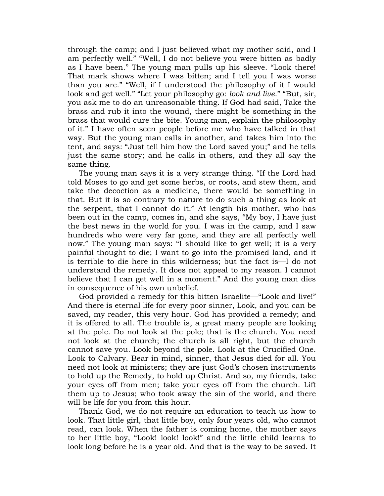through the camp; and I just believed what my mother said, and I am perfectly well." "Well, I do not believe you were bitten as badly as I have been." The young man pulls up his sleeve. "Look there! That mark shows where I was bitten; and I tell you I was worse than you are." "Well, if I understood the philosophy of it I would look and get well." "Let your philosophy go: *look and live*." "But, sir, you ask me to do an unreasonable thing. If God had said, Take the brass and rub it into the wound, there might be something in the brass that would cure the bite. Young man, explain the philosophy of it." I have often seen people before me who have talked in that way. But the young man calls in another, and takes him into the tent, and says: "Just tell him how the Lord saved you;" and he tells just the same story; and he calls in others, and they all say the same thing.

The young man says it is a very strange thing. "If the Lord had told Moses to go and get some herbs, or roots, and stew them, and take the decoction as a medicine, there would be something in that. But it is so contrary to nature to do such a thing as look at the serpent, that I cannot do it." At length his mother, who has been out in the camp, comes in, and she says, "My boy, I have just the best news in the world for you. I was in the camp, and I saw hundreds who were very far gone, and they are all perfectly well now." The young man says: "I should like to get well; it is a very painful thought to die; I want to go into the promised land, and it is terrible to die here in this wilderness; but the fact is—I do not understand the remedy. It does not appeal to my reason. I cannot believe that I can get well in a moment." And the young man dies in consequence of his own unbelief.

God provided a remedy for this bitten Israelite—"Look and live!" And there is eternal life for every poor sinner, Look, and you can be saved, my reader, this very hour. God has provided a remedy; and it is offered to all. The trouble is, a great many people are looking at the pole. Do not look at the pole; that is the church. You need not look at the church; the church is all right, but the church cannot save you. Look beyond the pole. Look at the Crucified One. Look to Calvary. Bear in mind, sinner, that Jesus died for all. You need not look at ministers; they are just God's chosen instruments to hold up the Remedy, to hold up Christ. And so, my friends, take your eyes off from men; take your eyes off from the church. Lift them up to Jesus; who took away the sin of the world, and there will be life for you from this hour.

Thank God, we do not require an education to teach us how to look. That little girl, that little boy, only four years old, who cannot read, can look. When the father is coming home, the mother says to her little boy, "Look! look! look!" and the little child learns to look long before he is a year old. And that is the way to be saved. It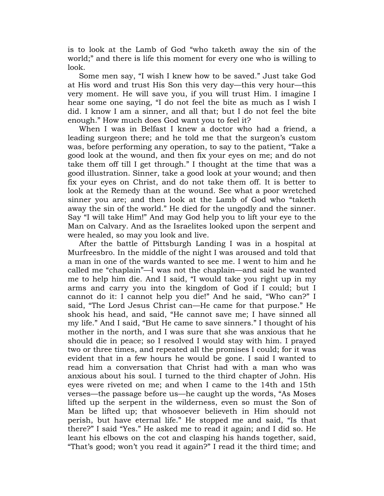is to look at the Lamb of God "who taketh away the sin of the world;" and there is life this moment for every one who is willing to look.

Some men say, "I wish I knew how to be saved." Just take God at His word and trust His Son this very day—this very hour—this very moment. He will save you, if you will trust Him. I imagine I hear some one saying, "I do not feel the bite as much as I wish I did. I know I am a sinner, and all that; but I do not feel the bite enough." How much does God want you to feel it?

When I was in Belfast I knew a doctor who had a friend, a leading surgeon there; and he told me that the surgeon"s custom was, before performing any operation, to say to the patient, "Take a good look at the wound, and then fix your eyes on me; and do not take them off till I get through." I thought at the time that was a good illustration. Sinner, take a good look at your wound; and then fix your eyes on Christ, and do not take them off. It is better to look at the Remedy than at the wound. See what a poor wretched sinner you are; and then look at the Lamb of God who "taketh away the sin of the world." He died for the ungodly and the sinner. Say "I will take Him!" And may God help you to lift your eye to the Man on Calvary. And as the Israelites looked upon the serpent and were healed, so may you look and live.

After the battle of Pittsburgh Landing I was in a hospital at Murfreesbro. In the middle of the night I was aroused and told that a man in one of the wards wanted to see me. I went to him and he called me "chaplain"—I was not the chaplain—and said he wanted me to help him die. And I said, "I would take you right up in my arms and carry you into the kingdom of God if I could; but I cannot do it: I cannot help you die!" And he said, "Who can?" I said, "The Lord Jesus Christ can—He came for that purpose." He shook his head, and said, "He cannot save me; I have sinned all my life." And I said, "But He came to save sinners." I thought of his mother in the north, and I was sure that she was anxious that he should die in peace; so I resolved I would stay with him. I prayed two or three times, and repeated all the promises I could; for it was evident that in a few hours he would be gone. I said I wanted to read him a conversation that Christ had with a man who was anxious about his soul. I turned to the third chapter of John. His eyes were riveted on me; and when I came to the 14th and 15th verses—the passage before us—he caught up the words, "As Moses lifted up the serpent in the wilderness, even so must the Son of Man be lifted up; that whosoever believeth in Him should not perish, but have eternal life." He stopped me and said, "Is that there?" I said "Yes." He asked me to read it again; and I did so. He leant his elbows on the cot and clasping his hands together, said, "That's good; won't you read it again?" I read it the third time; and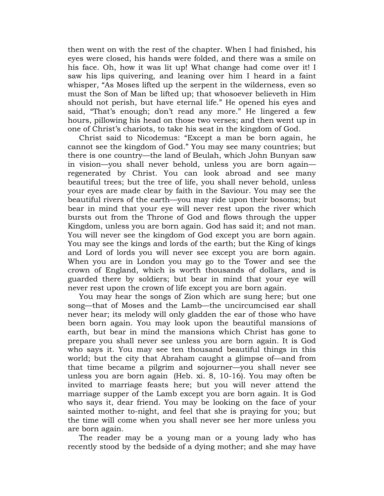then went on with the rest of the chapter. When I had finished, his eyes were closed, his hands were folded, and there was a smile on his face. Oh, how it was lit up! What change had come over it! I saw his lips quivering, and leaning over him I heard in a faint whisper, "As Moses lifted up the serpent in the wilderness, even so must the Son of Man be lifted up; that whosoever believeth in Him should not perish, but have eternal life." He opened his eyes and said, "That's enough; don't read any more." He lingered a few hours, pillowing his head on those two verses; and then went up in one of Christ"s chariots, to take his seat in the kingdom of God.

Christ said to Nicodemus: "Except a man be born again, he cannot see the kingdom of God." You may see many countries; but there is one country—the land of Beulah, which John Bunyan saw in vision—you shall never behold, unless you are born again regenerated by Christ. You can look abroad and see many beautiful trees; but the tree of life, you shall never behold, unless your eyes are made clear by faith in the Saviour. You may see the beautiful rivers of the earth—you may ride upon their bosoms; but bear in mind that your eye will never rest upon the river which bursts out from the Throne of God and flows through the upper Kingdom, unless you are born again. God has said it; and not man. You will never see the kingdom of God except you are born again. You may see the kings and lords of the earth; but the King of kings and Lord of lords you will never see except you are born again. When you are in London you may go to the Tower and see the crown of England, which is worth thousands of dollars, and is guarded there by soldiers; but bear in mind that your eye will never rest upon the crown of life except you are born again.

You may hear the songs of Zion which are sung here; but one song—that of Moses and the Lamb—the uncircumcised ear shall never hear; its melody will only gladden the ear of those who have been born again. You may look upon the beautiful mansions of earth, but bear in mind the mansions which Christ has gone to prepare you shall never see unless you are born again. It is God who says it. You may see ten thousand beautiful things in this world; but the city that Abraham caught a glimpse of—and from that time became a pilgrim and sojourner—you shall never see unless you are born again (Heb. xi. 8, 10-16). You may often be invited to marriage feasts here; but you will never attend the marriage supper of the Lamb except you are born again. It is God who says it, dear friend. You may be looking on the face of your sainted mother to-night, and feel that she is praying for you; but the time will come when you shall never see her more unless you are born again.

The reader may be a young man or a young lady who has recently stood by the bedside of a dying mother; and she may have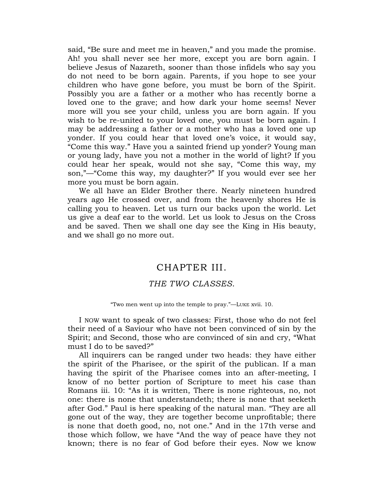said, "Be sure and meet me in heaven," and you made the promise. Ah! you shall never see her more, except you are born again. I believe Jesus of Nazareth, sooner than those infidels who say you do not need to be born again. Parents, if you hope to see your children who have gone before, you must be born of the Spirit. Possibly you are a father or a mother who has recently borne a loved one to the grave; and how dark your home seems! Never more will you see your child, unless you are born again. If you wish to be re-united to your loved one, you must be born again. I may be addressing a father or a mother who has a loved one up yonder. If you could hear that loved one's voice, it would say, "Come this way." Have you a sainted friend up yonder? Young man or young lady, have you not a mother in the world of light? If you could hear her speak, would not she say, "Come this way, my son,"—"Come this way, my daughter?" If you would ever see her more you must be born again.

<span id="page-25-0"></span>We all have an Elder Brother there. Nearly nineteen hundred years ago He crossed over, and from the heavenly shores He is calling you to heaven. Let us turn our backs upon the world. Let us give a deaf ear to the world. Let us look to Jesus on the Cross and be saved. Then we shall one day see the King in His beauty, and we shall go no more out.

#### CHAPTER III.

#### *THE TWO CLASSES*.

"Two men went up into the temple to pray."—LUKE xvii. 10.

I NOW want to speak of two classes: First, those who do not feel their need of a Saviour who have not been convinced of sin by the Spirit; and Second, those who are convinced of sin and cry, "What must I do to be saved?"

All inquirers can be ranged under two heads: they have either the spirit of the Pharisee, or the spirit of the publican. If a man having the spirit of the Pharisee comes into an after-meeting, I know of no better portion of Scripture to meet his case than Romans iii. 10: "As it is written, There is none righteous, no, not one: there is none that understandeth; there is none that seeketh after God." Paul is here speaking of the natural man. "They are all gone out of the way, they are together become unprofitable; there is none that doeth good, no, not one." And in the 17th verse and those which follow, we have "And the way of peace have they not known; there is no fear of God before their eyes. Now we know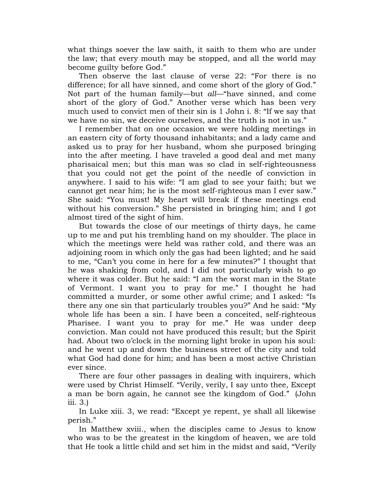what things soever the law saith, it saith to them who are under the law; that every mouth may be stopped, and all the world may become guilty before God."

Then observe the last clause of verse 22: "For there is no difference; for all have sinned, and come short of the glory of God." Not part of the human family—but *all*—"have sinned, and come short of the glory of God." Another verse which has been very much used to convict men of their sin is 1 John i. 8: "If we say that we have no sin, we deceive ourselves, and the truth is not in us."

I remember that on one occasion we were holding meetings in an eastern city of forty thousand inhabitants; and a lady came and asked us to pray for her husband, whom she purposed bringing into the after meeting. I have traveled a good deal and met many pharisaical men; but this man was so clad in self-righteousness that you could not get the point of the needle of conviction in anywhere. I said to his wife: "I am glad to see your faith; but we cannot get near him; he is the most self-righteous man I ever saw." She said: "You must! My heart will break if these meetings end without his conversion." She persisted in bringing him; and I got almost tired of the sight of him.

But towards the close of our meetings of thirty days, he came up to me and put his trembling hand on my shoulder. The place in which the meetings were held was rather cold, and there was an adjoining room in which only the gas had been lighted; and he said to me, "Can"t you come in here for a few minutes?" I thought that he was shaking from cold, and I did not particularly wish to go where it was colder. But he said: "I am the worst man in the State of Vermont. I want you to pray for me." I thought he had committed a murder, or some other awful crime; and I asked: "Is there any one sin that particularly troubles you?" And he said: "My whole life has been a sin. I have been a conceited, self-righteous Pharisee. I want you to pray for me." He was under deep conviction. Man could not have produced this result; but the Spirit had. About two o'clock in the morning light broke in upon his soul: and he went up and down the business street of the city and told what God had done for him; and has been a most active Christian ever since.

There are four other passages in dealing with inquirers, which were used by Christ Himself. "Verily, verily, I say unto thee, Except a man be born again, he cannot see the kingdom of God." (John iii. 3.)

In Luke xiii. 3, we read: "Except ye repent, ye shall all likewise perish."

In Matthew xviii., when the disciples came to Jesus to know who was to be the greatest in the kingdom of heaven, we are told that He took a little child and set him in the midst and said, "Verily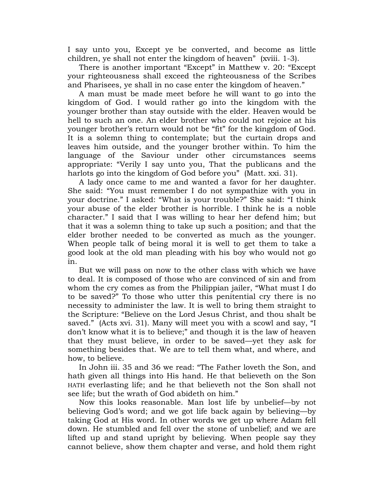I say unto you, Except ye be converted, and become as little children, ye shall not enter the kingdom of heaven" (xviii. 1-3).

There is another important "Except" in Matthew v. 20: "Except your righteousness shall exceed the righteousness of the Scribes and Pharisees, ye shall in no case enter the kingdom of heaven."

A man must be made meet before he will want to go into the kingdom of God. I would rather go into the kingdom with the younger brother than stay outside with the elder. Heaven would be hell to such an one. An elder brother who could not rejoice at his younger brother"s return would not be "fit" for the kingdom of God. It is a solemn thing to contemplate; but the curtain drops and leaves him outside, and the younger brother within. To him the language of the Saviour under other circumstances seems appropriate: "Verily I say unto you, That the publicans and the harlots go into the kingdom of God before you" (Matt. xxi. 31).

A lady once came to me and wanted a favor for her daughter. She said: "You must remember I do not sympathize with you in your doctrine." I asked: "What is your trouble?" She said: "I think your abuse of the elder brother is horrible. I think he is a noble character." I said that I was willing to hear her defend him; but that it was a solemn thing to take up such a position; and that the elder brother needed to be converted as much as the younger. When people talk of being moral it is well to get them to take a good look at the old man pleading with his boy who would not go in.

But we will pass on now to the other class with which we have to deal. It is composed of those who are convinced of sin and from whom the cry comes as from the Philippian jailer, "What must I do to be saved?" To those who utter this penitential cry there is no necessity to administer the law. It is well to bring them straight to the Scripture: "Believe on the Lord Jesus Christ, and thou shalt be saved." (Acts xvi. 31). Many will meet you with a scowl and say, "I don"t know what it is to believe;" and though it is the law of heaven that they must believe, in order to be saved—yet they ask for something besides that. We are to tell them what, and where, and how, to believe.

In John iii. 35 and 36 we read: "The Father loveth the Son, and hath given all things into His hand. He that believeth on the Son HATH everlasting life; and he that believeth not the Son shall not see life; but the wrath of God abideth on him."

Now this looks reasonable. Man lost life by unbelief—by not believing God"s word; and we got life back again by believing—by taking God at His word. In other words we get up where Adam fell down. He stumbled and fell over the stone of unbelief; and we are lifted up and stand upright by believing. When people say they cannot believe, show them chapter and verse, and hold them right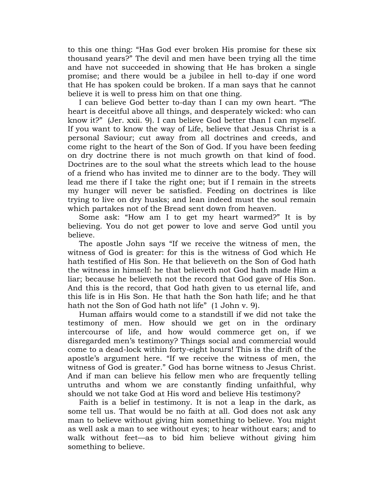to this one thing: "Has God ever broken His promise for these six thousand years?" The devil and men have been trying all the time and have not succeeded in showing that He has broken a single promise; and there would be a jubilee in hell to-day if one word that He has spoken could be broken. If a man says that he cannot believe it is well to press him on that one thing.

I can believe God better to-day than I can my own heart. "The heart is deceitful above all things, and desperately wicked: who can know it?" (Jer. xxii. 9). I can believe God better than I can myself. If you want to know the way of Life, believe that Jesus Christ is a personal Saviour; cut away from all doctrines and creeds, and come right to the heart of the Son of God. If you have been feeding on dry doctrine there is not much growth on that kind of food. Doctrines are to the soul what the streets which lead to the house of a friend who has invited me to dinner are to the body. They will lead me there if I take the right one; but if I remain in the streets my hunger will never be satisfied. Feeding on doctrines is like trying to live on dry husks; and lean indeed must the soul remain which partakes not of the Bread sent down from heaven.

Some ask: "How am I to get my heart warmed?" It is by believing. You do not get power to love and serve God until you believe.

The apostle John says "If we receive the witness of men, the witness of God is greater: for this is the witness of God which He hath testified of His Son. He that believeth on the Son of God hath the witness in himself: he that believeth not God hath made Him a liar; because he believeth not the record that God gave of His Son. And this is the record, that God hath given to us eternal life, and this life is in His Son. He that hath the Son hath life; and he that hath not the Son of God hath not life" (1 John v. 9).

Human affairs would come to a standstill if we did not take the testimony of men. How should we get on in the ordinary intercourse of life, and how would commerce get on, if we disregarded men's testimony? Things social and commercial would come to a dead-lock within forty-eight hours! This is the drift of the apostle"s argument here. "If we receive the witness of men, the witness of God is greater." God has borne witness to Jesus Christ. And if man can believe his fellow men who are frequently telling untruths and whom we are constantly finding unfaithful, why should we not take God at His word and believe His testimony?

Faith is a belief in testimony. It is not a leap in the dark, as some tell us. That would be no faith at all. God does not ask any man to believe without giving him something to believe. You might as well ask a man to see without eyes; to hear without ears; and to walk without feet—as to bid him believe without giving him something to believe.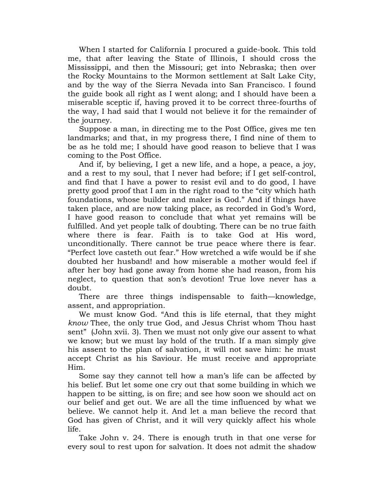When I started for California I procured a guide-book. This told me, that after leaving the State of Illinois, I should cross the Mississippi, and then the Missouri; get into Nebraska; then over the Rocky Mountains to the Mormon settlement at Salt Lake City, and by the way of the Sierra Nevada into San Francisco. I found the guide book all right as I went along; and I should have been a miserable sceptic if, having proved it to be correct three-fourths of the way, I had said that I would not believe it for the remainder of the journey.

Suppose a man, in directing me to the Post Office, gives me ten landmarks; and that, in my progress there, I find nine of them to be as he told me; I should have good reason to believe that I was coming to the Post Office.

And if, by believing, I get a new life, and a hope, a peace, a joy, and a rest to my soul, that I never had before; if I get self-control, and find that I have a power to resist evil and to do good, I have pretty good proof that I am in the right road to the "city which hath foundations, whose builder and maker is God." And if things have taken place, and are now taking place, as recorded in God"s Word, I have good reason to conclude that what yet remains will be fulfilled. And yet people talk of doubting. There can be no true faith where there is fear. Faith is to take God at His word, unconditionally. There cannot be true peace where there is fear. "Perfect love casteth out fear." How wretched a wife would be if she doubted her husband! and how miserable a mother would feel if after her boy had gone away from home she had reason, from his neglect, to question that son's devotion! True love never has a doubt.

There are three things indispensable to faith—knowledge, assent, and appropriation.

We must know God. "And this is life eternal, that they might *know* Thee, the only true God, and Jesus Christ whom Thou hast sent" (John xvii. 3). Then we must not only give our assent to what we know; but we must lay hold of the truth. If a man simply give his assent to the plan of salvation, it will not save him: he must accept Christ as his Saviour. He must receive and appropriate Him.

Some say they cannot tell how a man's life can be affected by his belief. But let some one cry out that some building in which we happen to be sitting, is on fire; and see how soon we should act on our belief and get out. We are all the time influenced by what we believe. We cannot help it. And let a man believe the record that God has given of Christ, and it will very quickly affect his whole life.

Take John v. 24. There is enough truth in that one verse for every soul to rest upon for salvation. It does not admit the shadow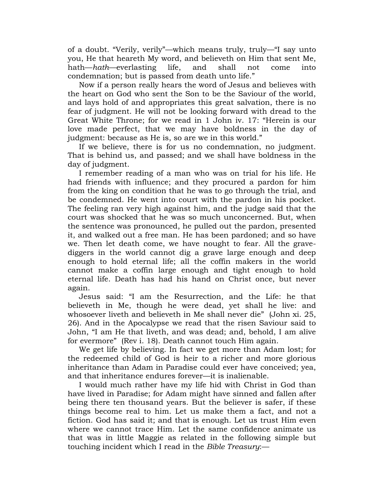of a doubt. "Verily, verily"—which means truly, truly—"I say unto you, He that heareth My word, and believeth on Him that sent Me, hath—*hath*—everlasting life, and shall not come into condemnation; but is passed from death unto life."

Now if a person really hears the word of Jesus and believes with the heart on God who sent the Son to be the Saviour of the world, and lays hold of and appropriates this great salvation, there is no fear of judgment. He will not be looking forward with dread to the Great White Throne; for we read in 1 John iv. 17: "Herein is our love made perfect, that we may have boldness in the day of judgment: because as He is, so are we in this world."

If we believe, there is for us no condemnation, no judgment. That is behind us, and passed; and we shall have boldness in the day of judgment.

I remember reading of a man who was on trial for his life. He had friends with influence; and they procured a pardon for him from the king on condition that he was to go through the trial, and be condemned. He went into court with the pardon in his pocket. The feeling ran very high against him, and the judge said that the court was shocked that he was so much unconcerned. But, when the sentence was pronounced, he pulled out the pardon, presented it, and walked out a free man. He has been pardoned; and so have we. Then let death come, we have nought to fear. All the gravediggers in the world cannot dig a grave large enough and deep enough to hold eternal life; all the coffin makers in the world cannot make a coffin large enough and tight enough to hold eternal life. Death has had his hand on Christ once, but never again.

Jesus said: "I am the Resurrection, and the Life: he that believeth in Me, though he were dead, yet shall he live: and whosoever liveth and believeth in Me shall never die" (John xi. 25, 26). And in the Apocalypse we read that the risen Saviour said to John, "I am He that liveth, and was dead; and, behold, I am alive for evermore" (Rev i. 18). Death cannot touch Him again.

We get life by believing. In fact we get more than Adam lost; for the redeemed child of God is heir to a richer and more glorious inheritance than Adam in Paradise could ever have conceived; yea, and that inheritance endures forever—it is inalienable.

I would much rather have my life hid with Christ in God than have lived in Paradise; for Adam might have sinned and fallen after being there ten thousand years. But the believer is safer, if these things become real to him. Let us make them a fact, and not a fiction. God has said it; and that is enough. Let us trust Him even where we cannot trace Him. Let the same confidence animate us that was in little Maggie as related in the following simple but touching incident which I read in the *Bible Treasury*:—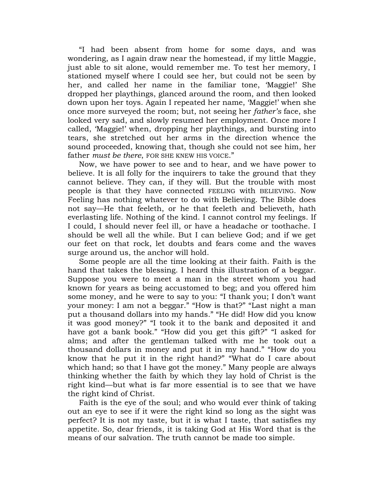"I had been absent from home for some days, and was wondering, as I again draw near the homestead, if my little Maggie, just able to sit alone, would remember me. To test her memory, I stationed myself where I could see her, but could not be seen by her, and called her name in the familiar tone, "Maggie!" She dropped her playthings, glanced around the room, and then looked down upon her toys. Again I repeated her name, "Maggie!" when she once more surveyed the room; but, not seeing her *father's* face, she looked very sad, and slowly resumed her employment. Once more I called, "Maggie!" when, dropping her playthings, and bursting into tears, she stretched out her arms in the direction whence the sound proceeded, knowing that, though she could not see him, her father *must be there*, FOR SHE KNEW HIS VOICE."

Now, we have power to see and to hear, and we have power to believe. It is all folly for the inquirers to take the ground that they cannot believe. They can, if they will. But the trouble with most people is that they have connected FEELING with BELIEVING. Now Feeling has nothing whatever to do with Believing. The Bible does not say—He that feeleth, or he that feeleth and believeth, hath everlasting life. Nothing of the kind. I cannot control my feelings. If I could, I should never feel ill, or have a headache or toothache. I should be well all the while. But I can believe God; and if we get our feet on that rock, let doubts and fears come and the waves surge around us, the anchor will hold.

Some people are all the time looking at their faith. Faith is the hand that takes the blessing. I heard this illustration of a beggar. Suppose you were to meet a man in the street whom you had known for years as being accustomed to beg; and you offered him some money, and he were to say to you: "I thank you; I don"t want your money: I am not a beggar." "How is that?" "Last night a man put a thousand dollars into my hands." "He did! How did you know it was good money?" "I took it to the bank and deposited it and have got a bank book." "How did you get this gift?" "I asked for alms; and after the gentleman talked with me he took out a thousand dollars in money and put it in my hand." "How do you know that he put it in the right hand?" "What do I care about which hand; so that I have got the money." Many people are always thinking whether the faith by which they lay hold of Christ is the right kind—but what is far more essential is to see that we have the right kind of Christ.

Faith is the eye of the soul; and who would ever think of taking out an eye to see if it were the right kind so long as the sight was perfect? It is not my taste, but it is what I taste, that satisfies my appetite. So, dear friends, it is taking God at His Word that is the means of our salvation. The truth cannot be made too simple.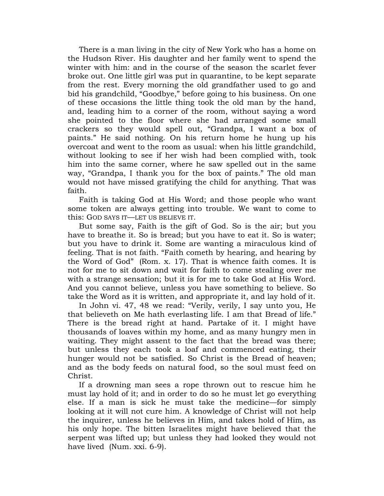There is a man living in the city of New York who has a home on the Hudson River. His daughter and her family went to spend the winter with him: and in the course of the season the scarlet fever broke out. One little girl was put in quarantine, to be kept separate from the rest. Every morning the old grandfather used to go and bid his grandchild, "Goodbye," before going to his business. On one of these occasions the little thing took the old man by the hand, and, leading him to a corner of the room, without saying a word she pointed to the floor where she had arranged some small crackers so they would spell out, "Grandpa, I want a box of paints." He said nothing. On his return home he hung up his overcoat and went to the room as usual: when his little grandchild, without looking to see if her wish had been complied with, took him into the same corner, where he saw spelled out in the same way, "Grandpa, I thank you for the box of paints." The old man would not have missed gratifying the child for anything. That was faith.

Faith is taking God at His Word; and those people who want some token are always getting into trouble. We want to come to this: GOD SAYS IT—LET US BELIEVE IT.

But some say, Faith is the gift of God. So is the air; but you have to breathe it. So is bread; but you have to eat it. So is water; but you have to drink it. Some are wanting a miraculous kind of feeling. That is not faith. "Faith cometh by hearing, and hearing by the Word of God" (Rom. x. 17). That is whence faith comes. It is not for me to sit down and wait for faith to come stealing over me with a strange sensation; but it is for me to take God at His Word. And you cannot believe, unless you have something to believe. So take the Word as it is written, and appropriate it, and lay hold of it.

In John vi. 47, 48 we read: "Verily, verily, I say unto you, He that believeth on Me hath everlasting life. I am that Bread of life." There is the bread right at hand. Partake of it. I might have thousands of loaves within my home, and as many hungry men in waiting. They might assent to the fact that the bread was there; but unless they each took a loaf and commenced eating, their hunger would not be satisfied. So Christ is the Bread of heaven; and as the body feeds on natural food, so the soul must feed on Christ.

If a drowning man sees a rope thrown out to rescue him he must lay hold of it; and in order to do so he must let go everything else. If a man is sick he must take the medicine—for simply looking at it will not cure him. A knowledge of Christ will not help the inquirer, unless he believes in Him, and takes hold of Him, as his only hope. The bitten Israelites might have believed that the serpent was lifted up; but unless they had looked they would not have lived (Num. xxi. 6-9).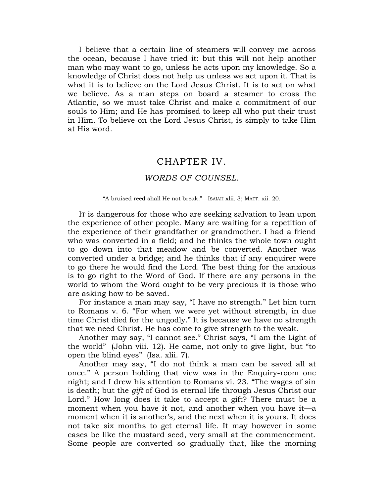I believe that a certain line of steamers will convey me across the ocean, because I have tried it: but this will not help another man who may want to go, unless he acts upon my knowledge. So a knowledge of Christ does not help us unless we act upon it. That is what it is to believe on the Lord Jesus Christ. It is to act on what we believe. As a man steps on board a steamer to cross the Atlantic, so we must take Christ and make a commitment of our souls to Him; and He has promised to keep all who put their trust in Him. To believe on the Lord Jesus Christ, is simply to take Him at His word.

#### CHAPTER IV.

#### *WORDS OF COUNSEL*.

#### "A bruised reed shall He not break."—ISAIAH xlii. 3; MATT. xii. 20.

<span id="page-33-0"></span>IT is dangerous for those who are seeking salvation to lean upon the experience of other people. Many are waiting for a repetition of the experience of their grandfather or grandmother. I had a friend who was converted in a field; and he thinks the whole town ought to go down into that meadow and be converted. Another was converted under a bridge; and he thinks that if any enquirer were to go there he would find the Lord. The best thing for the anxious is to go right to the Word of God. If there are any persons in the world to whom the Word ought to be very precious it is those who are asking how to be saved.

For instance a man may say, "I have no strength." Let him turn to Romans v. 6. "For when we were yet without strength, in due time Christ died for the ungodly." It is because we have no strength that we need Christ. He has come to give strength to the weak.

Another may say, "I cannot see." Christ says, "I am the Light of the world" (John viii. 12). He came, not only to give light, but "to open the blind eyes" (Isa. xlii. 7).

Another may say, "I do not think a man can be saved all at once." A person holding that view was in the Enquiry-room one night; and I drew his attention to Romans vi. 23. "The wages of sin is death; but the *gift* of God is eternal life through Jesus Christ our Lord." How long does it take to accept a gift? There must be a moment when you have it not, and another when you have it—a moment when it is another's, and the next when it is yours. It does not take six months to get eternal life. It may however in some cases be like the mustard seed, very small at the commencement. Some people are converted so gradually that, like the morning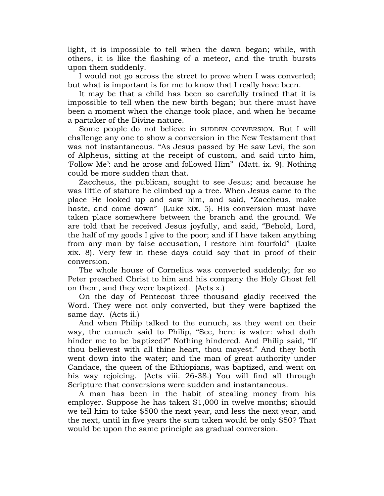light, it is impossible to tell when the dawn began; while, with others, it is like the flashing of a meteor, and the truth bursts upon them suddenly.

I would not go across the street to prove when I was converted; but what is important is for me to know that I really have been.

It may be that a child has been so carefully trained that it is impossible to tell when the new birth began; but there must have been a moment when the change took place, and when he became a partaker of the Divine nature.

Some people do not believe in SUDDEN CONVERSION. But I will challenge any one to show a conversion in the New Testament that was not instantaneous. "As Jesus passed by He saw Levi, the son of Alpheus, sitting at the receipt of custom, and said unto him, "Follow Me": and he arose and followed Him" (Matt. ix. 9). Nothing could be more sudden than that.

Zaccheus, the publican, sought to see Jesus; and because he was little of stature he climbed up a tree. When Jesus came to the place He looked up and saw him, and said, "Zaccheus, make haste, and come down" (Luke xix. 5). His conversion must have taken place somewhere between the branch and the ground. We are told that he received Jesus joyfully, and said, "Behold, Lord, the half of my goods I give to the poor; and if I have taken anything from any man by false accusation, I restore him fourfold" (Luke xix. 8). Very few in these days could say that in proof of their conversion.

The whole house of Cornelius was converted suddenly; for so Peter preached Christ to him and his company the Holy Ghost fell on them, and they were baptized. (Acts x.)

On the day of Pentecost three thousand gladly received the Word. They were not only converted, but they were baptized the same day. (Acts ii.)

And when Philip talked to the eunuch, as they went on their way, the eunuch said to Philip, "See, here is water: what doth hinder me to be baptized?" Nothing hindered. And Philip said, "If thou believest with all thine heart, thou mayest." And they both went down into the water; and the man of great authority under Candace, the queen of the Ethiopians, was baptized, and went on his way rejoicing. (Acts viii. 26-38.) You will find all through Scripture that conversions were sudden and instantaneous.

A man has been in the habit of stealing money from his employer. Suppose he has taken \$1,000 in twelve months; should we tell him to take \$500 the next year, and less the next year, and the next, until in five years the sum taken would be only \$50? That would be upon the same principle as gradual conversion.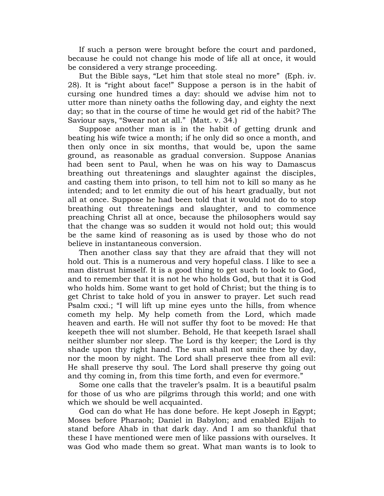If such a person were brought before the court and pardoned, because he could not change his mode of life all at once, it would be considered a very strange proceeding.

But the Bible says, "Let him that stole steal no more" (Eph. iv. 28). It is "right about face!" Suppose a person is in the habit of cursing one hundred times a day: should we advise him not to utter more than ninety oaths the following day, and eighty the next day; so that in the course of time he would get rid of the habit? The Saviour says, "Swear not at all." (Matt. v. 34.)

Suppose another man is in the habit of getting drunk and beating his wife twice a month; if he only did so once a month, and then only once in six months, that would be, upon the same ground, as reasonable as gradual conversion. Suppose Ananias had been sent to Paul, when he was on his way to Damascus breathing out threatenings and slaughter against the disciples, and casting them into prison, to tell him not to kill so many as he intended; and to let enmity die out of his heart gradually, but not all at once. Suppose he had been told that it would not do to stop breathing out threatenings and slaughter, and to commence preaching Christ all at once, because the philosophers would say that the change was so sudden it would not hold out; this would be the same kind of reasoning as is used by those who do not believe in instantaneous conversion.

Then another class say that they are afraid that they will not hold out. This is a numerous and very hopeful class. I like to see a man distrust himself. It is a good thing to get such to look to God, and to remember that it is not he who holds God, but that it is God who holds him. Some want to get hold of Christ; but the thing is to get Christ to take hold of you in answer to prayer. Let such read Psalm cxxi.; "I will lift up mine eyes unto the hills, from whence cometh my help. My help cometh from the Lord, which made heaven and earth. He will not suffer thy foot to be moved: He that keepeth thee will not slumber. Behold, He that keepeth Israel shall neither slumber nor sleep. The Lord is thy keeper; the Lord is thy shade upon thy right hand. The sun shall not smite thee by day, nor the moon by night. The Lord shall preserve thee from all evil: He shall preserve thy soul. The Lord shall preserve thy going out and thy coming in, from this time forth, and even for evermore."

Some one calls that the traveler's psalm. It is a beautiful psalm for those of us who are pilgrims through this world; and one with which we should be well acquainted.

God can do what He has done before. He kept Joseph in Egypt; Moses before Pharaoh; Daniel in Babylon; and enabled Elijah to stand before Ahab in that dark day. And I am so thankful that these I have mentioned were men of like passions with ourselves. It was God who made them so great. What man wants is to look to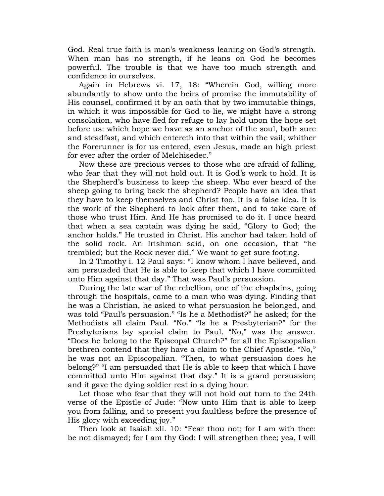God. Real true faith is man's weakness leaning on God's strength. When man has no strength, if he leans on God he becomes powerful. The trouble is that we have too much strength and confidence in ourselves.

Again in Hebrews vi. 17, 18: "Wherein God, willing more abundantly to show unto the heirs of promise the immutability of His counsel, confirmed it by an oath that by two immutable things, in which it was impossible for God to lie, we might have a strong consolation, who have fled for refuge to lay hold upon the hope set before us: which hope we have as an anchor of the soul, both sure and steadfast, and which entereth into that within the vail; whither the Forerunner is for us entered, even Jesus, made an high priest for ever after the order of Melchisedec."

Now these are precious verses to those who are afraid of falling, who fear that they will not hold out. It is God's work to hold. It is the Shepherd"s business to keep the sheep. Who ever heard of the sheep going to bring back the shepherd? People have an idea that they have to keep themselves and Christ too. It is a false idea. It is the work of the Shepherd to look after them, and to take care of those who trust Him. And He has promised to do it. I once heard that when a sea captain was dying he said, "Glory to God; the anchor holds." He trusted in Christ. His anchor had taken hold of the solid rock. An Irishman said, on one occasion, that "he trembled; but the Rock never did." We want to get sure footing.

In 2 Timothy i. 12 Paul says: "I know whom I have believed, and am persuaded that He is able to keep that which I have committed unto Him against that day." That was Paul"s persuasion.

During the late war of the rebellion, one of the chaplains, going through the hospitals, came to a man who was dying. Finding that he was a Christian, he asked to what persuasion he belonged, and was told "Paul"s persuasion." "Is he a Methodist?" he asked; for the Methodists all claim Paul. "No." "Is he a Presbyterian?" for the Presbyterians lay special claim to Paul. "No," was the answer. "Does he belong to the Episcopal Church?" for all the Episcopalian brethren contend that they have a claim to the Chief Apostle. "No," he was not an Episcopalian. "Then, to what persuasion does he belong?" "I am persuaded that He is able to keep that which I have committed unto Him against that day." It is a grand persuasion; and it gave the dying soldier rest in a dying hour.

Let those who fear that they will not hold out turn to the 24th verse of the Epistle of Jude: "Now unto Him that is able to keep you from falling, and to present you faultless before the presence of His glory with exceeding joy."

Then look at Isaiah xli. 10: "Fear thou not; for I am with thee: be not dismayed; for I am thy God: I will strengthen thee; yea, I will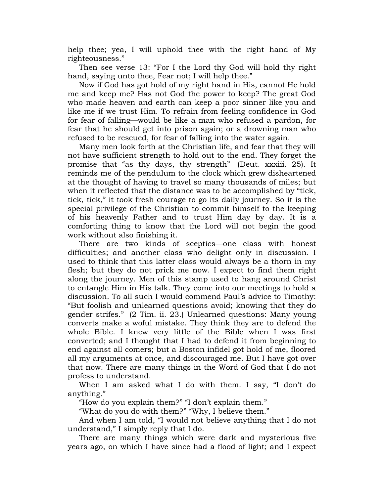help thee; yea, I will uphold thee with the right hand of My righteousness."

Then see verse 13: "For I the Lord thy God will hold thy right hand, saying unto thee, Fear not; I will help thee."

Now if God has got hold of my right hand in His, cannot He hold me and keep me? Has not God the power to keep? The great God who made heaven and earth can keep a poor sinner like you and like me if we trust Him. To refrain from feeling confidence in God for fear of falling—would be like a man who refused a pardon, for fear that he should get into prison again; or a drowning man who refused to be rescued, for fear of falling into the water again.

Many men look forth at the Christian life, and fear that they will not have sufficient strength to hold out to the end. They forget the promise that "as thy days, thy strength" (Deut. xxxiii. 25). It reminds me of the pendulum to the clock which grew disheartened at the thought of having to travel so many thousands of miles; but when it reflected that the distance was to be accomplished by "tick, tick, tick," it took fresh courage to go its daily journey. So it is the special privilege of the Christian to commit himself to the keeping of his heavenly Father and to trust Him day by day. It is a comforting thing to know that the Lord will not begin the good work without also finishing it.

There are two kinds of sceptics—one class with honest difficulties; and another class who delight only in discussion. I used to think that this latter class would always be a thorn in my flesh; but they do not prick me now. I expect to find them right along the journey. Men of this stamp used to hang around Christ to entangle Him in His talk. They come into our meetings to hold a discussion. To all such I would commend Paul"s advice to Timothy: "But foolish and unlearned questions avoid; knowing that they do gender strifes." (2 Tim. ii. 23.) Unlearned questions: Many young converts make a woful mistake. They think they are to defend the whole Bible. I knew very little of the Bible when I was first converted; and I thought that I had to defend it from beginning to end against all comers; but a Boston infidel got hold of me, floored all my arguments at once, and discouraged me. But I have got over that now. There are many things in the Word of God that I do not profess to understand.

When I am asked what I do with them. I say, "I don't do anything."

"How do you explain them?" "I don"t explain them."

"What do you do with them?" "Why, I believe them."

And when I am told, "I would not believe anything that I do not understand," I simply reply that I do.

There are many things which were dark and mysterious five years ago, on which I have since had a flood of light; and I expect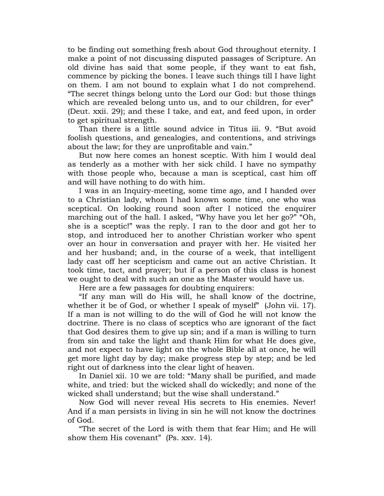to be finding out something fresh about God throughout eternity. I make a point of not discussing disputed passages of Scripture. An old divine has said that some people, if they want to eat fish, commence by picking the bones. I leave such things till I have light on them. I am not bound to explain what I do not comprehend. "The secret things belong unto the Lord our God: but those things which are revealed belong unto us, and to our children, for ever" (Deut. xxii. 29); and these I take, and eat, and feed upon, in order to get spiritual strength.

Than there is a little sound advice in Titus iii. 9. "But avoid foolish questions, and genealogies, and contentions, and strivings about the law; for they are unprofitable and vain."

But now here comes an honest sceptic. With him I would deal as tenderly as a mother with her sick child. I have no sympathy with those people who, because a man is sceptical, cast him off and will have nothing to do with him.

I was in an Inquiry-meeting, some time ago, and I handed over to a Christian lady, whom I had known some time, one who was sceptical. On looking round soon after I noticed the enquirer marching out of the hall. I asked, "Why have you let her go?" "Oh, she is a sceptic!" was the reply. I ran to the door and got her to stop, and introduced her to another Christian worker who spent over an hour in conversation and prayer with her. He visited her and her husband; and, in the course of a week, that intelligent lady cast off her scepticism and came out an active Christian. It took time, tact, and prayer; but if a person of this class is honest we ought to deal with such an one as the Master would have us.

Here are a few passages for doubting enquirers:

"If any man will do His will, he shall know of the doctrine, whether it be of God, or whether I speak of myself" (John vii. 17). If a man is not willing to do the will of God he will not know the doctrine. There is no class of sceptics who are ignorant of the fact that God desires them to give up sin; and if a man is willing to turn from sin and take the light and thank Him for what He does give, and not expect to have light on the whole Bible all at once, he will get more light day by day; make progress step by step; and be led right out of darkness into the clear light of heaven.

In Daniel xii. 10 we are told: "Many shall be purified, and made white, and tried: but the wicked shall do wickedly; and none of the wicked shall understand; but the wise shall understand."

Now God will never reveal His secrets to His enemies. Never! And if a man persists in living in sin he will not know the doctrines of God.

"The secret of the Lord is with them that fear Him; and He will show them His covenant" (Ps. xxv. 14).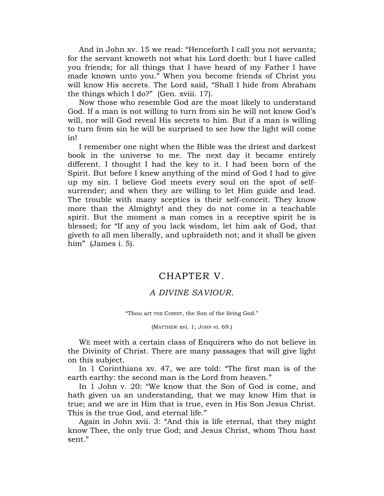And in John xv. 15 we read: "Henceforth I call you not servants; for the servant knoweth not what his Lord doeth: but I have called you friends; for all things that I have heard of my Father I have made known unto you." When you become friends of Christ you will know His secrets. The Lord said, "Shall I hide from Abraham the things which I do?" (Gen. xviii. 17).

Now those who resemble God are the most likely to understand God. If a man is not willing to turn from sin he will not know God"s will, nor will God reveal His secrets to him. But if a man is willing to turn from sin he will be surprised to see how the light will come in!

I remember one night when the Bible was the driest and darkest book in the universe to me. The next day it became entirely different. I thought I had the key to it. I had been born of the Spirit. But before I knew anything of the mind of God I had to give up my sin. I believe God meets every soul on the spot of selfsurrender; and when they are willing to let Him guide and lead. The trouble with many sceptics is their self-conceit. They know more than the Almighty! and they do not come in a teachable spirit. But the moment a man comes in a receptive spirit he is blessed; for "If any of you lack wisdom, let him ask of God, that giveth to all men liberally, and upbraideth not; and it shall be given him" (James i. 5).

# CHAPTER V.

### *A DIVINE SAVIOUR*.

"Thou art THE CHRIST, the Son of the living God."

(MATTHEW xvi. 1; JOHN vi. 69.)

WE meet with a certain class of Enquirers who do not believe in the Divinity of Christ. There are many passages that will give light on this subject.

In 1 Corinthians xv. 47, we are told: "The first man is of the earth earthy: the second man is the Lord from heaven."

In 1 John v. 20: "We know that the Son of God is come, and hath given us an understanding, that we may know Him that is true; and we are in Him that is true, even in His Son Jesus Christ. This is the true God, and eternal life."

Again in John xvii. 3: "And this is life eternal, that they might know Thee, the only true God; and Jesus Christ, whom Thou hast sent."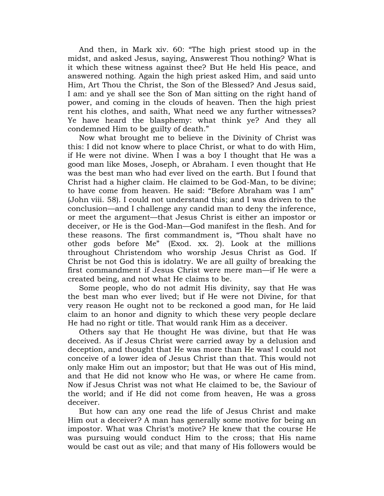And then, in Mark xiv. 60: "The high priest stood up in the midst, and asked Jesus, saying, Answerest Thou nothing? What is it which these witness against thee? But He held His peace, and answered nothing. Again the high priest asked Him, and said unto Him, Art Thou the Christ, the Son of the Blessed? And Jesus said, I am: and ye shall see the Son of Man sitting on the right hand of power, and coming in the clouds of heaven. Then the high priest rent his clothes, and saith, What need we any further witnesses? Ye have heard the blasphemy: what think ye? And they all condemned Him to be guilty of death."

Now what brought me to believe in the Divinity of Christ was this: I did not know where to place Christ, or what to do with Him, if He were not divine. When I was a boy I thought that He was a good man like Moses, Joseph, or Abraham. I even thought that He was the best man who had ever lived on the earth. But I found that Christ had a higher claim. He claimed to be God-Man, to be divine; to have come from heaven. He said: "Before Abraham was I am" (John viii. 58). I could not understand this; and I was driven to the conclusion—and I challenge any candid man to deny the inference, or meet the argument—that Jesus Christ is either an impostor or deceiver, or He is the God-Man—God manifest in the flesh. And for these reasons. The first commandment is, "Thou shalt have no other gods before Me" (Exod. xx. 2). Look at the millions throughout Christendom who worship Jesus Christ as God. If Christ be not God this is idolatry. We are all guilty of breaking the first commandment if Jesus Christ were mere man—if He were a created being, and not what He claims to be.

Some people, who do not admit His divinity, say that He was the best man who ever lived; but if He were not Divine, for that very reason He ought not to be reckoned a good man, for He laid claim to an honor and dignity to which these very people declare He had no right or title. That would rank Him as a deceiver.

Others say that He thought He was divine, but that He was deceived. As if Jesus Christ were carried away by a delusion and deception, and thought that He was more than He was! I could not conceive of a lower idea of Jesus Christ than that. This would not only make Him out an impostor; but that He was out of His mind, and that He did not know who He was, or where He came from. Now if Jesus Christ was not what He claimed to be, the Saviour of the world; and if He did not come from heaven, He was a gross deceiver.

But how can any one read the life of Jesus Christ and make Him out a deceiver? A man has generally some motive for being an impostor. What was Christ"s motive? He knew that the course He was pursuing would conduct Him to the cross; that His name would be cast out as vile; and that many of His followers would be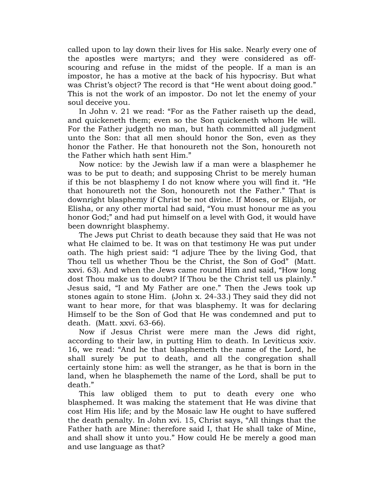called upon to lay down their lives for His sake. Nearly every one of the apostles were martyrs; and they were considered as offscouring and refuse in the midst of the people. If a man is an impostor, he has a motive at the back of his hypocrisy. But what was Christ's object? The record is that "He went about doing good." This is not the work of an impostor. Do not let the enemy of your soul deceive you.

In John v. 21 we read: "For as the Father raiseth up the dead, and quickeneth them; even so the Son quickeneth whom He will. For the Father judgeth no man, but hath committed all judgment unto the Son: that all men should honor the Son, even as they honor the Father. He that honoureth not the Son, honoureth not the Father which hath sent Him."

Now notice: by the Jewish law if a man were a blasphemer he was to be put to death; and supposing Christ to be merely human if this be not blasphemy I do not know where you will find it. "He that honoureth not the Son, honoureth not the Father." That is downright blasphemy if Christ be not divine. If Moses, or Elijah, or Elisha, or any other mortal had said, "You must honour me as you honor God;" and had put himself on a level with God, it would have been downright blasphemy.

The Jews put Christ to death because they said that He was not what He claimed to be. It was on that testimony He was put under oath. The high priest said: "I adjure Thee by the living God, that Thou tell us whether Thou be the Christ, the Son of God" (Matt. xxvi. 63). And when the Jews came round Him and said, "How long dost Thou make us to doubt? If Thou be the Christ tell us plainly." Jesus said, "I and My Father are one." Then the Jews took up stones again to stone Him. (John x. 24-33.) They said they did not want to hear more, for that was blasphemy. It was for declaring Himself to be the Son of God that He was condemned and put to death. (Matt. xxvi. 63-66).

Now if Jesus Christ were mere man the Jews did right, according to their law, in putting Him to death. In Leviticus xxiv. 16, we read: "And he that blasphemeth the name of the Lord, he shall surely be put to death, and all the congregation shall certainly stone him: as well the stranger, as he that is born in the land, when he blasphemeth the name of the Lord, shall be put to death."

This law obliged them to put to death every one who blasphemed. It was making the statement that He was divine that cost Him His life; and by the Mosaic law He ought to have suffered the death penalty. In John xvi. 15, Christ says, "All things that the Father hath are Mine: therefore said I, that He shall take of Mine, and shall show it unto you." How could He be merely a good man and use language as that?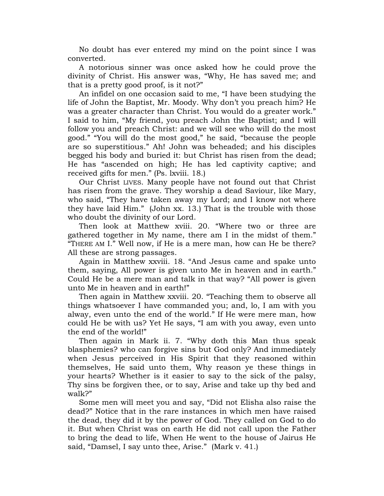No doubt has ever entered my mind on the point since I was converted.

A notorious sinner was once asked how he could prove the divinity of Christ. His answer was, "Why, He has saved me; and that is a pretty good proof, is it not?"

An infidel on one occasion said to me, "I have been studying the life of John the Baptist, Mr. Moody. Why don"t you preach him? He was a greater character than Christ. You would do a greater work." I said to him, "My friend, you preach John the Baptist; and I will follow you and preach Christ: and we will see who will do the most good." "You will do the most good," he said, "because the people are so superstitious." Ah! John was beheaded; and his disciples begged his body and buried it: but Christ has risen from the dead; He has "ascended on high; He has led captivity captive; and received gifts for men." (Ps. lxviii. 18.)

Our Christ LIVES. Many people have not found out that Christ has risen from the grave. They worship a dead Saviour, like Mary, who said, "They have taken away my Lord; and I know not where they have laid Him." (John xx. 13.) That is the trouble with those who doubt the divinity of our Lord.

Then look at Matthew xviii. 20. "Where two or three are gathered together in My name, there am I in the midst of them." "THERE AM I." Well now, if He is a mere man, how can He be there? All these are strong passages.

Again in Matthew xxviii. 18. "And Jesus came and spake unto them, saying, All power is given unto Me in heaven and in earth." Could He be a mere man and talk in that way? "All power is given unto Me in heaven and in earth!"

Then again in Matthew xxviii. 20. "Teaching them to observe all things whatsoever I have commanded you; and, lo, I am with you alway, even unto the end of the world." If He were mere man, how could He be with us? Yet He says, "I am with you away, even unto the end of the world!"

Then again in Mark ii. 7. "Why doth this Man thus speak blasphemies? who can forgive sins but God only? And immediately when Jesus perceived in His Spirit that they reasoned within themselves, He said unto them, Why reason ye these things in your hearts? Whether is it easier to say to the sick of the palsy, Thy sins be forgiven thee, or to say, Arise and take up thy bed and walk?"

Some men will meet you and say, "Did not Elisha also raise the dead?" Notice that in the rare instances in which men have raised the dead, they did it by the power of God. They called on God to do it. But when Christ was on earth He did not call upon the Father to bring the dead to life, When He went to the house of Jairus He said, "Damsel, I say unto thee, Arise." (Mark v. 41.)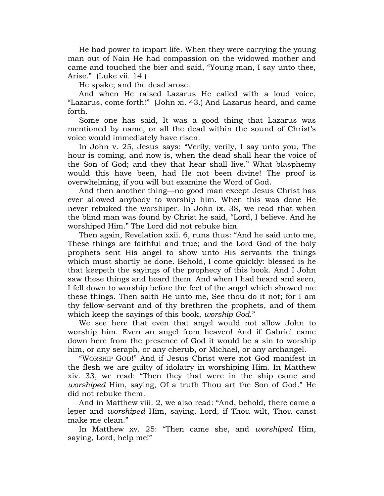He had power to impart life. When they were carrying the young man out of Nain He had compassion on the widowed mother and came and touched the bier and said, "Young man, I say unto thee, Arise." (Luke vii. 14.)

He spake; and the dead arose.

And when He raised Lazarus He called with a loud voice, "Lazarus, come forth!" (John xi. 43.) And Lazarus heard, and came forth.

Some one has said, It was a good thing that Lazarus was mentioned by name, or all the dead within the sound of Christ's voice would immediately have risen.

In John v. 25, Jesus says: "Verily, verily, I say unto you, The hour is coming, and now is, when the dead shall hear the voice of the Son of God; and they that hear shall live." What blasphemy would this have been, had He not been divine! The proof is overwhelming, if you will but examine the Word of God.

And then another thing—no good man except Jesus Christ has ever allowed anybody to worship him. When this was done He never rebuked the worshiper. In John ix. 38, we read that when the blind man was found by Christ he said, "Lord, I believe. And he worshiped Him." The Lord did not rebuke him.

Then again, Revelation xxii. 6, runs thus: "And he said unto me, These things are faithful and true; and the Lord God of the holy prophets sent His angel to show unto His servants the things which must shortly be done. Behold, I come quickly: blessed is he that keepeth the sayings of the prophecy of this book. And I John saw these things and heard them. And when I had heard and seen, I fell down to worship before the feet of the angel which showed me these things. Then saith He unto me, See thou do it not; for I am thy fellow-servant and of thy brethren the prophets, and of them which keep the sayings of this book, *worship God*."

We see here that even that angel would not allow John to worship him. Even an angel from heaven! And if Gabriel came down here from the presence of God it would be a sin to worship him, or any seraph, or any cherub, or Michael, or any archangel.

"WORSHIP GOD!" And if Jesus Christ were not God manifest in the flesh we are guilty of idolatry in worshiping Him. In Matthew xiv. 33, we read: "Then they that were in the ship came and *worshiped* Him, saying, Of a truth Thou art the Son of God." He did not rebuke them.

And in Matthew viii. 2, we also read: "And, behold, there came a leper and *worshiped* Him, saying, Lord, if Thou wilt, Thou canst make me clean."

In Matthew xv. 25: "Then came she, and *worshiped* Him, saying, Lord, help me!"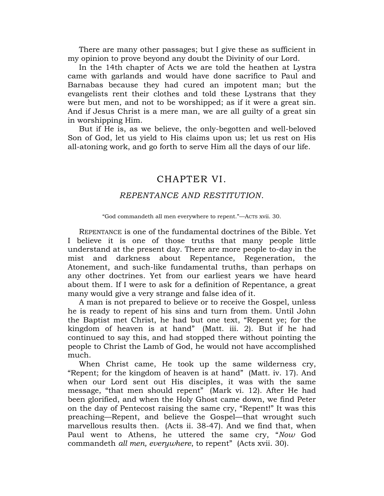There are many other passages; but I give these as sufficient in my opinion to prove beyond any doubt the Divinity of our Lord.

In the 14th chapter of Acts we are told the heathen at Lystra came with garlands and would have done sacrifice to Paul and Barnabas because they had cured an impotent man; but the evangelists rent their clothes and told these Lystrans that they were but men, and not to be worshipped; as if it were a great sin. And if Jesus Christ is a mere man, we are all guilty of a great sin in worshipping Him.

But if He is, as we believe, the only-begotten and well-beloved Son of God, let us yield to His claims upon us; let us rest on His all-atoning work, and go forth to serve Him all the days of our life.

# CHAPTER VI.

### *REPENTANCE AND RESTITUTION*.

#### "God commandeth all men everywhere to repent."—ACTS xvii. 30.

REPENTANCE is one of the fundamental doctrines of the Bible. Yet I believe it is one of those truths that many people little understand at the present day. There are more people to-day in the mist and darkness about Repentance, Regeneration, the Atonement, and such-like fundamental truths, than perhaps on any other doctrines. Yet from our earliest years we have heard about them. If I were to ask for a definition of Repentance, a great many would give a very strange and false idea of it.

A man is not prepared to believe or to receive the Gospel, unless he is ready to repent of his sins and turn from them. Until John the Baptist met Christ, he had but one text, "Repent ye; for the kingdom of heaven is at hand" (Matt. iii. 2). But if he had continued to say this, and had stopped there without pointing the people to Christ the Lamb of God, he would not have accomplished much.

When Christ came, He took up the same wilderness cry, "Repent; for the kingdom of heaven is at hand" (Matt. iv. 17). And when our Lord sent out His disciples, it was with the same message, "that men should repent" (Mark vi. 12). After He had been glorified, and when the Holy Ghost came down, we find Peter on the day of Pentecost raising the same cry, "Repent!" It was this preaching—Repent, and believe the Gospel—that wrought such marvellous results then. (Acts ii. 38-47). And we find that, when Paul went to Athens, he uttered the same cry, "*Now* God commandeth *all men, everywhere*, to repent" (Acts xvii. 30).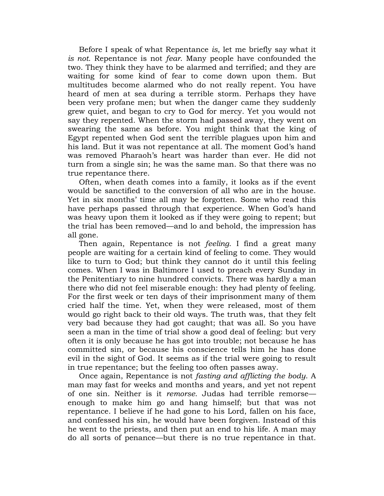Before I speak of what Repentance *is*, let me briefly say what it *is not*. Repentance is not *fear*. Many people have confounded the two. They think they have to be alarmed and terrified; and they are waiting for some kind of fear to come down upon them. But multitudes become alarmed who do not really repent. You have heard of men at sea during a terrible storm. Perhaps they have been very profane men; but when the danger came they suddenly grew quiet, and began to cry to God for mercy. Yet you would not say they repented. When the storm had passed away, they went on swearing the same as before. You might think that the king of Egypt repented when God sent the terrible plagues upon him and his land. But it was not repentance at all. The moment God's hand was removed Pharaoh"s heart was harder than ever. He did not turn from a single sin; he was the same man. So that there was no true repentance there.

Often, when death comes into a family, it looks as if the event would be sanctified to the conversion of all who are in the house. Yet in six months' time all may be forgotten. Some who read this have perhaps passed through that experience. When God's hand was heavy upon them it looked as if they were going to repent; but the trial has been removed—and lo and behold, the impression has all gone.

Then again, Repentance is not *feeling*. I find a great many people are waiting for a certain kind of feeling to come. They would like to turn to God; but think they cannot do it until this feeling comes. When I was in Baltimore I used to preach every Sunday in the Penitentiary to nine hundred convicts. There was hardly a man there who did not feel miserable enough: they had plenty of feeling. For the first week or ten days of their imprisonment many of them cried half the time. Yet, when they were released, most of them would go right back to their old ways. The truth was, that they felt very bad because they had got caught; that was all. So you have seen a man in the time of trial show a good deal of feeling: but very often it is only because he has got into trouble; not because he has committed sin, or because his conscience tells him he has done evil in the sight of God. It seems as if the trial were going to result in true repentance; but the feeling too often passes away.

Once again, Repentance is not *fasting and afflicting the body*. A man may fast for weeks and months and years, and yet not repent of one sin. Neither is it *remorse*. Judas had terrible remorse enough to make him go and hang himself; but that was not repentance. I believe if he had gone to his Lord, fallen on his face, and confessed his sin, he would have been forgiven. Instead of this he went to the priests, and then put an end to his life. A man may do all sorts of penance—but there is no true repentance in that.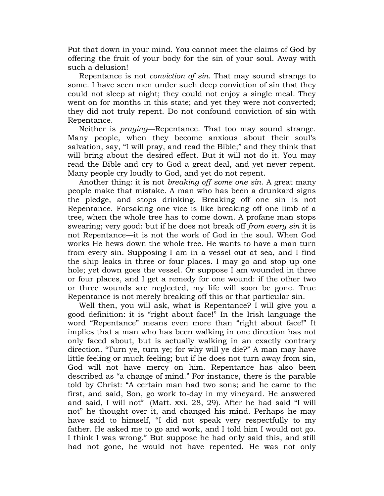Put that down in your mind. You cannot meet the claims of God by offering the fruit of your body for the sin of your soul. Away with such a delusion!

Repentance is not *conviction of sin*. That may sound strange to some. I have seen men under such deep conviction of sin that they could not sleep at night; they could not enjoy a single meal. They went on for months in this state; and yet they were not converted; they did not truly repent. Do not confound conviction of sin with Repentance.

Neither is *praying*—Repentance. That too may sound strange. Many people, when they become anxious about their soul"s salvation, say, "I will pray, and read the Bible;" and they think that will bring about the desired effect. But it will not do it. You may read the Bible and cry to God a great deal, and yet never repent. Many people cry loudly to God, and yet do not repent.

Another thing: it is not *breaking off some one sin*. A great many people make that mistake. A man who has been a drunkard signs the pledge, and stops drinking. Breaking off one sin is not Repentance. Forsaking one vice is like breaking off one limb of a tree, when the whole tree has to come down. A profane man stops swearing; very good: but if he does not break off *from every sin* it is not Repentance—it is not the work of God in the soul. When God works He hews down the whole tree. He wants to have a man turn from every sin. Supposing I am in a vessel out at sea, and I find the ship leaks in three or four places. I may go and stop up one hole; yet down goes the vessel. Or suppose I am wounded in three or four places, and I get a remedy for one wound: if the other two or three wounds are neglected, my life will soon be gone. True Repentance is not merely breaking off this or that particular sin.

Well then, you will ask, what is Repentance? I will give you a good definition: it is "right about face!" In the Irish language the word "Repentance" means even more than "right about face!" It implies that a man who has been walking in one direction has not only faced about, but is actually walking in an exactly contrary direction. "Turn ye, turn ye; for why will ye die?" A man may have little feeling or much feeling; but if he does not turn away from sin, God will not have mercy on him. Repentance has also been described as "a change of mind." For instance, there is the parable told by Christ: "A certain man had two sons; and he came to the first, and said, Son, go work to-day in my vineyard. He answered and said, I will not" (Matt. xxi. 28, 29). After he had said "I will not" he thought over it, and changed his mind. Perhaps he may have said to himself, "I did not speak very respectfully to my father. He asked me to go and work, and I told him I would not go. I think I was wrong." But suppose he had only said this, and still had not gone, he would not have repented. He was not only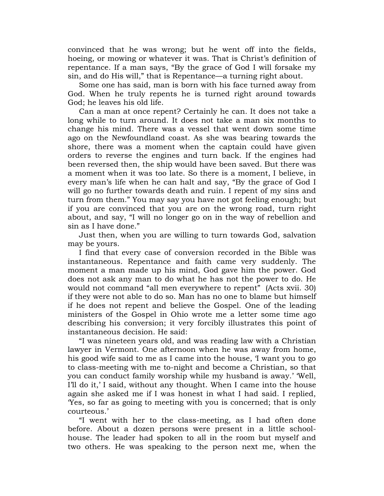convinced that he was wrong; but he went off into the fields, hoeing, or mowing or whatever it was. That is Christ's definition of repentance. If a man says, "By the grace of God I will forsake my sin, and do His will," that is Repentance—a turning right about.

Some one has said, man is born with his face turned away from God. When he truly repents he is turned right around towards God; he leaves his old life.

Can a man at once repent? Certainly he can. It does not take a long while to turn around. It does not take a man six months to change his mind. There was a vessel that went down some time ago on the Newfoundland coast. As she was bearing towards the shore, there was a moment when the captain could have given orders to reverse the engines and turn back. If the engines had been reversed then, the ship would have been saved. But there was a moment when it was too late. So there is a moment, I believe, in every man"s life when he can halt and say, "By the grace of God I will go no further towards death and ruin. I repent of my sins and turn from them." You may say you have not got feeling enough; but if you are convinced that you are on the wrong road, turn right about, and say, "I will no longer go on in the way of rebellion and sin as I have done."

Just then, when you are willing to turn towards God, salvation may be yours.

I find that every case of conversion recorded in the Bible was instantaneous. Repentance and faith came very suddenly. The moment a man made up his mind, God gave him the power. God does not ask any man to do what he has not the power to do. He would not command "all men everywhere to repent" (Acts xvii. 30) if they were not able to do so. Man has no one to blame but himself if he does not repent and believe the Gospel. One of the leading ministers of the Gospel in Ohio wrote me a letter some time ago describing his conversion; it very forcibly illustrates this point of instantaneous decision. He said:

"I was nineteen years old, and was reading law with a Christian lawyer in Vermont. One afternoon when he was away from home, his good wife said to me as I came into the house, I want you to go to class-meeting with me to-night and become a Christian, so that you can conduct family worship while my husband is away." "Well, I'll do it,' I said, without any thought. When I came into the house again she asked me if I was honest in what I had said. I replied, "Yes, so far as going to meeting with you is concerned; that is only courteous."

"I went with her to the class-meeting, as I had often done before. About a dozen persons were present in a little schoolhouse. The leader had spoken to all in the room but myself and two others. He was speaking to the person next me, when the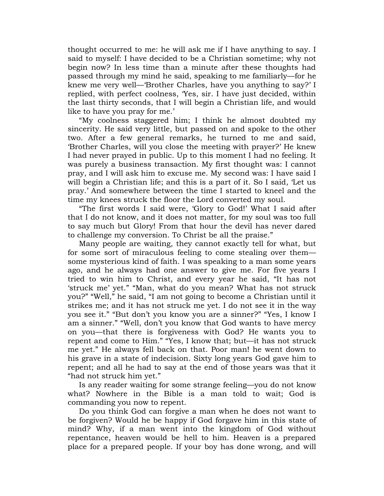thought occurred to me: he will ask me if I have anything to say. I said to myself: I have decided to be a Christian sometime; why not begin now? In less time than a minute after these thoughts had passed through my mind he said, speaking to me familiarly—for he knew me very well—"Brother Charles, have you anything to say?" I replied, with perfect coolness, "Yes, sir. I have just decided, within the last thirty seconds, that I will begin a Christian life, and would like to have you pray for me.'

"My coolness staggered him; I think he almost doubted my sincerity. He said very little, but passed on and spoke to the other two. After a few general remarks, he turned to me and said, "Brother Charles, will you close the meeting with prayer?" He knew I had never prayed in public. Up to this moment I had no feeling. It was purely a business transaction. My first thought was: I cannot pray, and I will ask him to excuse me. My second was: I have said I will begin a Christian life; and this is a part of it. So I said, "Let us pray." And somewhere between the time I started to kneel and the time my knees struck the floor the Lord converted my soul.

"The first words I said were, "Glory to God!" What I said after that I do not know, and it does not matter, for my soul was too full to say much but Glory! From that hour the devil has never dared to challenge my conversion. To Christ be all the praise."

Many people are waiting, they cannot exactly tell for what, but for some sort of miraculous feeling to come stealing over them some mysterious kind of faith. I was speaking to a man some years ago, and he always had one answer to give me. For five years I tried to win him to Christ, and every year he said, "It has not 'struck me' yet." "Man, what do you mean? What has not struck you?" "Well," he said, "I am not going to become a Christian until it strikes me; and it has not struck me yet. I do not see it in the way you see it." "But don"t you know you are a sinner?" "Yes, I know I am a sinner." "Well, don"t you know that God wants to have mercy on you—that there is forgiveness with God? He wants you to repent and come to Him." "Yes, I know that; but—it has not struck me yet." He always fell back on that. Poor man! he went down to his grave in a state of indecision. Sixty long years God gave him to repent; and all he had to say at the end of those years was that it "had not struck him yet."

Is any reader waiting for some strange feeling—you do not know what? Nowhere in the Bible is a man told to wait; God is commanding you now to repent.

Do you think God can forgive a man when he does not want to be forgiven? Would he be happy if God forgave him in this state of mind? Why, if a man went into the kingdom of God without repentance, heaven would be hell to him. Heaven is a prepared place for a prepared people. If your boy has done wrong, and will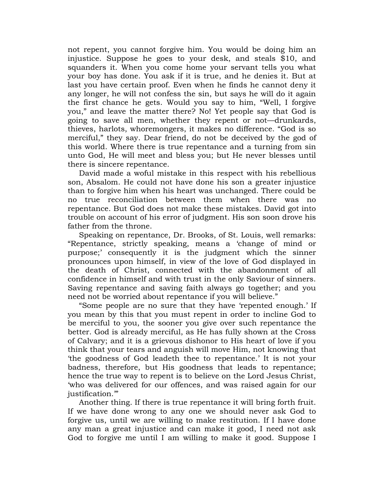not repent, you cannot forgive him. You would be doing him an injustice. Suppose he goes to your desk, and steals \$10, and squanders it. When you come home your servant tells you what your boy has done. You ask if it is true, and he denies it. But at last you have certain proof. Even when he finds he cannot deny it any longer, he will not confess the sin, but says he will do it again the first chance he gets. Would you say to him, "Well, I forgive you," and leave the matter there? No! Yet people say that God is going to save all men, whether they repent or not—drunkards, thieves, harlots, whoremongers, it makes no difference. "God is so merciful," they say. Dear friend, do not be deceived by the god of this world. Where there is true repentance and a turning from sin unto God, He will meet and bless you; but He never blesses until there is sincere repentance.

David made a woful mistake in this respect with his rebellious son, Absalom. He could not have done his son a greater injustice than to forgive him when his heart was unchanged. There could be no true reconciliation between them when there was no repentance. But God does not make these mistakes. David got into trouble on account of his error of judgment. His son soon drove his father from the throne.

Speaking on repentance, Dr. Brooks, of St. Louis, well remarks: "Repentance, strictly speaking, means a "change of mind or purpose;" consequently it is the judgment which the sinner pronounces upon himself, in view of the love of God displayed in the death of Christ, connected with the abandonment of all confidence in himself and with trust in the only Saviour of sinners. Saving repentance and saving faith always go together; and you need not be worried about repentance if you will believe."

"Some people are no sure that they have "repented enough." If you mean by this that you must repent in order to incline God to be merciful to you, the sooner you give over such repentance the better. God is already merciful, as He has fully shown at the Cross of Calvary; and it is a grievous dishonor to His heart of love if you think that your tears and anguish will move Him, not knowing that "the goodness of God leadeth thee to repentance." It is not your badness, therefore, but His goodness that leads to repentance; hence the true way to repent is to believe on the Lord Jesus Christ, "who was delivered for our offences, and was raised again for our justification."

Another thing. If there is true repentance it will bring forth fruit. If we have done wrong to any one we should never ask God to forgive us, until we are willing to make restitution. If I have done any man a great injustice and can make it good, I need not ask God to forgive me until I am willing to make it good. Suppose I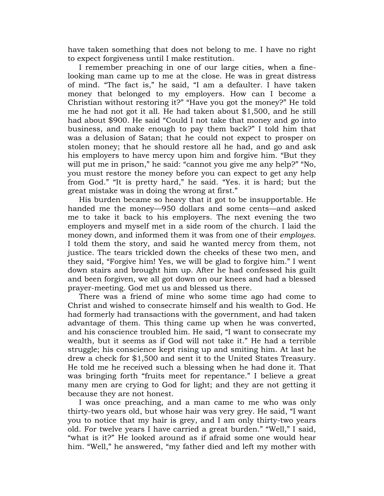have taken something that does not belong to me. I have no right to expect forgiveness until I make restitution.

I remember preaching in one of our large cities, when a finelooking man came up to me at the close. He was in great distress of mind. "The fact is," he said, "I am a defaulter. I have taken money that belonged to my employers. How can I become a Christian without restoring it?" "Have you got the money?" He told me he had not got it all. He had taken about \$1,500, and he still had about \$900. He said "Could I not take that money and go into business, and make enough to pay them back?" I told him that was a delusion of Satan; that he could not expect to prosper on stolen money; that he should restore all he had, and go and ask his employers to have mercy upon him and forgive him. "But they will put me in prison," he said: "cannot you give me any help?" "No, you must restore the money before you can expect to get any help from God." "It is pretty hard," he said. "Yes. it is hard; but the great mistake was in doing the wrong at first."

His burden became so heavy that it got to be insupportable. He handed me the money—950 dollars and some cents—and asked me to take it back to his employers. The next evening the two employers and myself met in a side room of the church. I laid the money down, and informed them it was from one of their *employes*. I told them the story, and said he wanted mercy from them, not justice. The tears trickled down the cheeks of these two men, and they said, "Forgive him! Yes, we will be glad to forgive him." I went down stairs and brought him up. After he had confessed his guilt and been forgiven, we all got down on our knees and had a blessed prayer-meeting. God met us and blessed us there.

There was a friend of mine who some time ago had come to Christ and wished to consecrate himself and his wealth to God. He had formerly had transactions with the government, and had taken advantage of them. This thing came up when he was converted, and his conscience troubled him. He said, "I want to consecrate my wealth, but it seems as if God will not take it." He had a terrible struggle; his conscience kept rising up and smiting him. At last he drew a check for \$1,500 and sent it to the United States Treasury. He told me he received such a blessing when he had done it. That was bringing forth "fruits meet for repentance." I believe a great many men are crying to God for light; and they are not getting it because they are not honest.

I was once preaching, and a man came to me who was only thirty-two years old, but whose hair was very grey. He said, "I want you to notice that my hair is grey, and I am only thirty-two years old. For twelve years I have carried a great burden." "Well," I said, "what is it?" He looked around as if afraid some one would hear him. "Well," he answered, "my father died and left my mother with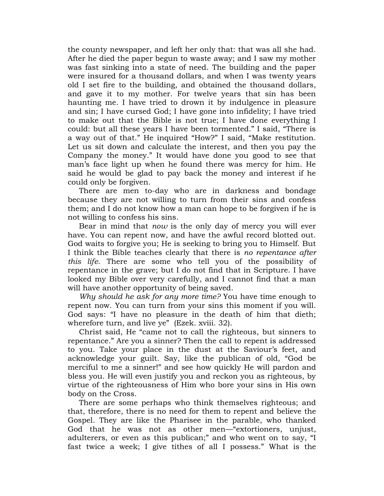the county newspaper, and left her only that: that was all she had. After he died the paper begun to waste away; and I saw my mother was fast sinking into a state of need. The building and the paper were insured for a thousand dollars, and when I was twenty years old I set fire to the building, and obtained the thousand dollars, and gave it to my mother. For twelve years that sin has been haunting me. I have tried to drown it by indulgence in pleasure and sin; I have cursed God; I have gone into infidelity; I have tried to make out that the Bible is not true; I have done everything I could: but all these years I have been tormented." I said, "There is a way out of that." He inquired "How?" I said, "Make restitution. Let us sit down and calculate the interest, and then you pay the Company the money." It would have done you good to see that man"s face light up when he found there was mercy for him. He said he would be glad to pay back the money and interest if he could only be forgiven.

There are men to-day who are in darkness and bondage because they are not willing to turn from their sins and confess them; and I do not know how a man can hope to be forgiven if he is not willing to confess his sins.

Bear in mind that *now* is the only day of mercy you will ever have. You can repent now, and have the awful record blotted out. God waits to forgive you; He is seeking to bring you to Himself. But I think the Bible teaches clearly that there is *no repentance after this life*. There are some who tell you of the possibility of repentance in the grave; but I do not find that in Scripture. I have looked my Bible over very carefully, and I cannot find that a man will have another opportunity of being saved.

*Why should he ask for any more time?* You have time enough to repent now. You can turn from your sins this moment if you will. God says: "I have no pleasure in the death of him that dieth; wherefore turn, and live ye" (Ezek. xviii. 32).

Christ said, He "came not to call the righteous, but sinners to repentance." Are you a sinner? Then the call to repent is addressed to you. Take your place in the dust at the Saviour"s feet, and acknowledge your guilt. Say, like the publican of old, "God be merciful to me a sinner!" and see how quickly He will pardon and bless you. He will even justify you and reckon you as righteous, by virtue of the righteousness of Him who bore your sins in His own body on the Cross.

There are some perhaps who think themselves righteous; and that, therefore, there is no need for them to repent and believe the Gospel. They are like the Pharisee in the parable, who thanked God that he was not as other men—"extortioners, unjust, adulterers, or even as this publican;" and who went on to say, "I fast twice a week; I give tithes of all I possess." What is the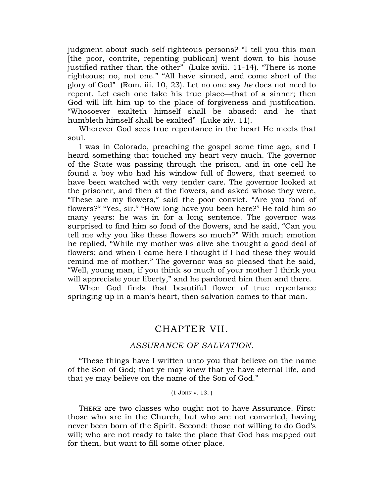judgment about such self-righteous persons? "I tell you this man [the poor, contrite, repenting publican] went down to his house justified rather than the other" (Luke xviii. 11-14). "There is none righteous; no, not one." "All have sinned, and come short of the glory of God" (Rom. iii. 10, 23). Let no one say *he* does not need to repent. Let each one take his true place—that of a sinner; then God will lift him up to the place of forgiveness and justification. "Whosoever exalteth himself shall be abased: and he that humbleth himself shall be exalted" (Luke xiv. 11).

Wherever God sees true repentance in the heart He meets that soul.

I was in Colorado, preaching the gospel some time ago, and I heard something that touched my heart very much. The governor of the State was passing through the prison, and in one cell he found a boy who had his window full of flowers, that seemed to have been watched with very tender care. The governor looked at the prisoner, and then at the flowers, and asked whose they were, "These are my flowers," said the poor convict. "Are you fond of flowers?" "Yes, sir." "How long have you been here?" He told him so many years: he was in for a long sentence. The governor was surprised to find him so fond of the flowers, and he said, "Can you tell me why you like these flowers so much?" With much emotion he replied, "While my mother was alive she thought a good deal of flowers; and when I came here I thought if I had these they would remind me of mother." The governor was so pleased that he said, "Well, young man, if you think so much of your mother I think you will appreciate your liberty," and he pardoned him then and there.

When God finds that beautiful flower of true repentance springing up in a man's heart, then salvation comes to that man.

## CHAPTER VII.

### *ASSURANCE OF SALVATION*.

"These things have I written unto you that believe on the name of the Son of God; that ye may knew that ye have eternal life, and that ye may believe on the name of the Son of God."

#### (1 JOHN v. 13. )

THERE are two classes who ought not to have Assurance. First: those who are in the Church, but who are not converted, having never been born of the Spirit. Second: those not willing to do God"s will; who are not ready to take the place that God has mapped out for them, but want to fill some other place.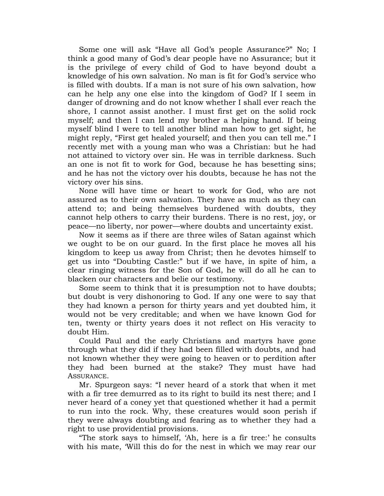Some one will ask "Have all God's people Assurance?" No; I think a good many of God"s dear people have no Assurance; but it is the privilege of every child of God to have beyond doubt a knowledge of his own salvation. No man is fit for God's service who is filled with doubts. If a man is not sure of his own salvation, how can he help any one else into the kingdom of God? If I seem in danger of drowning and do not know whether I shall ever reach the shore, I cannot assist another. I must first get on the solid rock myself; and then I can lend my brother a helping hand. If being myself blind I were to tell another blind man how to get sight, he might reply, "First get healed yourself; and then you can tell me." I recently met with a young man who was a Christian: but he had not attained to victory over sin. He was in terrible darkness. Such an one is not fit to work for God, because he has besetting sins; and he has not the victory over his doubts, because he has not the victory over his sins.

None will have time or heart to work for God, who are not assured as to their own salvation. They have as much as they can attend to; and being themselves burdened with doubts, they cannot help others to carry their burdens. There is no rest, joy, or peace—no liberty, nor power—where doubts and uncertainty exist.

Now it seems as if there are three wiles of Satan against which we ought to be on our guard. In the first place he moves all his kingdom to keep us away from Christ; then he devotes himself to get us into "Doubting Castle:" but if we have, in spite of him, a clear ringing witness for the Son of God, he will do all he can to blacken our characters and belie our testimony.

Some seem to think that it is presumption not to have doubts; but doubt is very dishonoring to God. If any one were to say that they had known a person for thirty years and yet doubted him, it would not be very creditable; and when we have known God for ten, twenty or thirty years does it not reflect on His veracity to doubt Him.

Could Paul and the early Christians and martyrs have gone through what they did if they had been filled with doubts, and had not known whether they were going to heaven or to perdition after they had been burned at the stake? They must have had ASSURANCE.

Mr. Spurgeon says: "I never heard of a stork that when it met with a fir tree demurred as to its right to build its nest there; and I never heard of a coney yet that questioned whether it had a permit to run into the rock. Why, these creatures would soon perish if they were always doubting and fearing as to whether they had a right to use providential provisions.

"The stork says to himself, 'Ah, here is a fir tree:' he consults with his mate, "Will this do for the nest in which we may rear our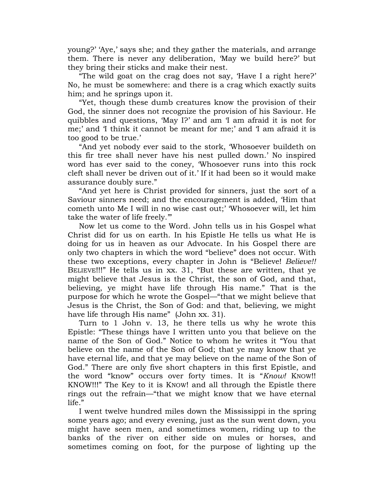young?" "Aye," says she; and they gather the materials, and arrange them. There is never any deliberation, "May we build here?" but they bring their sticks and make their nest.

"The wild goat on the crag does not say, "Have I a right here?" No, he must be somewhere: and there is a crag which exactly suits him; and he springs upon it.

"Yet, though these dumb creatures know the provision of their God, the sinner does not recognize the provision of his Saviour. He quibbles and questions, "May I?" and am "I am afraid it is not for me;" and "I think it cannot be meant for me;" and "I am afraid it is too good to be true.'

"And yet nobody ever said to the stork, "Whosoever buildeth on this fir tree shall never have his nest pulled down." No inspired word has ever said to the coney, "Whosoever runs into this rock cleft shall never be driven out of it." If it had been so it would make assurance doubly sure."

"And yet here is Christ provided for sinners, just the sort of a Saviour sinners need; and the encouragement is added, "Him that cometh unto Me I will in no wise cast out;" "Whosoever will, let him take the water of life freely.""

Now let us come to the Word. John tells us in his Gospel what Christ did for us on earth. In his Epistle He tells us what He is doing for us in heaven as our Advocate. In his Gospel there are only two chapters in which the word "believe" does not occur. With these two exceptions, every chapter in John is "Believe! *Believe!!* BELIEVE!!!" He tells us in xx. 31, "But these are written, that ye might believe that Jesus is the Christ, the son of God, and that, believing, ye might have life through His name." That is the purpose for which he wrote the Gospel—"that we might believe that Jesus is the Christ, the Son of God: and that, believing, we might have life through His name" (John xx. 31).

Turn to 1 John v. 13, he there tells us why he wrote this Epistle: "These things have I written unto you that believe on the name of the Son of God." Notice to whom he writes it "You that believe on the name of the Son of God; that ye may know that ye have eternal life, and that ye may believe on the name of the Son of God." There are only five short chapters in this first Epistle, and the word "know" occurs over forty times. It is "Know! KNOW!! KNOW!!!" The Key to it is KNOW! and all through the Epistle there rings out the refrain—"that we might know that we have eternal life."

I went twelve hundred miles down the Mississippi in the spring some years ago; and every evening, just as the sun went down, you might have seen men, and sometimes women, riding up to the banks of the river on either side on mules or horses, and sometimes coming on foot, for the purpose of lighting up the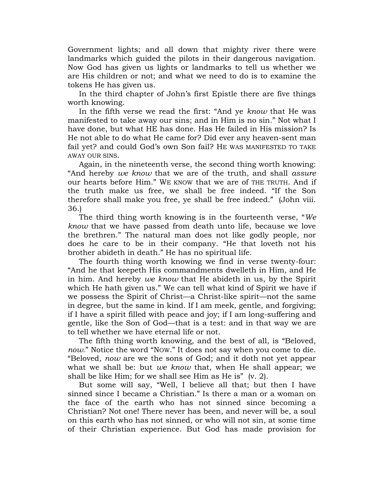Government lights; and all down that mighty river there were landmarks which guided the pilots in their dangerous navigation. Now God has given us lights or landmarks to tell us whether we are His children or not; and what we need to do is to examine the tokens He has given us.

In the third chapter of John"s first Epistle there are five things worth knowing.

In the fifth verse we read the first: "And ye *know* that He was manifested to take away our sins; and in Him is no sin." Not what I have done, but what HE has done. Has He failed in His mission? Is He not able to do what He came for? Did ever any heaven-sent man fail yet? and could God's own Son fail? HE WAS MANIFESTED TO TAKE AWAY OUR SINS.

Again, in the nineteenth verse, the second thing worth knowing: "And hereby *we know* that we are of the truth, and shall *assure* our hearts before Him." WE KNOW that we are of THE TRUTH. And if the truth make us free, we shall be free indeed. "If the Son therefore shall make you free, ye shall be free indeed." (John viii. 36.)

The third thing worth knowing is in the fourteenth verse, "*We know* that we have passed from death unto life, because we love the brethren." The natural man does not like godly people, nor does he care to be in their company. "He that loveth not his brother abideth in death." He has no spiritual life.

The fourth thing worth knowing we find in verse twenty-four: "And he that keepeth His commandments dwelleth in Him, and He in him. And hereby *we know* that He abideth in us, by the Spirit which He hath given us." We can tell what kind of Spirit we have if we possess the Spirit of Christ—a Christ-like spirit—not the same in degree, but the same in kind. If I am meek, gentle, and forgiving; if I have a spirit filled with peace and joy; if I am long-suffering and gentle, like the Son of God—that is a test: and in that way we are to tell whether we have eternal life or not.

The fifth thing worth knowing, and the best of all, is "Beloved, *now*." Notice the word "NOW." It does not say when you come to die. "Beloved, *now* are we the sons of God; and it doth not yet appear what we shall be: but *we know* that, when He shall appear; we shall be like Him; for we shall see Him as He is" (v. 2).

But some will say, "Well, I believe all that; but then I have sinned since I became a Christian." Is there a man or a woman on the face of the earth who has not sinned since becoming a Christian? Not one! There never has been, and never will be, a soul on this earth who has not sinned, or who will not sin, at some time of their Christian experience. But God has made provision for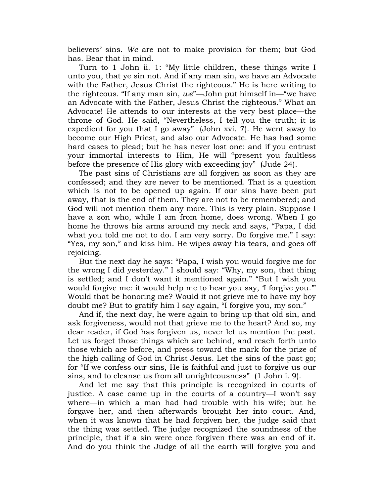believers" sins. *We* are not to make provision for them; but God has. Bear that in mind.

Turn to 1 John ii. 1: "My little children, these things write I unto you, that ye sin not. And if any man sin, we have an Advocate with the Father, Jesus Christ the righteous." He is here writing to the righteous. "If any man sin, *we*"—John put himself in—"we have an Advocate with the Father, Jesus Christ the righteous." What an Advocate! He attends to our interests at the very best place—the throne of God. He said, "Nevertheless, I tell you the truth; it is expedient for you that I go away" (John xvi. 7). He went away to become our High Priest, and also our Advocate. He has had some hard cases to plead; but he has never lost one: and if you entrust your immortal interests to Him, He will "present you faultless before the presence of His glory with exceeding joy" (Jude 24).

The past sins of Christians are all forgiven as soon as they are confessed; and they are never to be mentioned. That is a question which is not to be opened up again. If our sins have been put away, that is the end of them. They are not to be remembered; and God will not mention them any more. This is very plain. Suppose I have a son who, while I am from home, does wrong. When I go home he throws his arms around my neck and says, "Papa, I did what you told me not to do. I am very sorry. Do forgive me." I say: "Yes, my son," and kiss him. He wipes away his tears, and goes off rejoicing.

But the next day he says: "Papa, I wish you would forgive me for the wrong I did yesterday." I should say: "Why, my son, that thing is settled; and I don"t want it mentioned again." "But I wish you would forgive me: it would help me to hear you say, 'I forgive you." Would that be honoring me? Would it not grieve me to have my boy doubt me? But to gratify him I say again, "I forgive you, my son."

And if, the next day, he were again to bring up that old sin, and ask forgiveness, would not that grieve me to the heart? And so, my dear reader, if God has forgiven us, never let us mention the past. Let us forget those things which are behind, and reach forth unto those which are before, and press toward the mark for the prize of the high calling of God in Christ Jesus. Let the sins of the past go; for "If we confess our sins, He is faithful and just to forgive us our sins, and to cleanse us from all unrighteousness" (1 John i. 9).

And let me say that this principle is recognized in courts of justice. A case came up in the courts of a country—I won"t say where—in which a man had had trouble with his wife; but he forgave her, and then afterwards brought her into court. And, when it was known that he had forgiven her, the judge said that the thing was settled. The judge recognized the soundness of the principle, that if a sin were once forgiven there was an end of it. And do you think the Judge of all the earth will forgive you and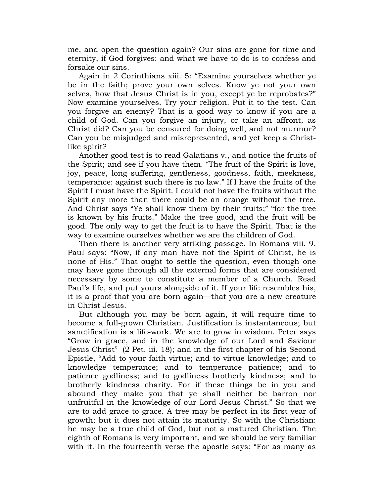me, and open the question again? Our sins are gone for time and eternity, if God forgives: and what we have to do is to confess and forsake our sins.

Again in 2 Corinthians xiii. 5: "Examine yourselves whether ye be in the faith; prove your own selves. Know ye not your own selves, how that Jesus Christ is in you, except ye be reprobates?" Now examine yourselves. Try your religion. Put it to the test. Can you forgive an enemy? That is a good way to know if you are a child of God. Can you forgive an injury, or take an affront, as Christ did? Can you be censured for doing well, and not murmur? Can you be misjudged and misrepresented, and yet keep a Christlike spirit?

Another good test is to read Galatians v., and notice the fruits of the Spirit; and see if you have them. "The fruit of the Spirit is love, joy, peace, long suffering, gentleness, goodness, faith, meekness, temperance: against such there is no law." If I have the fruits of the Spirit I must have the Spirit. I could not have the fruits without the Spirit any more than there could be an orange without the tree. And Christ says "Ye shall know them by their fruits;" "for the tree is known by his fruits." Make the tree good, and the fruit will be good. The only way to get the fruit is to have the Spirit. That is the way to examine ourselves whether we are the children of God.

Then there is another very striking passage. In Romans viii. 9, Paul says: "Now, if any man have not the Spirit of Christ, he is none of His." That ought to settle the question, even though one may have gone through all the external forms that are considered necessary by some to constitute a member of a Church. Read Paul"s life, and put yours alongside of it. If your life resembles his, it is a proof that you are born again—that you are a new creature in Christ Jesus.

But although you may be born again, it will require time to become a full-grown Christian. Justification is instantaneous; but sanctification is a life-work. We are to grow in wisdom. Peter says "Grow in grace, and in the knowledge of our Lord and Saviour Jesus Christ" (2 Pet. iii. 18); and in the first chapter of his Second Epistle, "Add to your faith virtue; and to virtue knowledge; and to knowledge temperance; and to temperance patience; and to patience godliness; and to godliness brotherly kindness; and to brotherly kindness charity. For if these things be in you and abound they make you that ye shall neither be barron nor unfruitful in the knowledge of our Lord Jesus Christ." So that we are to add grace to grace. A tree may be perfect in its first year of growth; but it does not attain its maturity. So with the Christian: he may be a true child of God, but not a matured Christian. The eighth of Romans is very important, and we should be very familiar with it. In the fourteenth verse the apostle says: "For as many as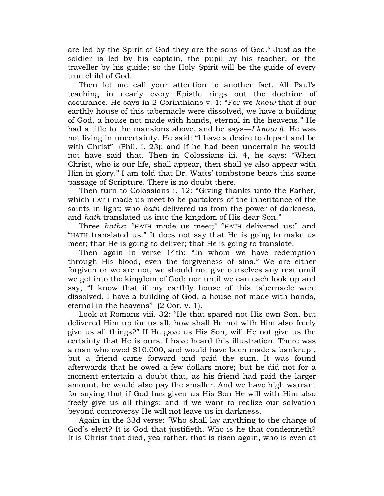are led by the Spirit of God they are the sons of God." Just as the soldier is led by his captain, the pupil by his teacher, or the traveller by his guide; so the Holy Spirit will be the guide of every true child of God.

Then let me call your attention to another fact. All Paul"s teaching in nearly every Epistle rings out the doctrine of assurance. He says in 2 Corinthians v. 1: "For we *know* that if our earthly house of this tabernacle were dissolved, we have a building of God, a house not made with hands, eternal in the heavens." He had a title to the mansions above, and he says—*I know it*. He was not living in uncertainty. He said: "I have a desire to depart and be with Christ" (Phil. i. 23); and if he had been uncertain he would not have said that. Then in Colossians iii. 4, he says: "When Christ, who is our life, shall appear, then shall ye also appear with Him in glory." I am told that Dr. Watts' tombstone bears this same passage of Scripture. There is no doubt there.

Then turn to Colossians i. 12: "Giving thanks unto the Father, which HATH made us meet to be partakers of the inheritance of the saints in light; who *hath* delivered us from the power of darkness, and *hath* translated us into the kingdom of His dear Son."

Three *haths*: "HATH made us meet;" "HATH delivered us;" and "HATH translated us." It does not say that He is going to make us meet; that He is going to deliver; that He is going to translate.

Then again in verse 14th: "In whom we have redemption through His blood, even the forgiveness of sins." We are either forgiven or we are not, we should not give ourselves any rest until we get into the kingdom of God; nor until we can each look up and say, "I know that if my earthly house of this tabernacle were dissolved, I have a building of God, a house not made with hands, eternal in the heavens" (2 Cor. v. 1).

Look at Romans viii. 32: "He that spared not His own Son, but delivered Him up for us all, how shall He not with Him also freely give us all things?" If He gave us His Son, will He not give us the certainty that He is ours. I have heard this illustration. There was a man who owed \$10,000, and would have been made a bankrupt, but a friend came forward and paid the sum. It was found afterwards that he owed a few dollars more; but he did not for a moment entertain a doubt that, as his friend had paid the larger amount, he would also pay the smaller. And we have high warrant for saying that if God has given us His Son He will with Him also freely give us all things; and if we want to realize our salvation beyond controversy He will not leave us in darkness.

Again in the 33d verse: "Who shall lay anything to the charge of God's elect? It is God that justifieth. Who is he that condemneth? It is Christ that died, yea rather, that is risen again, who is even at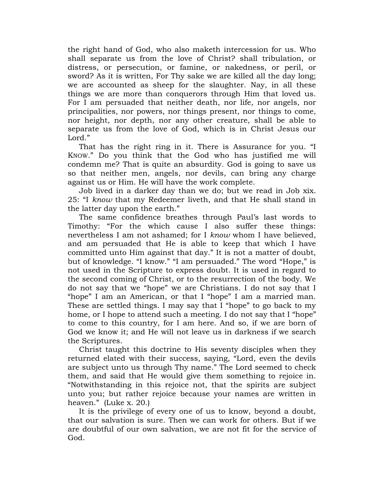the right hand of God, who also maketh intercession for us. Who shall separate us from the love of Christ? shall tribulation, or distress, or persecution, or famine, or nakedness, or peril, or sword? As it is written, For Thy sake we are killed all the day long; we are accounted as sheep for the slaughter. Nay, in all these things we are more than conquerors through Him that loved us. For I am persuaded that neither death, nor life, nor angels, nor principalities, nor powers, nor things present, nor things to come, nor height, nor depth, nor any other creature, shall be able to separate us from the love of God, which is in Christ Jesus our Lord."

That has the right ring in it. There is Assurance for you. "I KNOW." Do you think that the God who has justified me will condemn me? That is quite an absurdity. God is going to save us so that neither men, angels, nor devils, can bring any charge against us or Him. He will have the work complete.

Job lived in a darker day than we do; but we read in Job xix. 25: "I *know* that my Redeemer liveth, and that He shall stand in the latter day upon the earth."

The same confidence breathes through Paul"s last words to Timothy: "For the which cause I also suffer these things: nevertheless I am not ashamed; for I *know* whom I have believed, and am persuaded that He is able to keep that which I have committed unto Him against that day." It is not a matter of doubt, but of knowledge. "I know." "I am persuaded." The word "Hope," is not used in the Scripture to express doubt. It is used in regard to the second coming of Christ, or to the resurrection of the body. We do not say that we "hope" we are Christians. I do not say that I "hope" I am an American, or that I "hope" I am a married man. These are settled things. I may say that I "hope" to go back to my home, or I hope to attend such a meeting. I do not say that I "hope" to come to this country, for I am here. And so, if we are born of God we know it; and He will not leave us in darkness if we search the Scriptures.

Christ taught this doctrine to His seventy disciples when they returned elated with their success, saying, "Lord, even the devils are subject unto us through Thy name." The Lord seemed to check them, and said that He would give them something to rejoice in. "Notwithstanding in this rejoice not, that the spirits are subject unto you; but rather rejoice because your names are written in heaven." (Luke x. 20.)

It is the privilege of every one of us to know, beyond a doubt, that our salvation is sure. Then we can work for others. But if we are doubtful of our own salvation, we are not fit for the service of God.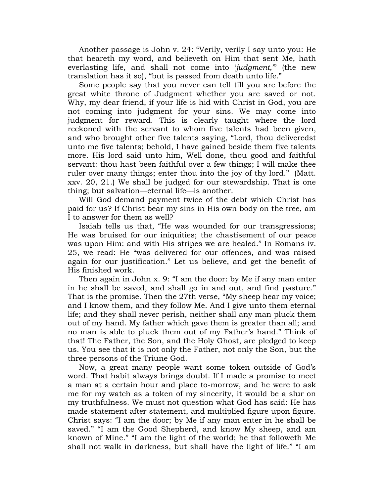Another passage is John v. 24: "Verily, verily I say unto you: He that heareth my word, and believeth on Him that sent Me, hath everlasting life, and shall not come into "*judgment*,"" (the new translation has it so), "but is passed from death unto life."

Some people say that you never can tell till you are before the great white throne of Judgment whether you are saved or not. Why, my dear friend, if your life is hid with Christ in God, you are not coming into judgment for your sins. We may come into judgment for reward. This is clearly taught where the lord reckoned with the servant to whom five talents had been given, and who brought other five talents saying, "Lord, thou deliveredst unto me five talents; behold, I have gained beside them five talents more. His lord said unto him, Well done, thou good and faithful servant: thou hast been faithful over a few things; I will make thee ruler over many things; enter thou into the joy of thy lord." (Matt. xxv. 20, 21.) We shall be judged for our stewardship. That is one thing; but salvation—eternal life—is another.

Will God demand payment twice of the debt which Christ has paid for us? If Christ bear my sins in His own body on the tree, am I to answer for them as well?

Isaiah tells us that, "He was wounded for our transgressions; He was bruised for our iniquities; the chastisement of our peace was upon Him: and with His stripes we are healed." In Romans iv. 25, we read: He "was delivered for our offences, and was raised again for our justification." Let us believe, and get the benefit of His finished work.

Then again in John x. 9: "I am the door: by Me if any man enter in he shall be saved, and shall go in and out, and find pasture." That is the promise. Then the 27th verse, "My sheep hear my voice; and I know them, and they follow Me. And I give unto them eternal life; and they shall never perish, neither shall any man pluck them out of my hand. My father which gave them is greater than all; and no man is able to pluck them out of my Father"s hand." Think of that! The Father, the Son, and the Holy Ghost, are pledged to keep us. You see that it is not only the Father, not only the Son, but the three persons of the Triune God.

Now, a great many people want some token outside of God"s word. That habit always brings doubt. If I made a promise to meet a man at a certain hour and place to-morrow, and he were to ask me for my watch as a token of my sincerity, it would be a slur on my truthfulness. We must not question what God has said: He has made statement after statement, and multiplied figure upon figure. Christ says: "I am the door; by Me if any man enter in he shall be saved." "I am the Good Shepherd, and know My sheep, and am known of Mine." "I am the light of the world; he that followeth Me shall not walk in darkness, but shall have the light of life." "I am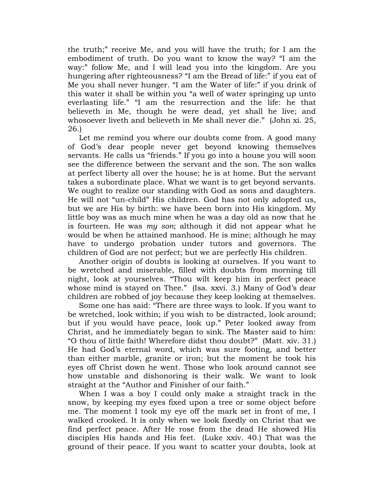the truth;" receive Me, and you will have the truth; for I am the embodiment of truth. Do you want to know the way? "I am the way:" follow Me, and I will lead you into the kingdom. Are you hungering after righteousness? "I am the Bread of life:" if you eat of Me you shall never hunger. "I am the Water of life:" if you drink of this water it shall be within you "a well of water springing up unto everlasting life." "I am the resurrection and the life: he that believeth in Me, though he were dead, yet shall he live; and whosoever liveth and believeth in Me shall never die." (John xi. 25, 26.)

Let me remind you where our doubts come from. A good many of God"s dear people never get beyond knowing themselves servants. He calls us "friends." If you go into a house you will soon see the difference between the servant and the son. The son walks at perfect liberty all over the house; he is at home. But the servant takes a subordinate place. What we want is to get beyond servants. We ought to realize our standing with God as sons and daughters. He will not "un-child" His children. God has not only adopted us, but we are His by birth: we have been born into His kingdom. My little boy was as much mine when he was a day old as now that he is fourteen. He was *my son*; although it did not appear what he would be when he attained manhood. He is mine; although he may have to undergo probation under tutors and governors. The children of God are not perfect; but we are perfectly His children.

Another origin of doubts is looking at ourselves. If you want to be wretched and miserable, filled with doubts from morning till night, look at yourselves. "Thou wilt keep him in perfect peace whose mind is stayed on Thee." (Isa. xxvi. 3.) Many of God's dear children are robbed of joy because they keep looking at themselves.

Some one has said: "There are three ways to look. If you want to be wretched, look within; if you wish to be distracted, look around; but if you would have peace, look up." Peter looked away from Christ, and he immediately began to sink. The Master said to him: "O thou of little faith! Wherefore didst thou doubt?" (Matt. xiv. 31.) He had God"s eternal word, which was sure footing, and better than either marble, granite or iron; but the moment he took his eyes off Christ down he went. Those who look around cannot see how unstable and dishonoring is their walk. We want to look straight at the "Author and Finisher of our faith."

When I was a boy I could only make a straight track in the snow, by keeping my eyes fixed upon a tree or some object before me. The moment I took my eye off the mark set in front of me, I walked crooked. It is only when we look fixedly on Christ that we find perfect peace. After He rose from the dead He showed His disciples His hands and His feet. (Luke xxiv. 40.) That was the ground of their peace. If you want to scatter your doubts, look at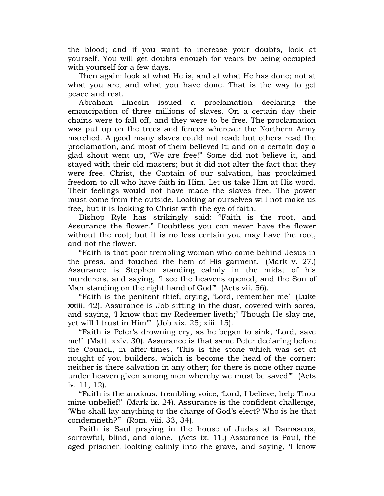the blood; and if you want to increase your doubts, look at yourself. You will get doubts enough for years by being occupied with yourself for a few days.

Then again: look at what He is, and at what He has done; not at what you are, and what you have done. That is the way to get peace and rest.

Abraham Lincoln issued a proclamation declaring the emancipation of three millions of slaves. On a certain day their chains were to fall off, and they were to be free. The proclamation was put up on the trees and fences wherever the Northern Army marched. A good many slaves could not read: but others read the proclamation, and most of them believed it; and on a certain day a glad shout went up, "We are free!" Some did not believe it, and stayed with their old masters; but it did not alter the fact that they were free. Christ, the Captain of our salvation, has proclaimed freedom to all who have faith in Him. Let us take Him at His word. Their feelings would not have made the slaves free. The power must come from the outside. Looking at ourselves will not make us free, but it is looking to Christ with the eye of faith.

Bishop Ryle has strikingly said: "Faith is the root, and Assurance the flower." Doubtless you can never have the flower without the root; but it is no less certain you may have the root, and not the flower.

"Faith is that poor trembling woman who came behind Jesus in the press, and touched the hem of His garment. (Mark v. 27.) Assurance is Stephen standing calmly in the midst of his murderers, and saying, I see the heavens opened, and the Son of Man standing on the right hand of God" (Acts vii. 56).

"Faith is the penitent thief, crying, "Lord, remember me" (Luke xxiii. 42). Assurance is Job sitting in the dust, covered with sores, and saying, I know that my Redeemer liveth;' Though He slay me, yet will I trust in Him"" (Job xix. 25; xiii. 15).

"Faith is Peter"s drowning cry, as he began to sink, "Lord, save me!" (Matt. xxiv. 30). Assurance is that same Peter declaring before the Council, in after-times, "This is the stone which was set at nought of you builders, which is become the head of the corner: neither is there salvation in any other; for there is none other name under heaven given among men whereby we must be saved"" (Acts iv. 11, 12).

"Faith is the anxious, trembling voice, "Lord, I believe; help Thou mine unbelief!" (Mark ix. 24). Assurance is the confident challenge, "Who shall lay anything to the charge of God"s elect? Who is he that condemneth?"" (Rom. viii. 33, 34).

Faith is Saul praying in the house of Judas at Damascus, sorrowful, blind, and alone. (Acts ix. 11.) Assurance is Paul, the aged prisoner, looking calmly into the grave, and saying, "I know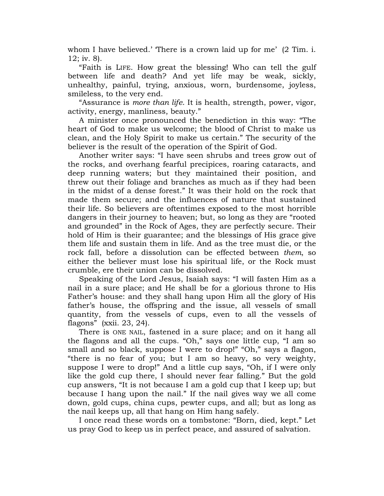whom I have believed.' There is a crown laid up for me' (2 Tim. i. 12; iv. 8).

"Faith is LIFE. How great the blessing! Who can tell the gulf between life and death? And yet life may be weak, sickly, unhealthy, painful, trying, anxious, worn, burdensome, joyless, smileless, to the very end.

"Assurance is *more than life*. It is health, strength, power, vigor, activity, energy, manliness, beauty."

A minister once pronounced the benediction in this way: "The heart of God to make us welcome; the blood of Christ to make us clean, and the Holy Spirit to make us certain." The security of the believer is the result of the operation of the Spirit of God.

Another writer says: "I have seen shrubs and trees grow out of the rocks, and overhang fearful precipices, roaring cataracts, and deep running waters; but they maintained their position, and threw out their foliage and branches as much as if they had been in the midst of a dense forest." It was their hold on the rock that made them secure; and the influences of nature that sustained their life. So believers are oftentimes exposed to the most horrible dangers in their journey to heaven; but, so long as they are "rooted and grounded" in the Rock of Ages, they are perfectly secure. Their hold of Him is their guarantee; and the blessings of His grace give them life and sustain them in life. And as the tree must die, or the rock fall, before a dissolution can be effected between *them*, so either the believer must lose his spiritual life, or the Rock must crumble, ere their union can be dissolved.

Speaking of the Lord Jesus, Isaiah says: "I will fasten Him as a nail in a sure place; and He shall be for a glorious throne to His Father"s house: and they shall hang upon Him all the glory of His father"s house, the offspring and the issue, all vessels of small quantity, from the vessels of cups, even to all the vessels of flagons" (xxii. 23, 24).

There is ONE NAIL, fastened in a sure place; and on it hang all the flagons and all the cups. "Oh," says one little cup, "I am so small and so black, suppose I were to drop!" "Oh," says a flagon, "there is no fear of you; but I am so heavy, so very weighty, suppose I were to drop!" And a little cup says, "Oh, if I were only like the gold cup there, I should never fear falling." But the gold cup answers, "It is not because I am a gold cup that I keep up; but because I hang upon the nail." If the nail gives way we all come down, gold cups, china cups, pewter cups, and all; but as long as the nail keeps up, all that hang on Him hang safely.

I once read these words on a tombstone: "Born, died, kept." Let us pray God to keep us in perfect peace, and assured of salvation.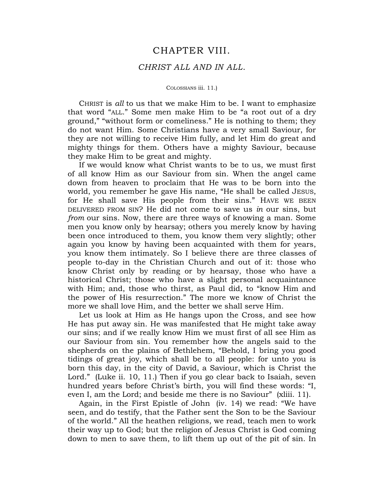## CHAPTER VIII.

## *CHRIST ALL AND IN ALL*.

#### COLOSSIANS iii. 11.)

CHRIST is *all* to us that we make Him to be. I want to emphasize that word "ALL." Some men make Him to be "a root out of a dry ground," "without form or comeliness." He is nothing to them; they do not want Him. Some Christians have a very small Saviour, for they are not willing to receive Him fully, and let Him do great and mighty things for them. Others have a mighty Saviour, because they make Him to be great and mighty.

If we would know what Christ wants to be to us, we must first of all know Him as our Saviour from sin. When the angel came down from heaven to proclaim that He was to be born into the world, you remember he gave His name, "He shall be called JESUS, for He shall save His people from their sins." HAVE WE BEEN DELIVERED FROM SIN? He did not come to save us *in* our sins, but *from* our sins. Now, there are three ways of knowing a man. Some men you know only by hearsay; others you merely know by having been once introduced to them, you know them very slightly; other again you know by having been acquainted with them for years, you know them intimately. So I believe there are three classes of people to-day in the Christian Church and out of it: those who know Christ only by reading or by hearsay, those who have a historical Christ; those who have a slight personal acquaintance with Him; and, those who thirst, as Paul did, to "know Him and the power of His resurrection." The more we know of Christ the more we shall love Him, and the better we shall serve Him.

Let us look at Him as He hangs upon the Cross, and see how He has put away sin. He was manifested that He might take away our sins; and if we really know Him we must first of all see Him as our Saviour from sin. You remember how the angels said to the shepherds on the plains of Bethlehem, "Behold, I bring you good tidings of great joy, which shall be to all people: for unto you is born this day, in the city of David, a Saviour, which is Christ the Lord." (Luke ii. 10, 11.) Then if you go clear back to Isaiah, seven hundred years before Christ's birth, you will find these words: "I, even I, am the Lord; and beside me there is no Saviour" (xliii. 11).

Again, in the First Epistle of John (iv. 14) we read: "We have seen, and do testify, that the Father sent the Son to be the Saviour of the world." All the heathen religions, we read, teach men to work their way up to God; but the religion of Jesus Christ is God coming down to men to save them, to lift them up out of the pit of sin. In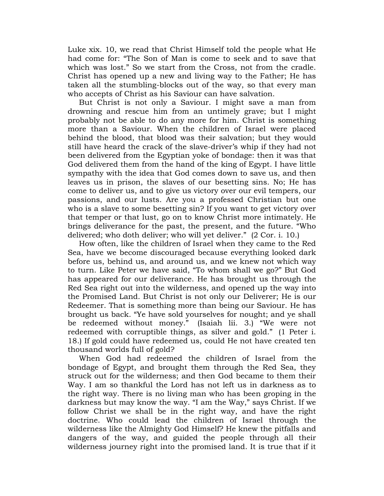Luke xix. 10, we read that Christ Himself told the people what He had come for: "The Son of Man is come to seek and to save that which was lost." So we start from the Cross, not from the cradle. Christ has opened up a new and living way to the Father; He has taken all the stumbling-blocks out of the way, so that every man who accepts of Christ as his Saviour can have salvation.

But Christ is not only a Saviour. I might save a man from drowning and rescue him from an untimely grave; but I might probably not be able to do any more for him. Christ is something more than a Saviour. When the children of Israel were placed behind the blood, that blood was their salvation; but they would still have heard the crack of the slave-driver"s whip if they had not been delivered from the Egyptian yoke of bondage: then it was that God delivered them from the hand of the king of Egypt. I have little sympathy with the idea that God comes down to save us, and then leaves us in prison, the slaves of our besetting sins. No; He has come to deliver us, and to give us victory over our evil tempers, our passions, and our lusts. Are you a professed Christian but one who is a slave to some besetting sin? If you want to get victory over that temper or that lust, go on to know Christ more intimately. He brings deliverance for the past, the present, and the future. "Who delivered; who doth deliver; who will yet deliver." (2 Cor. i. 10.)

How often, like the children of Israel when they came to the Red Sea, have we become discouraged because everything looked dark before us, behind us, and around us, and we knew not which way to turn. Like Peter we have said, "To whom shall we go?" But God has appeared for our deliverance. He has brought us through the Red Sea right out into the wilderness, and opened up the way into the Promised Land. But Christ is not only our Deliverer; He is our Redeemer. That is something more than being our Saviour. He has brought us back. "Ye have sold yourselves for nought; and ye shall be redeemed without money." (Isaiah lii. 3.) "We were not redeemed with corruptible things, as silver and gold." (1 Peter i. 18.) If gold could have redeemed us, could He not have created ten thousand worlds full of gold?

When God had redeemed the children of Israel from the bondage of Egypt, and brought them through the Red Sea, they struck out for the wilderness; and then God became to them their Way. I am so thankful the Lord has not left us in darkness as to the right way. There is no living man who has been groping in the darkness but may know the way. "I am the Way," says Christ. If we follow Christ we shall be in the right way, and have the right doctrine. Who could lead the children of Israel through the wilderness like the Almighty God Himself? He knew the pitfalls and dangers of the way, and guided the people through all their wilderness journey right into the promised land. It is true that if it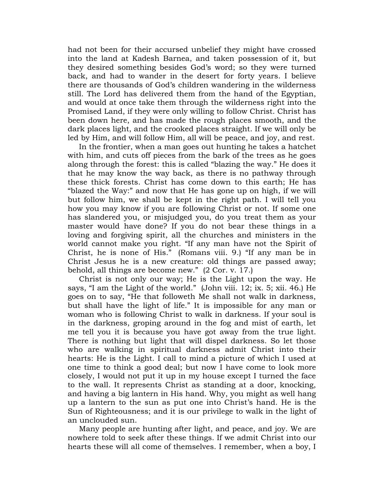had not been for their accursed unbelief they might have crossed into the land at Kadesh Barnea, and taken possession of it, but they desired something besides God"s word; so they were turned back, and had to wander in the desert for forty years. I believe there are thousands of God"s children wandering in the wilderness still. The Lord has delivered them from the hand of the Egyptian, and would at once take them through the wilderness right into the Promised Land, if they were only willing to follow Christ. Christ has been down here, and has made the rough places smooth, and the dark places light, and the crooked places straight. If we will only be led by Him, and will follow Him, all will be peace, and joy, and rest.

In the frontier, when a man goes out hunting he takes a hatchet with him, and cuts off pieces from the bark of the trees as he goes along through the forest: this is called "blazing the way." He does it that he may know the way back, as there is no pathway through these thick forests. Christ has come down to this earth; He has "blazed the Way:" and now that He has gone up on high, if we will but follow him, we shall be kept in the right path. I will tell you how you may know if you are following Christ or not. If some one has slandered you, or misjudged you, do you treat them as your master would have done? If you do not bear these things in a loving and forgiving spirit, all the churches and ministers in the world cannot make you right. "If any man have not the Spirit of Christ, he is none of His." (Romans viii. 9.) "If any man be in Christ Jesus he is a new creature: old things are passed away; behold, all things are become new." (2 Cor. v. 17.)

Christ is not only our way; He is the Light upon the way. He says, "I am the Light of the world." (John viii. 12; ix. 5; xii. 46.) He goes on to say, "He that followeth Me shall not walk in darkness, but shall have the light of life." It is impossible for any man or woman who is following Christ to walk in darkness. If your soul is in the darkness, groping around in the fog and mist of earth, let me tell you it is because you have got away from the true light. There is nothing but light that will dispel darkness. So let those who are walking in spiritual darkness admit Christ into their hearts: He is the Light. I call to mind a picture of which I used at one time to think a good deal; but now I have come to look more closely, I would not put it up in my house except I turned the face to the wall. It represents Christ as standing at a door, knocking, and having a big lantern in His hand. Why, you might as well hang up a lantern to the sun as put one into Christ"s hand. He is the Sun of Righteousness; and it is our privilege to walk in the light of an unclouded sun.

Many people are hunting after light, and peace, and joy. We are nowhere told to seek after these things. If we admit Christ into our hearts these will all come of themselves. I remember, when a boy, I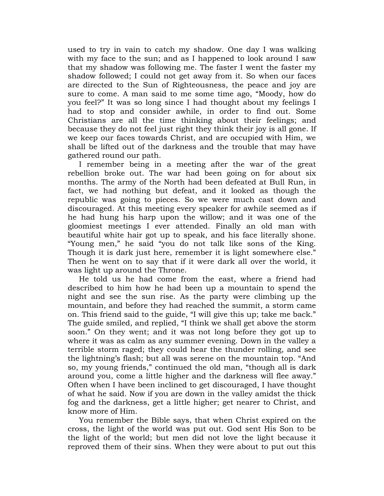used to try in vain to catch my shadow. One day I was walking with my face to the sun; and as I happened to look around I saw that my shadow was following me. The faster I went the faster my shadow followed; I could not get away from it. So when our faces are directed to the Sun of Righteousness, the peace and joy are sure to come. A man said to me some time ago, "Moody, how do you feel?" It was so long since I had thought about my feelings I had to stop and consider awhile, in order to find out. Some Christians are all the time thinking about their feelings; and because they do not feel just right they think their joy is all gone. If we keep our faces towards Christ, and are occupied with Him, we shall be lifted out of the darkness and the trouble that may have gathered round our path.

I remember being in a meeting after the war of the great rebellion broke out. The war had been going on for about six months. The army of the North had been defeated at Bull Run, in fact, we had nothing but defeat, and it looked as though the republic was going to pieces. So we were much cast down and discouraged. At this meeting every speaker for awhile seemed as if he had hung his harp upon the willow; and it was one of the gloomiest meetings I ever attended. Finally an old man with beautiful white hair got up to speak, and his face literally shone. "Young men," he said "you do not talk like sons of the King. Though it is dark just here, remember it is light somewhere else." Then he went on to say that if it were dark all over the world, it was light up around the Throne.

He told us he had come from the east, where a friend had described to him how he had been up a mountain to spend the night and see the sun rise. As the party were climbing up the mountain, and before they had reached the summit, a storm came on. This friend said to the guide, "I will give this up; take me back." The guide smiled, and replied, "I think we shall get above the storm soon." On they went; and it was not long before they got up to where it was as calm as any summer evening. Down in the valley a terrible storm raged; they could hear the thunder rolling, and see the lightning's flash; but all was serene on the mountain top. "And so, my young friends," continued the old man, "though all is dark around you, come a little higher and the darkness will flee away." Often when I have been inclined to get discouraged, I have thought of what he said. Now if you are down in the valley amidst the thick fog and the darkness, get a little higher; get nearer to Christ, and know more of Him.

You remember the Bible says, that when Christ expired on the cross, the light of the world was put out. God sent His Son to be the light of the world; but men did not love the light because it reproved them of their sins. When they were about to put out this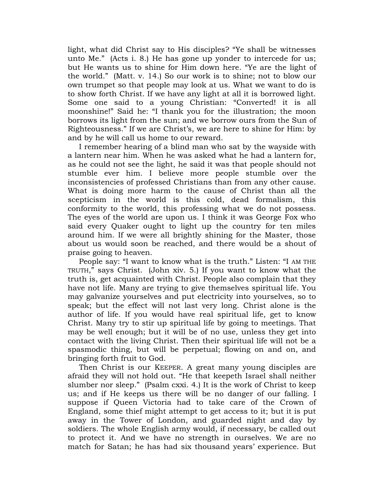light, what did Christ say to His disciples? "Ye shall be witnesses unto Me." (Acts i. 8.) He has gone up yonder to intercede for us; but He wants us to shine for Him down here. "Ye are the light of the world." (Matt. v. 14.) So our work is to shine; not to blow our own trumpet so that people may look at us. What we want to do is to show forth Christ. If we have any light at all it is borrowed light. Some one said to a young Christian: "Converted! it is all moonshine!" Said he: "I thank you for the illustration; the moon borrows its light from the sun; and we borrow ours from the Sun of Righteousness." If we are Christ's, we are here to shine for Him: by and by he will call us home to our reward.

I remember hearing of a blind man who sat by the wayside with a lantern near him. When he was asked what he had a lantern for, as he could not see the light, he said it was that people should not stumble ever him. I believe more people stumble over the inconsistencies of professed Christians than from any other cause. What is doing more harm to the cause of Christ than all the scepticism in the world is this cold, dead formalism, this conformity to the world, this professing what we do not possess. The eyes of the world are upon us. I think it was George Fox who said every Quaker ought to light up the country for ten miles around him. If we were all brightly shining for the Master, those about us would soon be reached, and there would be a shout of praise going to heaven.

People say: "I want to know what is the truth." Listen: "I AM THE TRUTH," says Christ. (John xiv. 5.) If you want to know what the truth is, get acquainted with Christ. People also complain that they have not life. Many are trying to give themselves spiritual life. You may galvanize yourselves and put electricity into yourselves, so to speak; but the effect will not last very long. Christ alone is the author of life. If you would have real spiritual life, get to know Christ. Many try to stir up spiritual life by going to meetings. That may be well enough; but it will be of no use, unless they get into contact with the living Christ. Then their spiritual life will not be a spasmodic thing, but will be perpetual; flowing on and on, and bringing forth fruit to God.

Then Christ is our KEEPER. A great many young disciples are afraid they will not hold out. "He that keepeth Israel shall neither slumber nor sleep." (Psalm cxxi. 4.) It is the work of Christ to keep us; and if He keeps us there will be no danger of our falling. I suppose if Queen Victoria had to take care of the Crown of England, some thief might attempt to get access to it; but it is put away in the Tower of London, and guarded night and day by soldiers. The whole English army would, if necessary, be called out to protect it. And we have no strength in ourselves. We are no match for Satan; he has had six thousand years' experience. But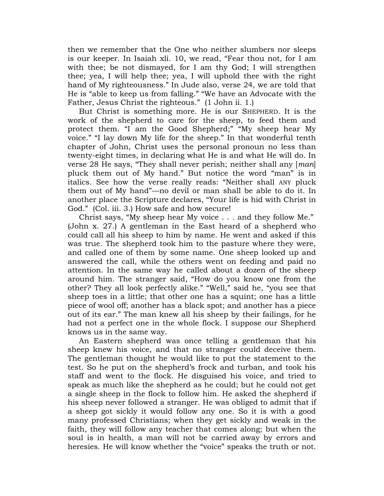then we remember that the One who neither slumbers nor sleeps is our keeper. In Isaiah xli. 10, we read, "Fear thou not, for I am with thee; be not dismayed, for I am thy God; I will strengthen thee; yea, I will help thee; yea, I will uphold thee with the right hand of My righteousness." In Jude also, verse 24, we are told that He is "able to keep us from falling." "We have an Advocate with the Father, Jesus Christ the righteous." (1 John ii. 1.)

But Christ is something more. He is our SHEPHERD. It is the work of the shepherd to care for the sheep, to feed them and protect them. "I am the Good Shepherd;" "My sheep hear My voice." "I lay down My life for the sheep." In that wonderful tenth chapter of John, Christ uses the personal pronoun no less than twenty-eight times, in declaring what He is and what He will do. In verse 28 He says, "They shall never perish; neither shall any [*man*] pluck them out of My hand." But notice the word "man" is in italics. See how the verse really reads: "Neither shall ANY pluck them out of My hand"—no devil or man shall be able to do it. In another place the Scripture declares, "Your life is hid with Christ in God." (Col. iii. 3.) How safe and how secure!

Christ says, "My sheep hear My voice . . . and they follow Me." (John x. 27.) A gentleman in the East heard of a shepherd who could call all his sheep to him by name. He went and asked if this was true. The shepherd took him to the pasture where they were, and called one of them by some name. One sheep looked up and answered the call, while the others went on feeding and paid no attention. In the same way he called about a dozen of the sheep around him. The stranger said, "How do you know one from the other? They all look perfectly alike." "Well," said he, "you see that sheep toes in a little; that other one has a squint; one has a little piece of wool off; another has a black spot; and another has a piece out of its ear." The man knew all his sheep by their failings, for he had not a perfect one in the whole flock. I suppose our Shepherd knows us in the same way.

An Eastern shepherd was once telling a gentleman that his sheep knew his voice, and that no stranger could deceive them. The gentleman thought he would like to put the statement to the test. So he put on the shepherd"s frock and turban, and took his staff and went to the flock. He disguised his voice, and tried to speak as much like the shepherd as he could; but he could not get a single sheep in the flock to follow him. He asked the shepherd if his sheep never followed a stranger. He was obliged to admit that if a sheep got sickly it would follow any one. So it is with a good many professed Christians; when they get sickly and weak in the faith, they will follow any teacher that comes along; but when the soul is in health, a man will not be carried away by errors and heresies. He will know whether the "voice" speaks the truth or not.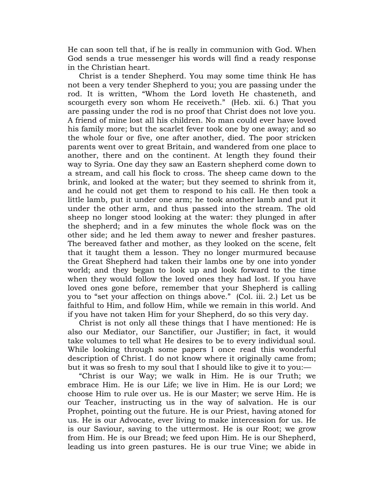He can soon tell that, if he is really in communion with God. When God sends a true messenger his words will find a ready response in the Christian heart.

Christ is a tender Shepherd. You may some time think He has not been a very tender Shepherd to you; you are passing under the rod. It is written, "Whom the Lord loveth He chasteneth, and scourgeth every son whom He receiveth." (Heb. xii. 6.) That you are passing under the rod is no proof that Christ does not love you. A friend of mine lost all his children. No man could ever have loved his family more; but the scarlet fever took one by one away; and so the whole four or five, one after another, died. The poor stricken parents went over to great Britain, and wandered from one place to another, there and on the continent. At length they found their way to Syria. One day they saw an Eastern shepherd come down to a stream, and call his flock to cross. The sheep came down to the brink, and looked at the water; but they seemed to shrink from it, and he could not get them to respond to his call. He then took a little lamb, put it under one arm; he took another lamb and put it under the other arm, and thus passed into the stream. The old sheep no longer stood looking at the water: they plunged in after the shepherd; and in a few minutes the whole flock was on the other side; and he led them away to newer and fresher pastures. The bereaved father and mother, as they looked on the scene, felt that it taught them a lesson. They no longer murmured because the Great Shepherd had taken their lambs one by one into yonder world; and they began to look up and look forward to the time when they would follow the loved ones they had lost. If you have loved ones gone before, remember that your Shepherd is calling you to "set your affection on things above." (Col. iii. 2.) Let us be faithful to Him, and follow Him, while we remain in this world. And if you have not taken Him for your Shepherd, do so this very day.

Christ is not only all these things that I have mentioned: He is also our Mediator, our Sanctifier, our Justifier; in fact, it would take volumes to tell what He desires to be to every individual soul. While looking through some papers I once read this wonderful description of Christ. I do not know where it originally came from; but it was so fresh to my soul that I should like to give it to you:—

"Christ is our Way; we walk in Him. He is our Truth; we embrace Him. He is our Life; we live in Him. He is our Lord; we choose Him to rule over us. He is our Master; we serve Him. He is our Teacher, instructing us in the way of salvation. He is our Prophet, pointing out the future. He is our Priest, having atoned for us. He is our Advocate, ever living to make intercession for us. He is our Saviour, saving to the uttermost. He is our Root; we grow from Him. He is our Bread; we feed upon Him. He is our Shepherd, leading us into green pastures. He is our true Vine; we abide in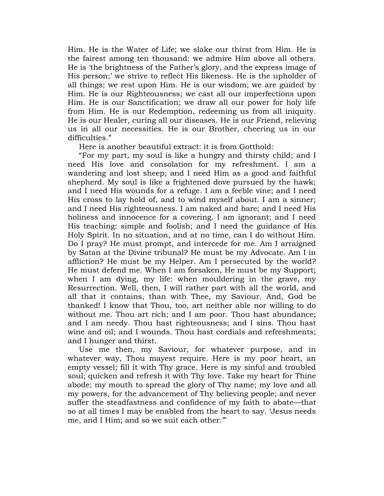Him. He is the Water of Life; we slake our thirst from Him. He is the fairest among ten thousand: we admire Him above all others. He is "the brightness of the Father"s glory, and the express image of His person;' we strive to reflect His likeness. He is the upholder of all things; we rest upon Him. He is our wisdom; we are guided by Him. He is our Righteousness; we cast all our imperfections upon Him. He is our Sanctification; we draw all our power for holy life from Him. He is our Redemption, redeeming us from all iniquity. He is our Healer, curing all our diseases. He is our Friend, relieving us in all our necessities. He is our Brother, cheering us in our difficulties."

Here is another beautiful extract: it is from Gotthold:

"For my part, my soul is like a hungry and thirsty child; and I need His love and consolation for my refreshment. I am a wandering and lost sheep; and I need Him as a good and faithful shepherd. My soul is like a frightened dove pursued by the hawk; and I need His wounds for a refuge. I am a feeble vine; and I need His cross to lay hold of, and to wind myself about. I am a sinner; and I need His righteousness. I am naked and bare; and I need His holiness and innocence for a covering. I am ignorant; and I need His teaching: simple and foolish; and I need the guidance of His Holy Spirit. In no situation, and at no time, can I do without Him. Do I pray? He must prompt, and intercede for me. Am I arraigned by Satan at the Divine tribunal? He must be my Advocate. Am I in affliction? He must be my Helper. Am I persecuted by the world? He must defend me. When I am forsaken, He must be my Support; when I am dying, my life: when mouldering in the grave, my Resurrection. Well, then, I will rather part with all the world, and all that it contains, than with Thee, my Saviour. And, God be thanked! I know that Thou, too, art neither able nor willing to do without me. Thou art rich; and I am poor. Thou hast abundance; and I am needy. Thou hast righteousness; and I sins. Thou hast wine and oil; and I wounds. Thou hast cordials and refreshments; and I hunger and thirst.

Use me then, my Saviour, for whatever purpose, and in whatever way, Thou mayest require. Here is my poor heart, an empty vessel; fill it with Thy grace. Here is my sinful and troubled soul; quicken and refresh it with Thy love. Take my heart for Thine abode; my mouth to spread the glory of Thy name; my love and all my powers, for the advancement of Thy believing people; and never suffer the steadfastness and confidence of my faith to abate—that so at all times I may be enabled from the heart to say. "Jesus needs me, and I Him; and so we suit each other.""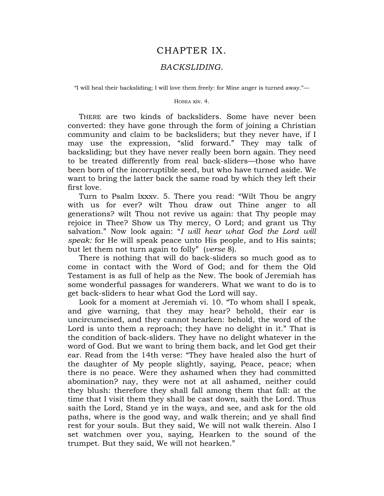## CHAPTER IX.

## *BACKSLIDING*.

"I will heal their backsliding; I will love them freely: for Mine anger is turned away."—

## HOSEA xiv. 4.

THERE are two kinds of backsliders. Some have never been converted: they have gone through the form of joining a Christian community and claim to be backsliders; but they never have, if I may use the expression, "slid forward." They may talk of backsliding; but they have never really been born again. They need to be treated differently from real back-sliders—those who have been born of the incorruptible seed, but who have turned aside. We want to bring the latter back the same road by which they left their first love.

Turn to Psalm lxxxv. 5. There you read: "Wilt Thou be angry with us for ever? wilt Thou draw out Thine anger to all generations? wilt Thou not revive us again: that Thy people may rejoice in Thee? Show us Thy mercy, O Lord; and grant us Thy salvation." Now look again: "*I will hear what God the Lord will speak:* for He will speak peace unto His people, and to His saints; but let them not turn again to folly" (*verse* 8).

There is nothing that will do back-sliders so much good as to come in contact with the Word of God; and for them the Old Testament is as full of help as the New. The book of Jeremiah has some wonderful passages for wanderers. What we want to do is to get back-sliders to hear what God the Lord will say.

Look for a moment at Jeremiah vi. 10. "To whom shall I speak, and give warning, that they may hear? behold, their ear is uncircumcised, and they cannot hearken: behold, the word of the Lord is unto them a reproach; they have no delight in it." That is the condition of back-sliders. They have no delight whatever in the word of God. But we want to bring them back, and let God get their ear. Read from the 14th verse: "They have healed also the hurt of the daughter of My people slightly, saying, Peace, peace; when there is no peace. Were they ashamed when they had committed abomination? nay, they were not at all ashamed, neither could they blush: therefore they shall fall among them that fall: at the time that I visit them they shall be cast down, saith the Lord. Thus saith the Lord, Stand ye in the ways, and see, and ask for the old paths, where is the good way, and walk therein; and ye shall find rest for your souls. But they said, We will not walk therein. Also I set watchmen over you, saying, Hearken to the sound of the trumpet. But they said, We will not hearken."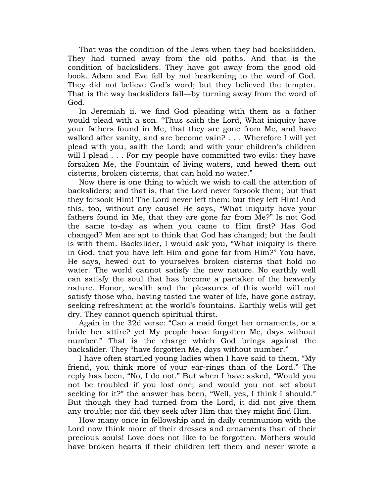That was the condition of the Jews when they had backslidden. They had turned away from the old paths. And that is the condition of backsliders. They have got away from the good old book. Adam and Eve fell by not hearkening to the word of God. They did not believe God's word; but they believed the tempter. That is the way backsliders fall—by turning away from the word of God.

In Jeremiah ii. we find God pleading with them as a father would plead with a son. "Thus saith the Lord, What iniquity have your fathers found in Me, that they are gone from Me, and have walked after vanity, and are become vain? . . . Wherefore I will yet plead with you, saith the Lord; and with your children"s children will I plead . . . For my people have committed two evils: they have forsaken Me, the Fountain of living waters, and hewed them out cisterns, broken cisterns, that can hold no water."

Now there is one thing to which we wish to call the attention of backsliders; and that is, that the Lord never forsook them; but that they forsook Him! The Lord never left them; but they left Him! And this, too, without any cause! He says, "What iniquity have your fathers found in Me, that they are gone far from Me?" Is not God the same to-day as when you came to Him first? Has God changed? Men are apt to think that God has changed; but the fault is with them. Backslider, I would ask you, "What iniquity is there in God, that you have left Him and gone far from Him?" You have, He says, hewed out to yourselves broken cisterns that hold no water. The world cannot satisfy the new nature. No earthly well can satisfy the soul that has become a partaker of the heavenly nature. Honor, wealth and the pleasures of this world will not satisfy those who, having tasted the water of life, have gone astray, seeking refreshment at the world"s fountains. Earthly wells will get dry. They cannot quench spiritual thirst.

Again in the 32d verse: "Can a maid forget her ornaments, or a bride her attire? yet My people have forgotten Me, days without number." That is the charge which God brings against the backslider. They "have forgotten Me, days without number."

I have often startled young ladies when I have said to them, "My friend, you think more of your ear-rings than of the Lord." The reply has been, "No, I do not." But when I have asked, "Would you not be troubled if you lost one; and would you not set about seeking for it?" the answer has been, "Well, yes, I think I should." But though they had turned from the Lord, it did not give them any trouble; nor did they seek after Him that they might find Him.

How many once in fellowship and in daily communion with the Lord now think more of their dresses and ornaments than of their precious souls! Love does not like to be forgotten. Mothers would have broken hearts if their children left them and never wrote a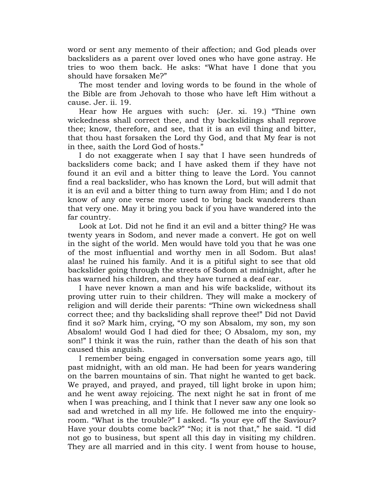word or sent any memento of their affection; and God pleads over backsliders as a parent over loved ones who have gone astray. He tries to woo them back. He asks: "What have I done that you should have forsaken Me?"

The most tender and loving words to be found in the whole of the Bible are from Jehovah to those who have left Him without a cause. Jer. ii. 19.

Hear how He argues with such: (Jer. xi. 19.) "Thine own wickedness shall correct thee, and thy backslidings shall reprove thee; know, therefore, and see, that it is an evil thing and bitter, that thou hast forsaken the Lord thy God, and that My fear is not in thee, saith the Lord God of hosts."

I do not exaggerate when I say that I have seen hundreds of backsliders come back; and I have asked them if they have not found it an evil and a bitter thing to leave the Lord. You cannot find a real backslider, who has known the Lord, but will admit that it is an evil and a bitter thing to turn away from Him; and I do not know of any one verse more used to bring back wanderers than that very one. May it bring you back if you have wandered into the far country.

Look at Lot. Did not he find it an evil and a bitter thing? He was twenty years in Sodom, and never made a convert. He got on well in the sight of the world. Men would have told you that he was one of the most influential and worthy men in all Sodom. But alas! alas! he ruined his family. And it is a pitiful sight to see that old backslider going through the streets of Sodom at midnight, after he has warned his children, and they have turned a deaf ear.

I have never known a man and his wife backslide, without its proving utter ruin to their children. They will make a mockery of religion and will deride their parents: "Thine own wickedness shall correct thee; and thy backsliding shall reprove thee!" Did not David find it so? Mark him, crying, "O my son Absalom, my son, my son Absalom! would God I had died for thee; O Absalom, my son, my son!" I think it was the ruin, rather than the death of his son that caused this anguish.

I remember being engaged in conversation some years ago, till past midnight, with an old man. He had been for years wandering on the barren mountains of sin. That night he wanted to get back. We prayed, and prayed, and prayed, till light broke in upon him; and he went away rejoicing. The next night he sat in front of me when I was preaching, and I think that I never saw any one look so sad and wretched in all my life. He followed me into the enquiryroom. "What is the trouble?" I asked. "Is your eye off the Saviour? Have your doubts come back?" "No; it is not that," he said. "I did not go to business, but spent all this day in visiting my children. They are all married and in this city. I went from house to house,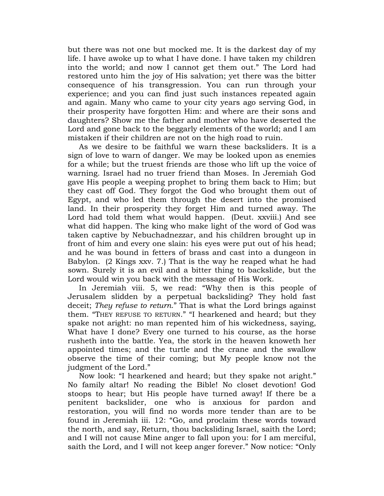but there was not one but mocked me. It is the darkest day of my life. I have awoke up to what I have done. I have taken my children into the world; and now I cannot get them out." The Lord had restored unto him the joy of His salvation; yet there was the bitter consequence of his transgression. You can run through your experience; and you can find just such instances repeated again and again. Many who came to your city years ago serving God, in their prosperity have forgotten Him: and where are their sons and daughters? Show me the father and mother who have deserted the Lord and gone back to the beggarly elements of the world; and I am mistaken if their children are not on the high road to ruin.

As we desire to be faithful we warn these backsliders. It is a sign of love to warn of danger. We may be looked upon as enemies for a while; but the truest friends are those who lift up the voice of warning. Israel had no truer friend than Moses. In Jeremiah God gave His people a weeping prophet to bring them back to Him; but they cast off God. They forgot the God who brought them out of Egypt, and who led them through the desert into the promised land. In their prosperity they forget Him and turned away. The Lord had told them what would happen. (Deut. xxviii.) And see what did happen. The king who make light of the word of God was taken captive by Nebuchadnezzar, and his children brought up in front of him and every one slain: his eyes were put out of his head; and he was bound in fetters of brass and cast into a dungeon in Babylon. (2 Kings xxv. 7.) That is the way he reaped what he had sown. Surely it is an evil and a bitter thing to backslide, but the Lord would win you back with the message of His Work.

In Jeremiah viii. 5, we read: "Why then is this people of Jerusalem slidden by a perpetual backsliding? They hold fast deceit; *They refuse to return*." That is what the Lord brings against them. "THEY REFUSE TO RETURN." "I hearkened and heard; but they spake not aright: no man repented him of his wickedness, saying, What have I done? Every one turned to his course, as the horse rusheth into the battle. Yea, the stork in the heaven knoweth her appointed times; and the turtle and the crane and the swallow observe the time of their coming; but My people know not the judgment of the Lord."

Now look: "I hearkened and heard; but they spake not aright." No family altar! No reading the Bible! No closet devotion! God stoops to hear; but His people have turned away! If there be a penitent backslider, one who is anxious for pardon and restoration, you will find no words more tender than are to be found in Jeremiah iii. 12: "Go, and proclaim these words toward the north, and say, Return, thou backsliding Israel, saith the Lord; and I will not cause Mine anger to fall upon you: for I am merciful, saith the Lord, and I will not keep anger forever." Now notice: "Only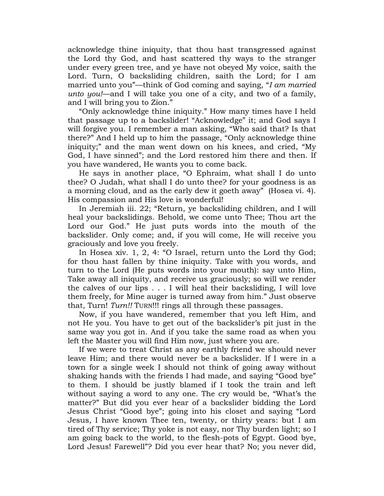acknowledge thine iniquity, that thou hast transgressed against the Lord thy God, and hast scattered thy ways to the stranger under every green tree, and ye have not obeyed My voice, saith the Lord. Turn, O backsliding children, saith the Lord; for I am married unto you"—think of God coming and saying, "*I am married unto you!*—and I will take you one of a city, and two of a family, and I will bring you to Zion."

"Only acknowledge thine iniquity." How many times have I held that passage up to a backslider! "Acknowledge" it; and God says I will forgive you. I remember a man asking, "Who said that? Is that there?" And I held up to him the passage, "Only acknowledge thine iniquity;" and the man went down on his knees, and cried, "My God, I have sinned"; and the Lord restored him there and then. If you have wandered, He wants you to come back.

He says in another place, "O Ephraim, what shall I do unto thee? O Judah, what shall I do unto thee? for your goodness is as a morning cloud, and as the early dew it goeth away" (Hosea vi. 4). His compassion and His love is wonderful!

In Jeremiah iii. 22; "Return, ye backsliding children, and I will heal your backslidings. Behold, we come unto Thee; Thou art the Lord our God." He just puts words into the mouth of the backslider. Only come; and, if you will come, He will receive you graciously and love you freely.

In Hosea xiv. 1, 2, 4: "O Israel, return unto the Lord thy God; for thou hast fallen by thine iniquity. Take with you words, and turn to the Lord (He puts words into your mouth): say unto Him, Take away all iniquity, and receive us graciously; so will we render the calves of our lips . . . I will heal their backsliding, I will love them freely, for Mine auger is turned away from him." Just observe that, Turn! *Turn!!* TURN!!! rings all through these passages.

Now, if you have wandered, remember that you left Him, and not He you. You have to get out of the backslider"s pit just in the same way you got in. And if you take the same road as when you left the Master you will find Him now, just where you are.

If we were to treat Christ as any earthly friend we should never leave Him; and there would never be a backslider. If I were in a town for a single week I should not think of going away without shaking hands with the friends I had made, and saying "Good bye" to them. I should be justly blamed if I took the train and left without saying a word to any one. The cry would be, "What"s the matter?" But did you ever hear of a backslider bidding the Lord Jesus Christ "Good bye"; going into his closet and saying "Lord Jesus, I have known Thee ten, twenty, or thirty years: but I am tired of Thy service; Thy yoke is not easy, nor Thy burden light; so I am going back to the world, to the flesh-pots of Egypt. Good bye, Lord Jesus! Farewell"? Did you ever hear that? No; you never did,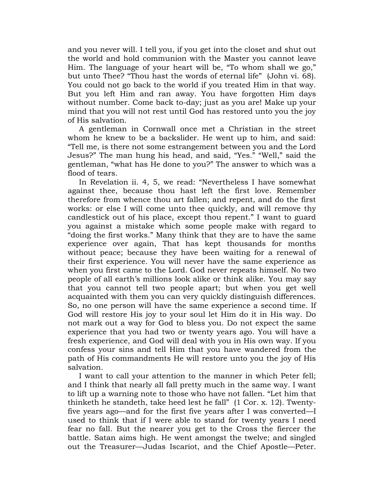and you never will. I tell you, if you get into the closet and shut out the world and hold communion with the Master you cannot leave Him. The language of your heart will be, "To whom shall we go," but unto Thee? "Thou hast the words of eternal life" (John vi. 68). You could not go back to the world if you treated Him in that way. But you left Him and ran away. You have forgotten Him days without number. Come back to-day; just as you are! Make up your mind that you will not rest until God has restored unto you the joy of His salvation.

A gentleman in Cornwall once met a Christian in the street whom he knew to be a backslider. He went up to him, and said: "Tell me, is there not some estrangement between you and the Lord Jesus?" The man hung his head, and said, "Yes." "Well," said the gentleman, "what has He done to you?" The answer to which was a flood of tears.

In Revelation ii. 4, 5, we read: "Nevertheless I have somewhat against thee, because thou hast left the first love. Remember therefore from whence thou art fallen; and repent, and do the first works: or else I will come unto thee quickly, and will remove thy candlestick out of his place, except thou repent." I want to guard you against a mistake which some people make with regard to "doing the first works." Many think that they are to have the same experience over again, That has kept thousands for months without peace; because they have been waiting for a renewal of their first experience. You will never have the same experience as when you first came to the Lord. God never repeats himself. No two people of all earth"s millions look alike or think alike. You may say that you cannot tell two people apart; but when you get well acquainted with them you can very quickly distinguish differences. So, no one person will have the same experience a second time. If God will restore His joy to your soul let Him do it in His way. Do not mark out a way for God to bless you. Do not expect the same experience that you had two or twenty years ago. You will have a fresh experience, and God will deal with you in His own way. If you confess your sins and tell Him that you have wandered from the path of His commandments He will restore unto you the joy of His salvation.

I want to call your attention to the manner in which Peter fell; and I think that nearly all fall pretty much in the same way. I want to lift up a warning note to those who have not fallen. "Let him that thinketh he standeth, take heed lest he fall" (1 Cor. x. 12). Twentyfive years ago—and for the first five years after I was converted—I used to think that if I were able to stand for twenty years I need fear no fall. But the nearer you get to the Cross the fiercer the battle. Satan aims high. He went amongst the twelve; and singled out the Treasurer—Judas Iscariot, and the Chief Apostle—Peter.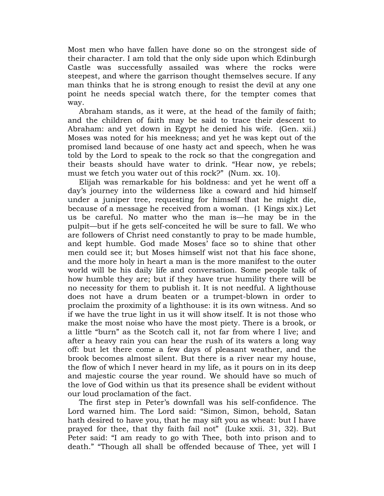Most men who have fallen have done so on the strongest side of their character. I am told that the only side upon which Edinburgh Castle was successfully assailed was where the rocks were steepest, and where the garrison thought themselves secure. If any man thinks that he is strong enough to resist the devil at any one point he needs special watch there, for the tempter comes that way.

Abraham stands, as it were, at the head of the family of faith; and the children of faith may be said to trace their descent to Abraham: and yet down in Egypt he denied his wife. (Gen. xii.) Moses was noted for his meekness; and yet he was kept out of the promised land because of one hasty act and speech, when he was told by the Lord to speak to the rock so that the congregation and their beasts should have water to drink. "Hear now, ye rebels; must we fetch you water out of this rock?" (Num. xx. 10).

Elijah was remarkable for his boldness: and yet he went off a day"s journey into the wilderness like a coward and hid himself under a juniper tree, requesting for himself that he might die, because of a message he received from a woman. (1 Kings xix.) Let us be careful. No matter who the man is—he may be in the pulpit—but if he gets self-conceited he will be sure to fall. We who are followers of Christ need constantly to pray to be made humble, and kept humble. God made Moses' face so to shine that other men could see it; but Moses himself wist not that his face shone, and the more holy in heart a man is the more manifest to the outer world will be his daily life and conversation. Some people talk of how humble they are; but if they have true humility there will be no necessity for them to publish it. It is not needful. A lighthouse does not have a drum beaten or a trumpet-blown in order to proclaim the proximity of a lighthouse: it is its own witness. And so if we have the true light in us it will show itself. It is not those who make the most noise who have the most piety. There is a brook, or a little "burn" as the Scotch call it, not far from where I live; and after a heavy rain you can hear the rush of its waters a long way off: but let there come a few days of pleasant weather, and the brook becomes almost silent. But there is a river near my house, the flow of which I never heard in my life, as it pours on in its deep and majestic course the year round. We should have so much of the love of God within us that its presence shall be evident without our loud proclamation of the fact.

The first step in Peter"s downfall was his self-confidence. The Lord warned him. The Lord said: "Simon, Simon, behold, Satan hath desired to have you, that he may sift you as wheat: but I have prayed for thee, that thy faith fail not" (Luke xxii. 31, 32). But Peter said: "I am ready to go with Thee, both into prison and to death." "Though all shall be offended because of Thee, yet will I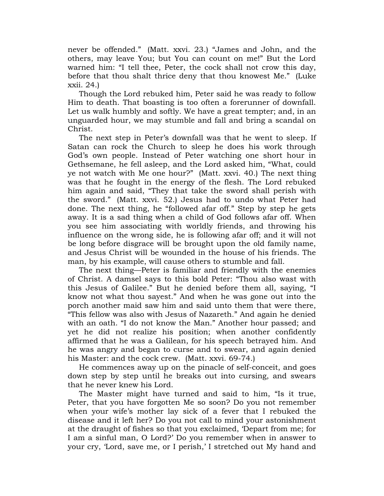never be offended." (Matt. xxvi. 23.) "James and John, and the others, may leave You; but You can count on me!" But the Lord warned him: "I tell thee, Peter, the cock shall not crow this day, before that thou shalt thrice deny that thou knowest Me." (Luke xxii. 24.)

Though the Lord rebuked him, Peter said he was ready to follow Him to death. That boasting is too often a forerunner of downfall. Let us walk humbly and softly. We have a great tempter; and, in an unguarded hour, we may stumble and fall and bring a scandal on Christ.

The next step in Peter"s downfall was that he went to sleep. If Satan can rock the Church to sleep he does his work through God"s own people. Instead of Peter watching one short hour in Gethsemane, he fell asleep, and the Lord asked him, "What, could ye not watch with Me one hour?" (Matt. xxvi. 40.) The next thing was that he fought in the energy of the flesh. The Lord rebuked him again and said, "They that take the sword shall perish with the sword." (Matt. xxvi. 52.) Jesus had to undo what Peter had done. The next thing, he "followed afar off." Step by step he gets away. It is a sad thing when a child of God follows afar off. When you see him associating with worldly friends, and throwing his influence on the wrong side, he is following afar off; and it will not be long before disgrace will be brought upon the old family name, and Jesus Christ will be wounded in the house of his friends. The man, by his example, will cause others to stumble and fall.

The next thing—Peter is familiar and friendly with the enemies of Christ. A damsel says to this bold Peter: "Thou also wast with this Jesus of Galilee." But he denied before them all, saying, "I know not what thou sayest." And when he was gone out into the porch another maid saw him and said unto them that were there, "This fellow was also with Jesus of Nazareth." And again he denied with an oath. "I do not know the Man." Another hour passed; and yet he did not realize his position; when another confidently affirmed that he was a Galilean, for his speech betrayed him. And he was angry and began to curse and to swear, and again denied his Master: and the cock crew. (Matt. xxvi. 69-74.)

He commences away up on the pinacle of self-conceit, and goes down step by step until he breaks out into cursing, and swears that he never knew his Lord.

The Master might have turned and said to him, "Is it true, Peter, that you have forgotten Me so soon? Do you not remember when your wife"s mother lay sick of a fever that I rebuked the disease and it left her? Do you not call to mind your astonishment at the draught of fishes so that you exclaimed, "Depart from me; for I am a sinful man, O Lord?" Do you remember when in answer to your cry, 'Lord, save me, or I perish,' I stretched out My hand and